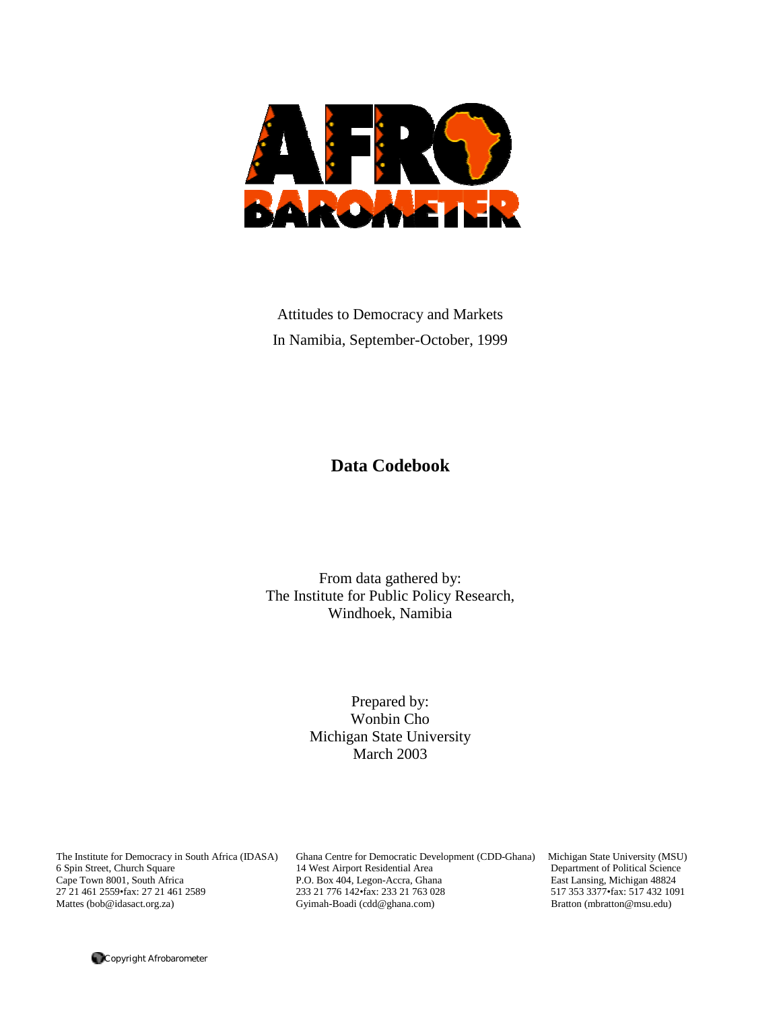

Attitudes to Democracy and Markets In Namibia, September-October, 1999

# **Data Codebook**

From data gathered by: The Institute for Public Policy Research, Windhoek, Namibia

> Prepared by: Wonbin Cho Michigan State University March 2003

6 Spin Street, Church Square 14 West Airport Residential Area Cape Town 8001, South Africa P.O. Box 404, Legon-Accra, Ghar

The Institute for Democracy in South Africa (IDASA) Ghana Centre for Democratic Development (CDD-Ghana) Michigan State University (MSU)<br>6 Spin Street, Church Square 14 West Airport Residential Area Department of Political P.O. Box 404, Legon-Accra, Ghana East Lansing, Michigan 48824 27 21 461 2559•fax: 27 21 461 2589 233 21 776 142•fax: 233 21 763 028 517 353 3377•fax: 517 432 1091<br>
233 21 776 142•fax: 233 21 763 028 517 353 3377•fax: 517 432 1091<br>
233 21 761 42•fax: 233 21 763 028 517 353 3377•fax: Gyimah-Boadi (cdd@ghana.com)

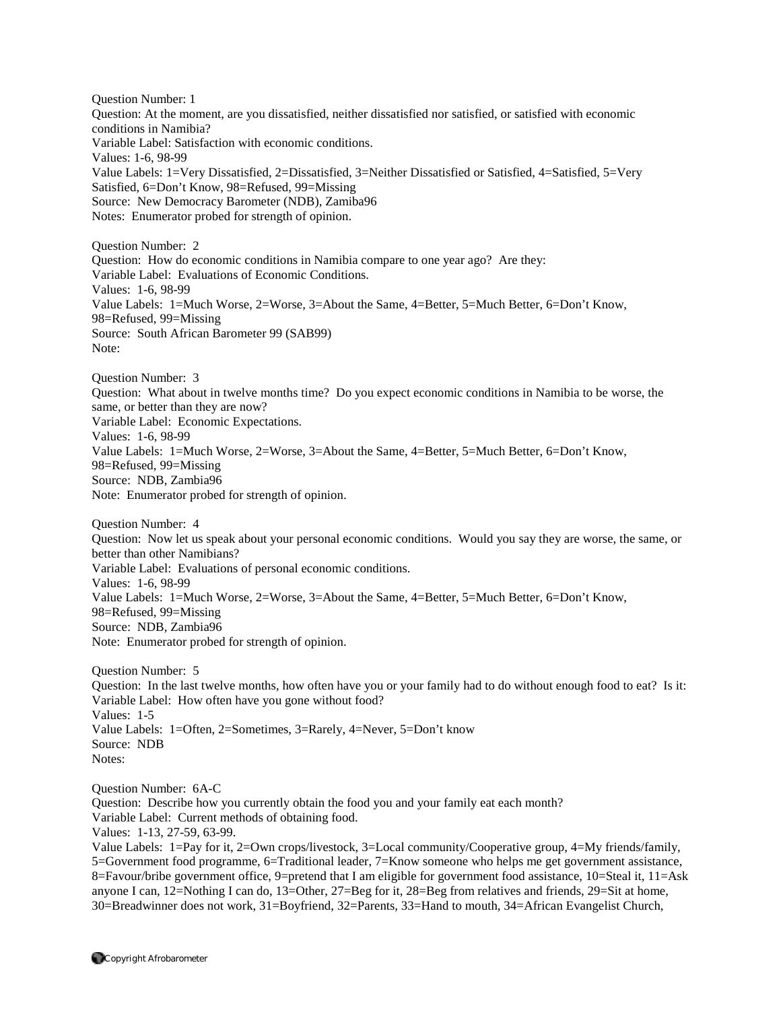Question Number: 1 Question: At the moment, are you dissatisfied, neither dissatisfied nor satisfied, or satisfied with economic conditions in Namibia? Variable Label: Satisfaction with economic conditions. Values: 1-6, 98-99 Value Labels: 1=Very Dissatisfied, 2=Dissatisfied, 3=Neither Dissatisfied or Satisfied, 4=Satisfied, 5=Very Satisfied, 6=Don't Know, 98=Refused, 99=Missing Source: New Democracy Barometer (NDB), Zamiba96 Notes: Enumerator probed for strength of opinion.

Question Number: 2 Question: How do economic conditions in Namibia compare to one year ago? Are they: Variable Label: Evaluations of Economic Conditions. Values: 1-6, 98-99 Value Labels: 1=Much Worse, 2=Worse, 3=About the Same, 4=Better, 5=Much Better, 6=Don't Know, 98=Refused, 99=Missing Source: South African Barometer 99 (SAB99) Note:

Question Number: 3 Question: What about in twelve months time? Do you expect economic conditions in Namibia to be worse, the same, or better than they are now? Variable Label: Economic Expectations. Values: 1-6, 98-99 Value Labels: 1=Much Worse, 2=Worse, 3=About the Same, 4=Better, 5=Much Better, 6=Don't Know, 98=Refused, 99=Missing Source: NDB, Zambia96 Note: Enumerator probed for strength of opinion.

Question Number: 4 Question: Now let us speak about your personal economic conditions. Would you say they are worse, the same, or better than other Namibians? Variable Label: Evaluations of personal economic conditions. Values: 1-6, 98-99 Value Labels: 1=Much Worse, 2=Worse, 3=About the Same, 4=Better, 5=Much Better, 6=Don't Know, 98=Refused, 99=Missing Source: NDB, Zambia96 Note: Enumerator probed for strength of opinion.

Question Number: 5 Question: In the last twelve months, how often have you or your family had to do without enough food to eat? Is it: Variable Label: How often have you gone without food? Values: 1-5 Value Labels: 1=Often, 2=Sometimes, 3=Rarely, 4=Never, 5=Don't know Source: NDB Notes:

Question Number: 6A-C Question: Describe how you currently obtain the food you and your family eat each month? Variable Label: Current methods of obtaining food. Values: 1-13, 27-59, 63-99. Value Labels: 1=Pay for it, 2=Own crops/livestock, 3=Local community/Cooperative group, 4=My friends/family, 5=Government food programme, 6=Traditional leader, 7=Know someone who helps me get government assistance, 8=Favour/bribe government office, 9=pretend that I am eligible for government food assistance, 10=Steal it, 11=Ask

anyone I can, 12=Nothing I can do, 13=Other, 27=Beg for it, 28=Beg from relatives and friends, 29=Sit at home, 30=Breadwinner does not work, 31=Boyfriend, 32=Parents, 33=Hand to mouth, 34=African Evangelist Church,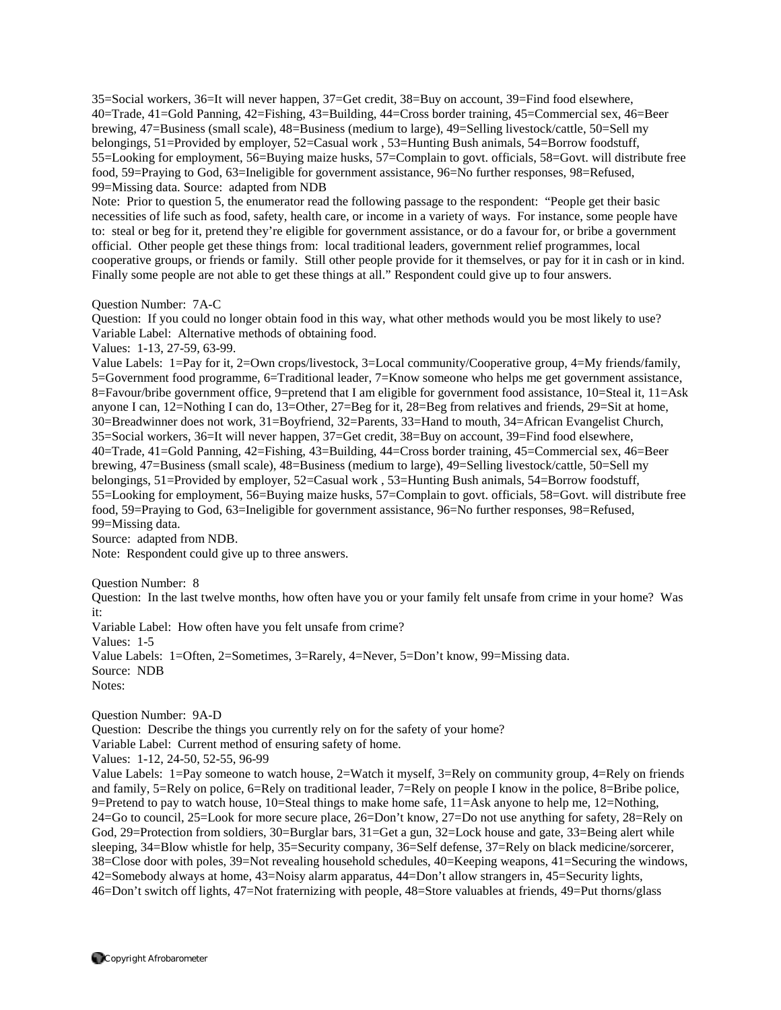35=Social workers, 36=It will never happen, 37=Get credit, 38=Buy on account, 39=Find food elsewhere, 40=Trade, 41=Gold Panning, 42=Fishing, 43=Building, 44=Cross border training, 45=Commercial sex, 46=Beer brewing, 47=Business (small scale), 48=Business (medium to large), 49=Selling livestock/cattle, 50=Sell my belongings, 51=Provided by employer, 52=Casual work , 53=Hunting Bush animals, 54=Borrow foodstuff, 55=Looking for employment, 56=Buying maize husks, 57=Complain to govt. officials, 58=Govt. will distribute free food, 59=Praying to God, 63=Ineligible for government assistance, 96=No further responses, 98=Refused, 99=Missing data. Source: adapted from NDB

Note: Prior to question 5, the enumerator read the following passage to the respondent: "People get their basic necessities of life such as food, safety, health care, or income in a variety of ways. For instance, some people have to: steal or beg for it, pretend they're eligible for government assistance, or do a favour for, or bribe a government official. Other people get these things from: local traditional leaders, government relief programmes, local cooperative groups, or friends or family. Still other people provide for it themselves, or pay for it in cash or in kind. Finally some people are not able to get these things at all." Respondent could give up to four answers.

Question Number: 7A-C

Question: If you could no longer obtain food in this way, what other methods would you be most likely to use? Variable Label: Alternative methods of obtaining food.

Values: 1-13, 27-59, 63-99.

Value Labels: 1=Pay for it, 2=Own crops/livestock, 3=Local community/Cooperative group, 4=My friends/family, 5=Government food programme, 6=Traditional leader, 7=Know someone who helps me get government assistance, 8=Favour/bribe government office, 9=pretend that I am eligible for government food assistance, 10=Steal it, 11=Ask anyone I can, 12=Nothing I can do, 13=Other, 27=Beg for it, 28=Beg from relatives and friends, 29=Sit at home, 30=Breadwinner does not work, 31=Boyfriend, 32=Parents, 33=Hand to mouth, 34=African Evangelist Church, 35=Social workers, 36=It will never happen, 37=Get credit, 38=Buy on account, 39=Find food elsewhere, 40=Trade, 41=Gold Panning, 42=Fishing, 43=Building, 44=Cross border training, 45=Commercial sex, 46=Beer brewing, 47=Business (small scale), 48=Business (medium to large), 49=Selling livestock/cattle, 50=Sell my belongings, 51=Provided by employer, 52=Casual work , 53=Hunting Bush animals, 54=Borrow foodstuff, 55=Looking for employment, 56=Buying maize husks, 57=Complain to govt. officials, 58=Govt. will distribute free food, 59=Praying to God, 63=Ineligible for government assistance, 96=No further responses, 98=Refused, 99=Missing data.

Source: adapted from NDB.

Note: Respondent could give up to three answers.

Question Number: 8

Question: In the last twelve months, how often have you or your family felt unsafe from crime in your home? Was it:

Variable Label: How often have you felt unsafe from crime?

Values: 1-5

Value Labels: 1=Often, 2=Sometimes, 3=Rarely, 4=Never, 5=Don't know, 99=Missing data. Source: NDB Notes:

Question Number: 9A-D

Question: Describe the things you currently rely on for the safety of your home?

Variable Label: Current method of ensuring safety of home.

Values: 1-12, 24-50, 52-55, 96-99

Value Labels: 1=Pay someone to watch house, 2=Watch it myself, 3=Rely on community group, 4=Rely on friends and family, 5=Rely on police, 6=Rely on traditional leader, 7=Rely on people I know in the police, 8=Bribe police, 9=Pretend to pay to watch house, 10=Steal things to make home safe, 11=Ask anyone to help me, 12=Nothing, 24=Go to council, 25=Look for more secure place, 26=Don't know, 27=Do not use anything for safety, 28=Rely on God, 29=Protection from soldiers, 30=Burglar bars, 31=Get a gun, 32=Lock house and gate, 33=Being alert while sleeping, 34=Blow whistle for help, 35=Security company, 36=Self defense, 37=Rely on black medicine/sorcerer, 38=Close door with poles, 39=Not revealing household schedules, 40=Keeping weapons, 41=Securing the windows, 42=Somebody always at home, 43=Noisy alarm apparatus, 44=Don't allow strangers in, 45=Security lights, 46=Don't switch off lights, 47=Not fraternizing with people, 48=Store valuables at friends, 49=Put thorns/glass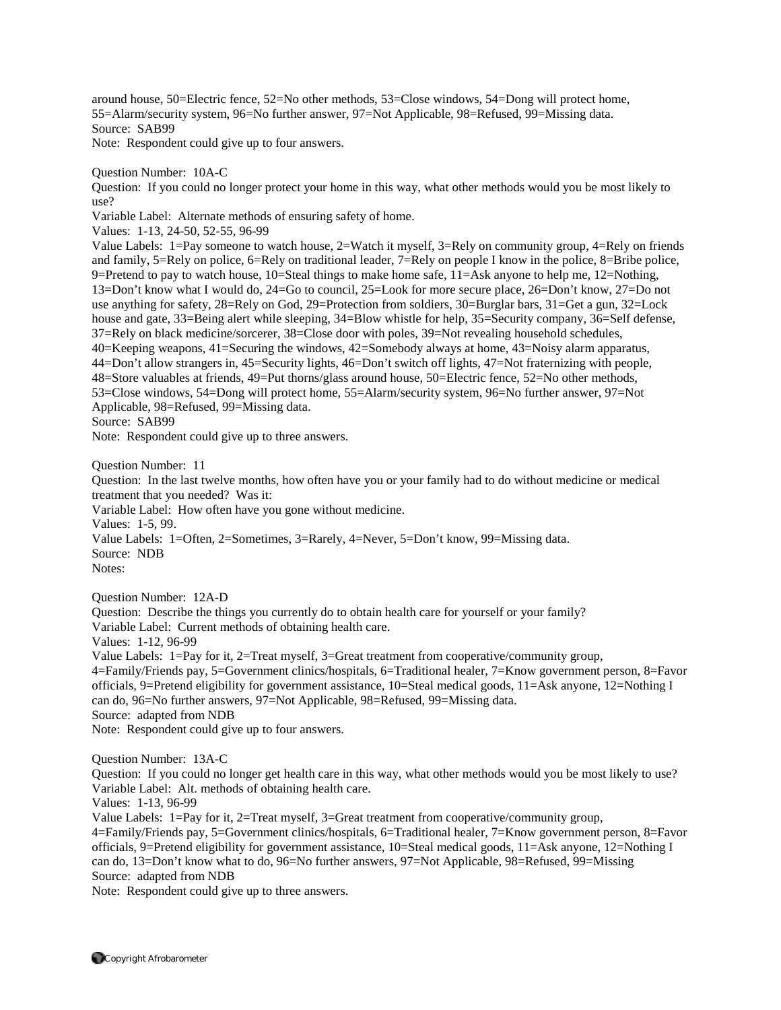around house, 50=Electric fence, 52=No other methods, 53=Close windows, 54=Dong will protect home, 55=Alarm/security system, 96=No further answer, 97=Not Applicable, 98=Refused, 99=Missing data. Source: SAB99 Note: Respondent could give up to four answers.

Question Number: 10A-C

Question: If you could no longer protect your home in this way, what other methods would you be most likely to use?

Variable Label: Alternate methods of ensuring safety of home.

Values: 1-13, 24-50, 52-55, 96-99

Value Labels: 1=Pay someone to watch house, 2=Watch it myself, 3=Rely on community group, 4=Rely on friends and family, 5=Rely on police, 6=Rely on traditional leader, 7=Rely on people I know in the police, 8=Bribe police, 9=Pretend to pay to watch house, 10=Steal things to make home safe, 11=Ask anyone to help me, 12=Nothing, 13=Don't know what I would do, 24=Go to council, 25=Look for more secure place, 26=Don't know, 27=Do not use anything for safety, 28=Rely on God, 29=Protection from soldiers, 30=Burglar bars, 31=Get a gun, 32=Lock house and gate, 33=Being alert while sleeping, 34=Blow whistle for help, 35=Security company, 36=Self defense, 37=Rely on black medicine/sorcerer, 38=Close door with poles, 39=Not revealing household schedules, 40=Keeping weapons, 41=Securing the windows, 42=Somebody always at home, 43=Noisy alarm apparatus, 44=Don't allow strangers in, 45=Security lights, 46=Don't switch off lights, 47=Not fraternizing with people, 48=Store valuables at friends, 49=Put thorns/glass around house, 50=Electric fence, 52=No other methods, 53=Close windows, 54=Dong will protect home, 55=Alarm/security system, 96=No further answer, 97=Not Applicable, 98=Refused, 99=Missing data.

Source: SAB99

Note: Respondent could give up to three answers.

Question Number: 11

Question: In the last twelve months, how often have you or your family had to do without medicine or medical treatment that you needed? Was it:

Variable Label: How often have you gone without medicine.

Values: 1-5, 99.

Value Labels: 1=Often, 2=Sometimes, 3=Rarely, 4=Never, 5=Don't know, 99=Missing data. Source: NDB

Notes:

Question Number: 12A-D

Question: Describe the things you currently do to obtain health care for yourself or your family? Variable Label: Current methods of obtaining health care.

Values: 1-12, 96-99

Value Labels: 1=Pay for it, 2=Treat myself, 3=Great treatment from cooperative/community group, 4=Family/Friends pay, 5=Government clinics/hospitals, 6=Traditional healer, 7=Know government person, 8=Favor officials, 9=Pretend eligibility for government assistance, 10=Steal medical goods, 11=Ask anyone, 12=Nothing I can do, 96=No further answers, 97=Not Applicable, 98=Refused, 99=Missing data. Source: adapted from NDB

Note: Respondent could give up to four answers.

Question Number: 13A-C

Question: If you could no longer get health care in this way, what other methods would you be most likely to use? Variable Label: Alt. methods of obtaining health care.

Values: 1-13, 96-99

Value Labels: 1=Pay for it, 2=Treat myself, 3=Great treatment from cooperative/community group, 4=Family/Friends pay, 5=Government clinics/hospitals, 6=Traditional healer, 7=Know government person, 8=Favor officials, 9=Pretend eligibility for government assistance, 10=Steal medical goods, 11=Ask anyone, 12=Nothing I can do, 13=Don't know what to do, 96=No further answers, 97=Not Applicable, 98=Refused, 99=Missing Source: adapted from NDB

Note: Respondent could give up to three answers.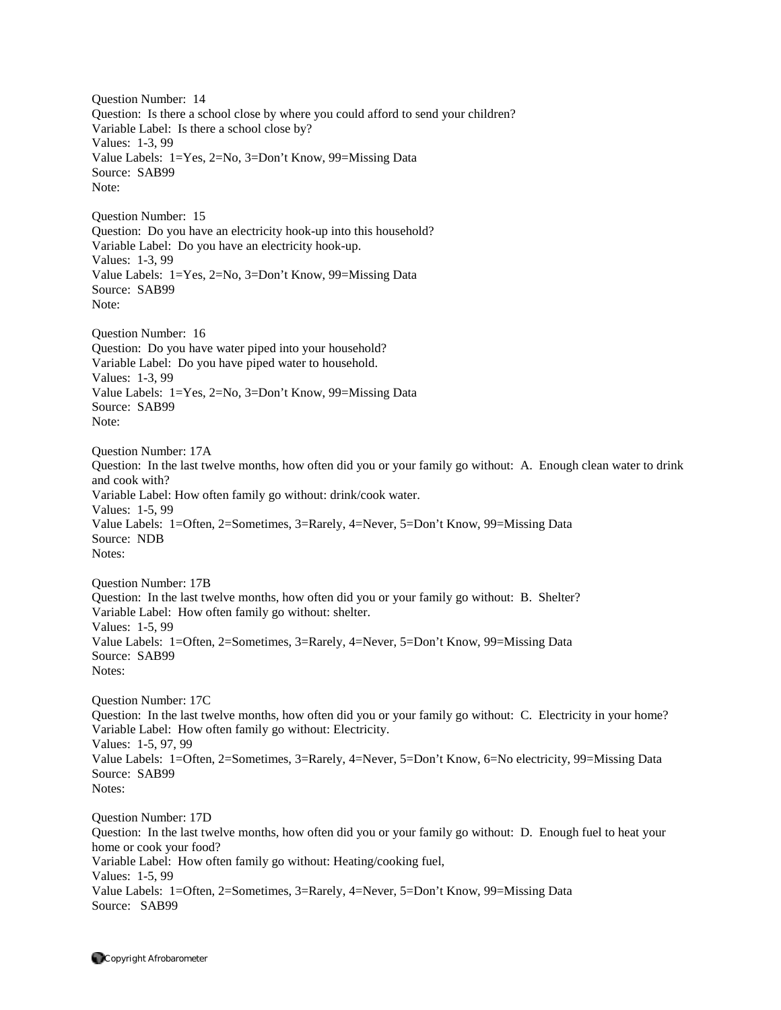Question Number: 14 Question: Is there a school close by where you could afford to send your children? Variable Label: Is there a school close by? Values: 1-3, 99 Value Labels: 1=Yes, 2=No, 3=Don't Know, 99=Missing Data Source: SAB99 Note: Question Number: 15 Question: Do you have an electricity hook-up into this household? Variable Label: Do you have an electricity hook-up. Values: 1-3, 99 Value Labels: 1=Yes, 2=No, 3=Don't Know, 99=Missing Data Source: SAB99 Note: Question Number: 16 Question: Do you have water piped into your household? Variable Label: Do you have piped water to household. Values: 1-3, 99 Value Labels: 1=Yes, 2=No, 3=Don't Know, 99=Missing Data Source: SAB99 Note: Question Number: 17A Question: In the last twelve months, how often did you or your family go without: A. Enough clean water to drink and cook with? Variable Label: How often family go without: drink/cook water. Values: 1-5, 99 Value Labels: 1=Often, 2=Sometimes, 3=Rarely, 4=Never, 5=Don't Know, 99=Missing Data Source: NDB Notes: Question Number: 17B Question: In the last twelve months, how often did you or your family go without: B. Shelter? Variable Label: How often family go without: shelter. Values: 1-5, 99 Value Labels: 1=Often, 2=Sometimes, 3=Rarely, 4=Never, 5=Don't Know, 99=Missing Data Source: SAB99 Notes: Question Number: 17C Question: In the last twelve months, how often did you or your family go without: C. Electricity in your home? Variable Label: How often family go without: Electricity. Values: 1-5, 97, 99 Value Labels: 1=Often, 2=Sometimes, 3=Rarely, 4=Never, 5=Don't Know, 6=No electricity, 99=Missing Data Source: SAB99 Notes: Question Number: 17D Question: In the last twelve months, how often did you or your family go without: D. Enough fuel to heat your home or cook your food? Variable Label: How often family go without: Heating/cooking fuel, Values: 1-5, 99 Value Labels: 1=Often, 2=Sometimes, 3=Rarely, 4=Never, 5=Don't Know, 99=Missing Data

Source: SAB99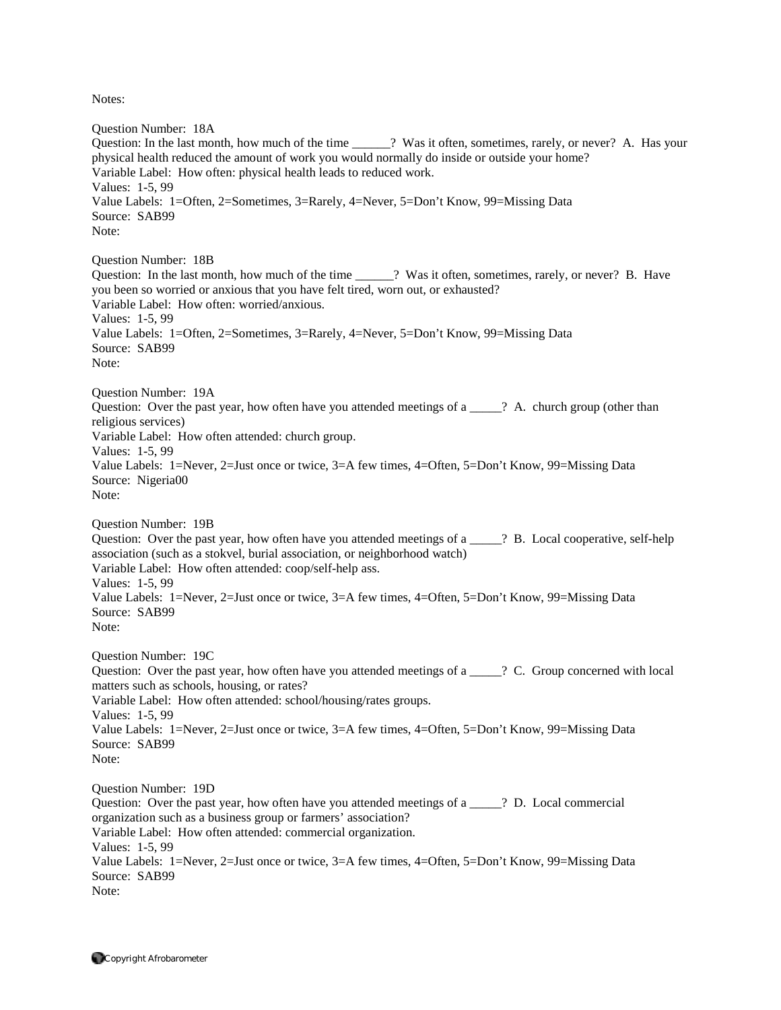Question Number: 18A Question: In the last month, how much of the time \_\_\_\_\_\_? Was it often, sometimes, rarely, or never? A. Has your physical health reduced the amount of work you would normally do inside or outside your home? Variable Label: How often: physical health leads to reduced work. Values: 1-5, 99 Value Labels: 1=Often, 2=Sometimes, 3=Rarely, 4=Never, 5=Don't Know, 99=Missing Data Source: SAB99 Note: Question Number: 18B Question: In the last month, how much of the time  $\cdots$ ? Was it often, sometimes, rarely, or never? B. Have you been so worried or anxious that you have felt tired, worn out, or exhausted? Variable Label: How often: worried/anxious. Values: 1-5, 99 Value Labels: 1=Often, 2=Sometimes, 3=Rarely, 4=Never, 5=Don't Know, 99=Missing Data Source: SAB99 Note: Question Number: 19A Question: Over the past year, how often have you attended meetings of a \_\_\_\_\_? A. church group (other than religious services) Variable Label: How often attended: church group. Values: 1-5, 99 Value Labels: 1=Never, 2=Just once or twice, 3=A few times, 4=Often, 5=Don't Know, 99=Missing Data Source: Nigeria00 Note: Question Number: 19B Question: Over the past year, how often have you attended meetings of a \_\_\_\_\_? B. Local cooperative, self-help association (such as a stokvel, burial association, or neighborhood watch) Variable Label: How often attended: coop/self-help ass. Values: 1-5, 99 Value Labels: 1=Never, 2=Just once or twice, 3=A few times, 4=Often, 5=Don't Know, 99=Missing Data Source: SAB99 Note: Question Number: 19C Question: Over the past year, how often have you attended meetings of a \_\_\_\_\_? C. Group concerned with local matters such as schools, housing, or rates? Variable Label: How often attended: school/housing/rates groups. Values: 1-5, 99 Value Labels: 1=Never, 2=Just once or twice, 3=A few times, 4=Often, 5=Don't Know, 99=Missing Data Source: SAB99 Note: Question Number: 19D Question: Over the past year, how often have you attended meetings of a  $\overline{a}$  P. Local commercial organization such as a business group or farmers' association? Variable Label: How often attended: commercial organization. Values: 1-5, 99 Value Labels: 1=Never, 2=Just once or twice, 3=A few times, 4=Often, 5=Don't Know, 99=Missing Data Source: SAB99 Note: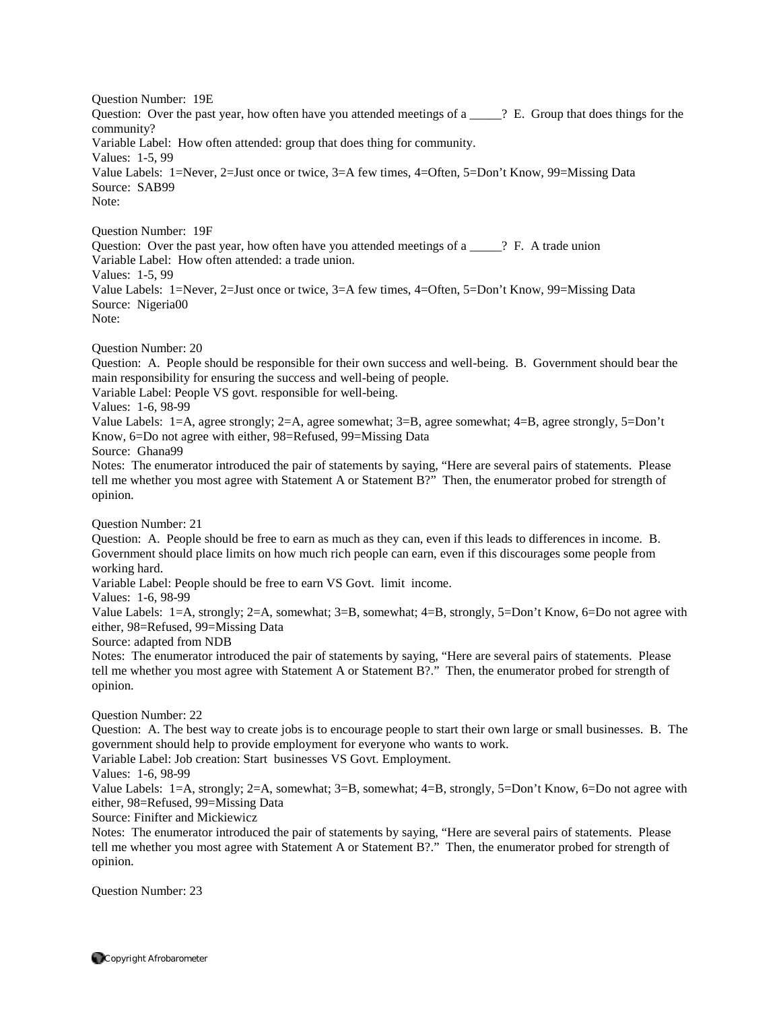Question Number: 19E Question: Over the past year, how often have you attended meetings of a  $\frac{1}{2}$ . Group that does things for the community? Variable Label: How often attended: group that does thing for community. Values: 1-5, 99 Value Labels: 1=Never, 2=Just once or twice, 3=A few times, 4=Often, 5=Don't Know, 99=Missing Data Source: SAB99 Note:

Question Number: 19F Question: Over the past year, how often have you attended meetings of a \_\_\_\_\_? F. A trade union Variable Label: How often attended: a trade union. Values: 1-5, 99 Value Labels: 1=Never, 2=Just once or twice, 3=A few times, 4=Often, 5=Don't Know, 99=Missing Data Source: Nigeria00 Note:

Question Number: 20

Question: A. People should be responsible for their own success and well-being. B. Government should bear the main responsibility for ensuring the success and well-being of people.

Variable Label: People VS govt. responsible for well-being.

Values: 1-6, 98-99

Value Labels: 1=A, agree strongly; 2=A, agree somewhat; 3=B, agree somewhat; 4=B, agree strongly, 5=Don't Know, 6=Do not agree with either, 98=Refused, 99=Missing Data

Source: Ghana99

Notes: The enumerator introduced the pair of statements by saying, "Here are several pairs of statements. Please tell me whether you most agree with Statement A or Statement B?" Then, the enumerator probed for strength of opinion.

Question Number: 21

Question: A. People should be free to earn as much as they can, even if this leads to differences in income. B. Government should place limits on how much rich people can earn, even if this discourages some people from working hard.

Variable Label: People should be free to earn VS Govt. limit income.

Values: 1-6, 98-99

Value Labels: 1=A, strongly; 2=A, somewhat; 3=B, somewhat; 4=B, strongly, 5=Don't Know, 6=Do not agree with either, 98=Refused, 99=Missing Data

Source: adapted from NDB

Notes: The enumerator introduced the pair of statements by saying, "Here are several pairs of statements. Please tell me whether you most agree with Statement A or Statement B?." Then, the enumerator probed for strength of opinion.

Question Number: 22

Question: A. The best way to create jobs is to encourage people to start their own large or small businesses. B. The government should help to provide employment for everyone who wants to work.

Variable Label: Job creation: Start businesses VS Govt. Employment.

Values: 1-6, 98-99

Value Labels: 1=A, strongly; 2=A, somewhat; 3=B, somewhat; 4=B, strongly, 5=Don't Know, 6=Do not agree with either, 98=Refused, 99=Missing Data

Source: Finifter and Mickiewicz

Notes: The enumerator introduced the pair of statements by saying, "Here are several pairs of statements. Please tell me whether you most agree with Statement A or Statement B?." Then, the enumerator probed for strength of opinion.

Question Number: 23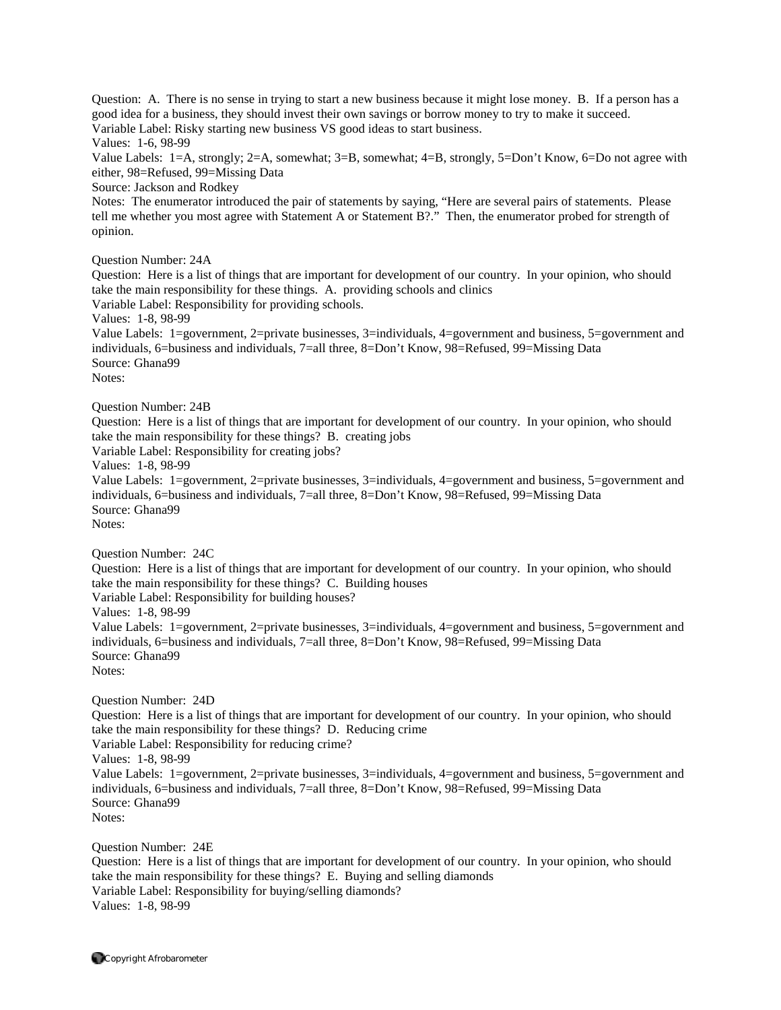Question: A. There is no sense in trying to start a new business because it might lose money. B. If a person has a good idea for a business, they should invest their own savings or borrow money to try to make it succeed.

Variable Label: Risky starting new business VS good ideas to start business.

Values: 1-6, 98-99

Value Labels: 1=A, strongly; 2=A, somewhat; 3=B, somewhat; 4=B, strongly, 5=Don't Know, 6=Do not agree with either, 98=Refused, 99=Missing Data

Source: Jackson and Rodkey

Notes: The enumerator introduced the pair of statements by saying, "Here are several pairs of statements. Please tell me whether you most agree with Statement A or Statement B?." Then, the enumerator probed for strength of opinion.

Question Number: 24A

Question: Here is a list of things that are important for development of our country. In your opinion, who should take the main responsibility for these things. A. providing schools and clinics

Variable Label: Responsibility for providing schools.

Values: 1-8, 98-99

Value Labels: 1=government, 2=private businesses, 3=individuals, 4=government and business, 5=government and individuals, 6=business and individuals, 7=all three, 8=Don't Know, 98=Refused, 99=Missing Data Source: Ghana99

Notes:

Question Number: 24B

Question: Here is a list of things that are important for development of our country. In your opinion, who should take the main responsibility for these things? B. creating jobs

Variable Label: Responsibility for creating jobs?

Values: 1-8, 98-99

Value Labels: 1=government, 2=private businesses, 3=individuals, 4=government and business, 5=government and individuals, 6=business and individuals, 7=all three, 8=Don't Know, 98=Refused, 99=Missing Data Source: Ghana99 Notes:

Question Number: 24C

Question: Here is a list of things that are important for development of our country. In your opinion, who should take the main responsibility for these things? C. Building houses

Variable Label: Responsibility for building houses?

Values: 1-8, 98-99

Value Labels: 1=government, 2=private businesses, 3=individuals, 4=government and business, 5=government and individuals, 6=business and individuals, 7=all three, 8=Don't Know, 98=Refused, 99=Missing Data Source: Ghana99 Notes:

Question Number: 24D

Question: Here is a list of things that are important for development of our country. In your opinion, who should take the main responsibility for these things? D. Reducing crime

Variable Label: Responsibility for reducing crime?

Values: 1-8, 98-99

Value Labels: 1=government, 2=private businesses, 3=individuals, 4=government and business, 5=government and individuals, 6=business and individuals, 7=all three, 8=Don't Know, 98=Refused, 99=Missing Data Source: Ghana99 Notes:

Question Number: 24E

Question: Here is a list of things that are important for development of our country. In your opinion, who should take the main responsibility for these things? E. Buying and selling diamonds Variable Label: Responsibility for buying/selling diamonds? Values: 1-8, 98-99

Copyright Afrobarometer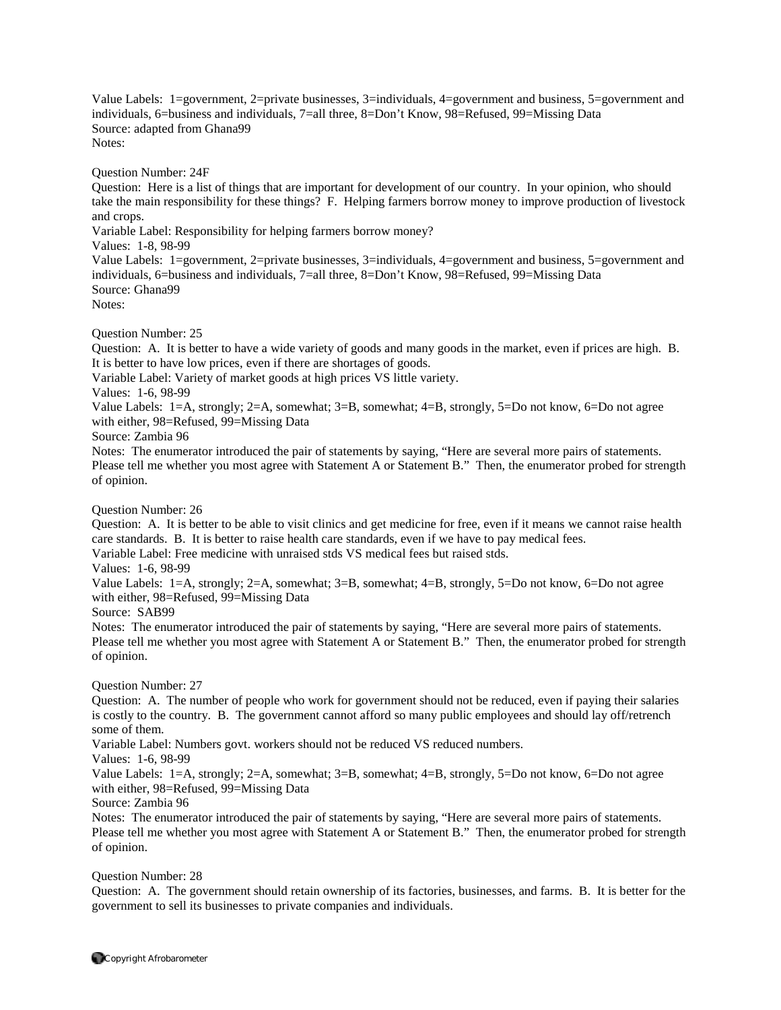Value Labels: 1=government, 2=private businesses, 3=individuals, 4=government and business, 5=government and individuals, 6=business and individuals, 7=all three, 8=Don't Know, 98=Refused, 99=Missing Data Source: adapted from Ghana99 Notes:

Question Number: 24F

Question: Here is a list of things that are important for development of our country. In your opinion, who should take the main responsibility for these things? F. Helping farmers borrow money to improve production of livestock and crops.

Variable Label: Responsibility for helping farmers borrow money?

Values: 1-8, 98-99

Value Labels: 1=government, 2=private businesses, 3=individuals, 4=government and business, 5=government and individuals, 6=business and individuals, 7=all three, 8=Don't Know, 98=Refused, 99=Missing Data Source: Ghana99 Notes:

Question Number: 25

Question: A. It is better to have a wide variety of goods and many goods in the market, even if prices are high. B. It is better to have low prices, even if there are shortages of goods.

Variable Label: Variety of market goods at high prices VS little variety.

Values: 1-6, 98-99

Value Labels: 1=A, strongly; 2=A, somewhat; 3=B, somewhat; 4=B, strongly, 5=Do not know, 6=Do not agree with either, 98=Refused, 99=Missing Data

Source: Zambia 96

Notes: The enumerator introduced the pair of statements by saying, "Here are several more pairs of statements. Please tell me whether you most agree with Statement A or Statement B." Then, the enumerator probed for strength of opinion.

Question Number: 26

Question: A. It is better to be able to visit clinics and get medicine for free, even if it means we cannot raise health care standards. B. It is better to raise health care standards, even if we have to pay medical fees.

Variable Label: Free medicine with unraised stds VS medical fees but raised stds.

Values: 1-6, 98-99

Value Labels: 1=A, strongly; 2=A, somewhat; 3=B, somewhat; 4=B, strongly, 5=Do not know, 6=Do not agree with either, 98=Refused, 99=Missing Data

Source: SAB99

Notes: The enumerator introduced the pair of statements by saying, "Here are several more pairs of statements. Please tell me whether you most agree with Statement A or Statement B." Then, the enumerator probed for strength of opinion.

Question Number: 27

Question: A. The number of people who work for government should not be reduced, even if paying their salaries is costly to the country. B. The government cannot afford so many public employees and should lay off/retrench some of them.

Variable Label: Numbers govt. workers should not be reduced VS reduced numbers.

Values: 1-6, 98-99

Value Labels: 1=A, strongly; 2=A, somewhat; 3=B, somewhat; 4=B, strongly, 5=Do not know, 6=Do not agree with either, 98=Refused, 99=Missing Data

Source: Zambia 96

Notes: The enumerator introduced the pair of statements by saying, "Here are several more pairs of statements. Please tell me whether you most agree with Statement A or Statement B." Then, the enumerator probed for strength of opinion.

Question Number: 28

Question: A. The government should retain ownership of its factories, businesses, and farms. B. It is better for the government to sell its businesses to private companies and individuals.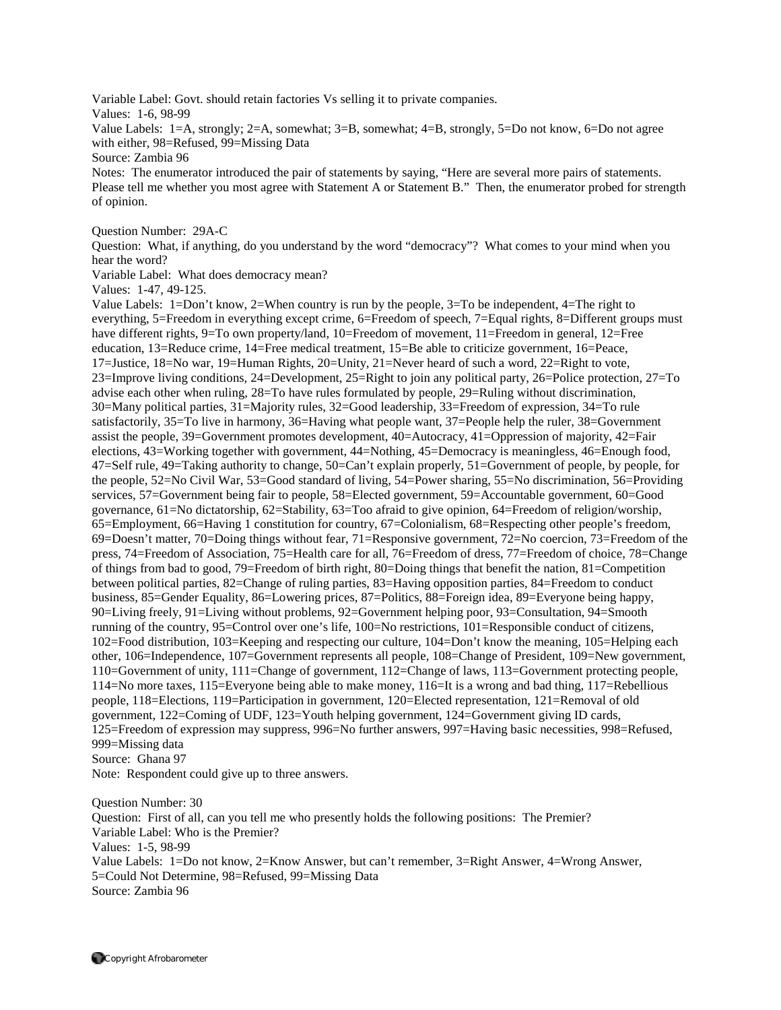Variable Label: Govt. should retain factories Vs selling it to private companies.

Values: 1-6, 98-99

Value Labels: 1=A, strongly; 2=A, somewhat; 3=B, somewhat; 4=B, strongly, 5=Do not know, 6=Do not agree with either, 98=Refused, 99=Missing Data

Source: Zambia 96

Notes: The enumerator introduced the pair of statements by saying, "Here are several more pairs of statements. Please tell me whether you most agree with Statement A or Statement B." Then, the enumerator probed for strength of opinion.

Question Number: 29A-C

Question: What, if anything, do you understand by the word "democracy"? What comes to your mind when you hear the word?

Variable Label: What does democracy mean?

Values: 1-47, 49-125.

Value Labels: 1=Don't know, 2=When country is run by the people, 3=To be independent, 4=The right to everything, 5=Freedom in everything except crime, 6=Freedom of speech, 7=Equal rights, 8=Different groups must have different rights, 9=To own property/land, 10=Freedom of movement, 11=Freedom in general, 12=Free education, 13=Reduce crime, 14=Free medical treatment, 15=Be able to criticize government, 16=Peace, 17=Justice, 18=No war, 19=Human Rights, 20=Unity, 21=Never heard of such a word, 22=Right to vote, 23=Improve living conditions, 24=Development, 25=Right to join any political party, 26=Police protection, 27=To advise each other when ruling, 28=To have rules formulated by people, 29=Ruling without discrimination, 30=Many political parties, 31=Majority rules, 32=Good leadership, 33=Freedom of expression, 34=To rule satisfactorily, 35=To live in harmony, 36=Having what people want, 37=People help the ruler, 38=Government assist the people, 39=Government promotes development, 40=Autocracy, 41=Oppression of majority, 42=Fair elections, 43=Working together with government, 44=Nothing, 45=Democracy is meaningless, 46=Enough food, 47=Self rule, 49=Taking authority to change, 50=Can't explain properly, 51=Government of people, by people, for the people, 52=No Civil War, 53=Good standard of living, 54=Power sharing, 55=No discrimination, 56=Providing services, 57=Government being fair to people, 58=Elected government, 59=Accountable government, 60=Good governance, 61=No dictatorship, 62=Stability, 63=Too afraid to give opinion, 64=Freedom of religion/worship, 65=Employment, 66=Having 1 constitution for country, 67=Colonialism, 68=Respecting other people's freedom, 69=Doesn't matter, 70=Doing things without fear, 71=Responsive government, 72=No coercion, 73=Freedom of the press, 74=Freedom of Association, 75=Health care for all, 76=Freedom of dress, 77=Freedom of choice, 78=Change of things from bad to good, 79=Freedom of birth right, 80=Doing things that benefit the nation, 81=Competition between political parties, 82=Change of ruling parties, 83=Having opposition parties, 84=Freedom to conduct business, 85=Gender Equality, 86=Lowering prices, 87=Politics, 88=Foreign idea, 89=Everyone being happy, 90=Living freely, 91=Living without problems, 92=Government helping poor, 93=Consultation, 94=Smooth running of the country, 95=Control over one's life, 100=No restrictions, 101=Responsible conduct of citizens, 102=Food distribution, 103=Keeping and respecting our culture, 104=Don't know the meaning, 105=Helping each other, 106=Independence, 107=Government represents all people, 108=Change of President, 109=New government, 110=Government of unity, 111=Change of government, 112=Change of laws, 113=Government protecting people, 114=No more taxes, 115=Everyone being able to make money, 116=It is a wrong and bad thing, 117=Rebellious people, 118=Elections, 119=Participation in government, 120=Elected representation, 121=Removal of old government, 122=Coming of UDF, 123=Youth helping government, 124=Government giving ID cards, 125=Freedom of expression may suppress, 996=No further answers, 997=Having basic necessities, 998=Refused, 999=Missing data

Source: Ghana 97

Note: Respondent could give up to three answers.

Question Number: 30 Question: First of all, can you tell me who presently holds the following positions: The Premier? Variable Label: Who is the Premier? Values: 1-5, 98-99 Value Labels: 1=Do not know, 2=Know Answer, but can't remember, 3=Right Answer, 4=Wrong Answer, 5=Could Not Determine, 98=Refused, 99=Missing Data Source: Zambia 96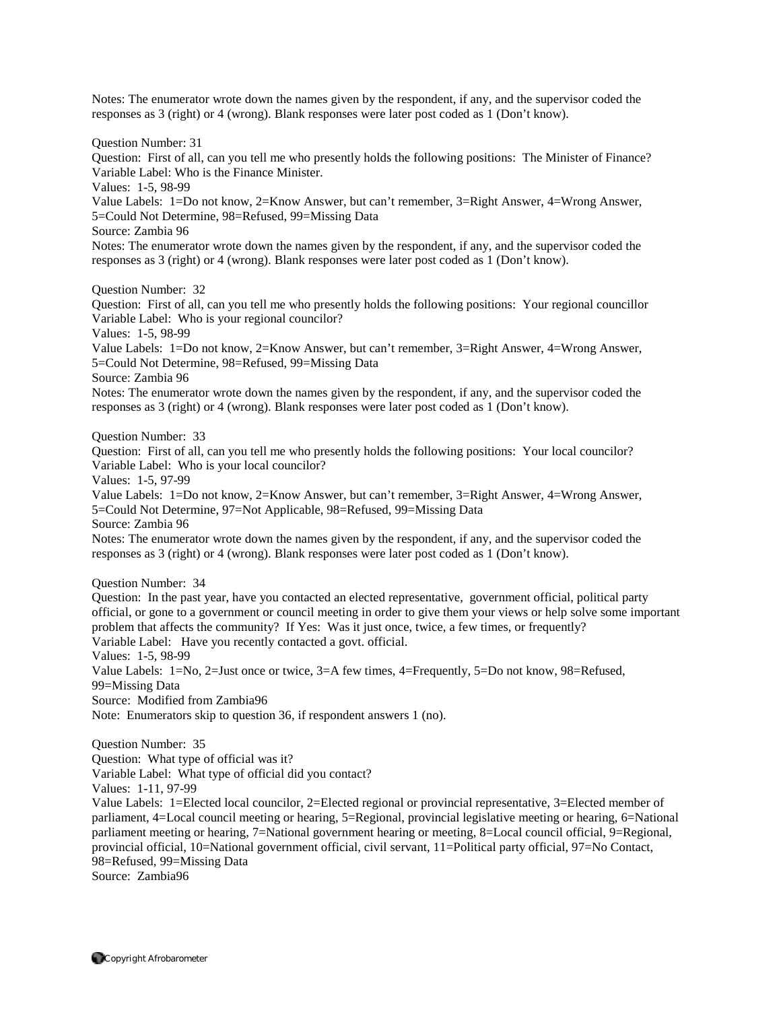Notes: The enumerator wrote down the names given by the respondent, if any, and the supervisor coded the responses as 3 (right) or 4 (wrong). Blank responses were later post coded as 1 (Don't know).

Question Number: 31 Question: First of all, can you tell me who presently holds the following positions: The Minister of Finance? Variable Label: Who is the Finance Minister. Values: 1-5, 98-99 Value Labels: 1=Do not know, 2=Know Answer, but can't remember, 3=Right Answer, 4=Wrong Answer, 5=Could Not Determine, 98=Refused, 99=Missing Data Source: Zambia 96 Notes: The enumerator wrote down the names given by the respondent, if any, and the supervisor coded the responses as 3 (right) or 4 (wrong). Blank responses were later post coded as 1 (Don't know). Question Number: 32 Question: First of all, can you tell me who presently holds the following positions: Your regional councillor Variable Label: Who is your regional councilor? Values: 1-5, 98-99 Value Labels: 1=Do not know, 2=Know Answer, but can't remember, 3=Right Answer, 4=Wrong Answer, 5=Could Not Determine, 98=Refused, 99=Missing Data Source: Zambia 96 Notes: The enumerator wrote down the names given by the respondent, if any, and the supervisor coded the responses as 3 (right) or 4 (wrong). Blank responses were later post coded as 1 (Don't know). Question Number: 33 Question: First of all, can you tell me who presently holds the following positions: Your local councilor? Variable Label: Who is your local councilor? Values: 1-5, 97-99

Value Labels: 1=Do not know, 2=Know Answer, but can't remember, 3=Right Answer, 4=Wrong Answer, 5=Could Not Determine, 97=Not Applicable, 98=Refused, 99=Missing Data Source: Zambia 96

Notes: The enumerator wrote down the names given by the respondent, if any, and the supervisor coded the responses as 3 (right) or 4 (wrong). Blank responses were later post coded as 1 (Don't know).

Question Number: 34

Question: In the past year, have you contacted an elected representative, government official, political party official, or gone to a government or council meeting in order to give them your views or help solve some important problem that affects the community? If Yes: Was it just once, twice, a few times, or frequently? Variable Label: Have you recently contacted a govt. official.

Values: 1-5, 98-99

Value Labels: 1=No, 2=Just once or twice, 3=A few times, 4=Frequently, 5=Do not know, 98=Refused, 99=Missing Data

Source: Modified from Zambia96

Note: Enumerators skip to question 36, if respondent answers 1 (no).

Question Number: 35 Question: What type of official was it? Variable Label: What type of official did you contact?

Values: 1-11, 97-99

Value Labels: 1=Elected local councilor, 2=Elected regional or provincial representative, 3=Elected member of parliament, 4=Local council meeting or hearing, 5=Regional, provincial legislative meeting or hearing, 6=National parliament meeting or hearing, 7=National government hearing or meeting, 8=Local council official, 9=Regional, provincial official, 10=National government official, civil servant, 11=Political party official, 97=No Contact, 98=Refused, 99=Missing Data

Source: Zambia96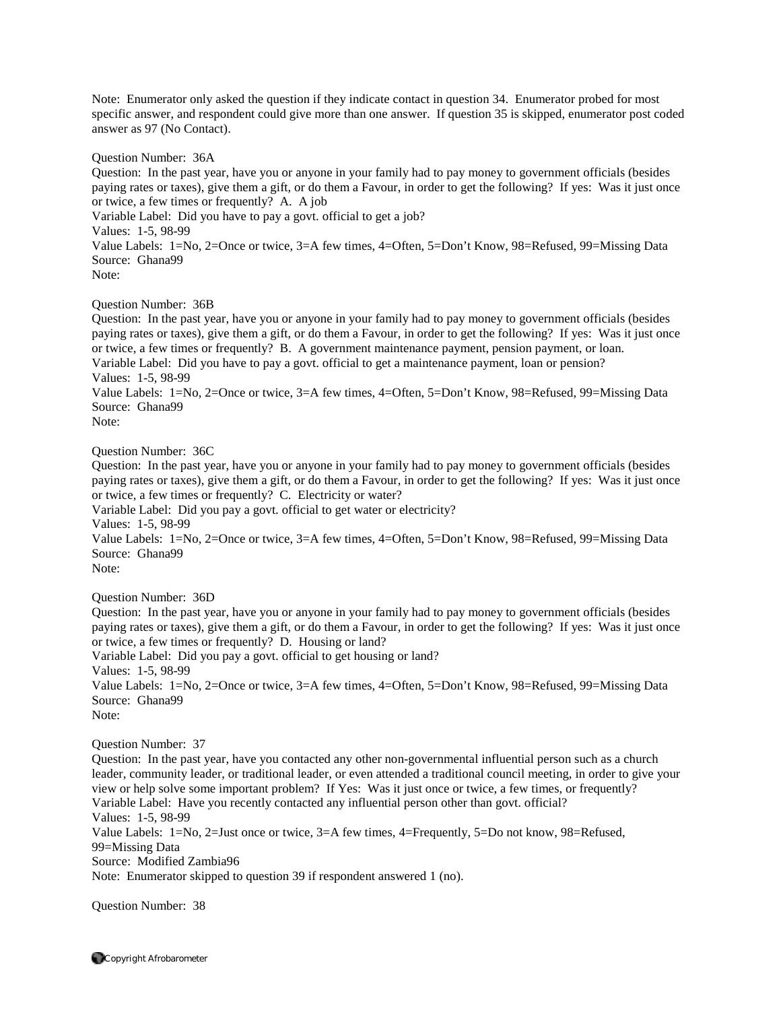Note: Enumerator only asked the question if they indicate contact in question 34. Enumerator probed for most specific answer, and respondent could give more than one answer. If question 35 is skipped, enumerator post coded answer as 97 (No Contact).

Question Number: 36A

Question: In the past year, have you or anyone in your family had to pay money to government officials (besides paying rates or taxes), give them a gift, or do them a Favour, in order to get the following? If yes: Was it just once or twice, a few times or frequently? A. A job

Variable Label: Did you have to pay a govt. official to get a job? Values: 1-5, 98-99 Value Labels: 1=No, 2=Once or twice, 3=A few times, 4=Often, 5=Don't Know, 98=Refused, 99=Missing Data Source: Ghana99 Note:

Question Number: 36B

Question: In the past year, have you or anyone in your family had to pay money to government officials (besides paying rates or taxes), give them a gift, or do them a Favour, in order to get the following? If yes: Was it just once or twice, a few times or frequently? B. A government maintenance payment, pension payment, or loan. Variable Label: Did you have to pay a govt. official to get a maintenance payment, loan or pension? Values: 1-5, 98-99

Value Labels: 1=No, 2=Once or twice, 3=A few times, 4=Often, 5=Don't Know, 98=Refused, 99=Missing Data Source: Ghana99 Note:

Question Number: 36C

Question: In the past year, have you or anyone in your family had to pay money to government officials (besides paying rates or taxes), give them a gift, or do them a Favour, in order to get the following? If yes: Was it just once or twice, a few times or frequently? C. Electricity or water?

Variable Label: Did you pay a govt. official to get water or electricity?

Values: 1-5, 98-99

Value Labels: 1=No, 2=Once or twice, 3=A few times, 4=Often, 5=Don't Know, 98=Refused, 99=Missing Data Source: Ghana99

Note:

Question Number: 36D

Question: In the past year, have you or anyone in your family had to pay money to government officials (besides paying rates or taxes), give them a gift, or do them a Favour, in order to get the following? If yes: Was it just once or twice, a few times or frequently? D. Housing or land?

Variable Label: Did you pay a govt. official to get housing or land? Values: 1-5, 98-99 Value Labels: 1=No, 2=Once or twice, 3=A few times, 4=Often, 5=Don't Know, 98=Refused, 99=Missing Data Source: Ghana99 Note:

Question Number: 37

Question: In the past year, have you contacted any other non-governmental influential person such as a church leader, community leader, or traditional leader, or even attended a traditional council meeting, in order to give your view or help solve some important problem? If Yes: Was it just once or twice, a few times, or frequently? Variable Label: Have you recently contacted any influential person other than govt. official? Values: 1-5, 98-99 Value Labels: 1=No, 2=Just once or twice, 3=A few times, 4=Frequently, 5=Do not know, 98=Refused, 99=Missing Data Source: Modified Zambia96 Note: Enumerator skipped to question 39 if respondent answered 1 (no).

Question Number: 38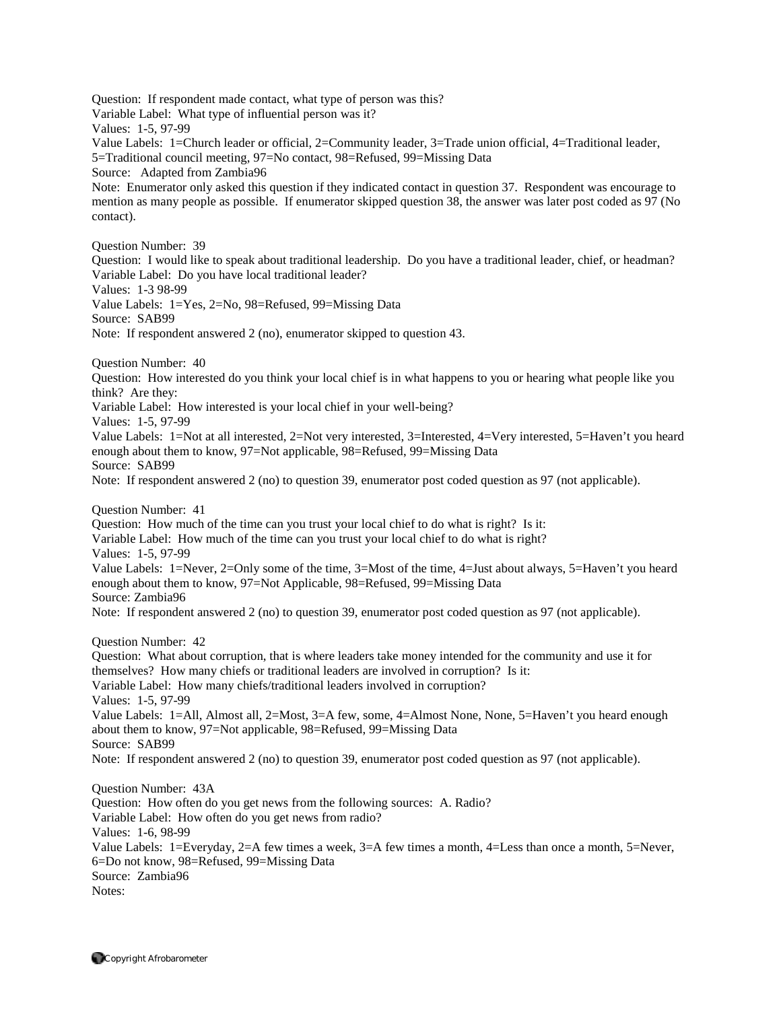Question: If respondent made contact, what type of person was this? Variable Label: What type of influential person was it? Values: 1-5, 97-99 Value Labels: 1=Church leader or official, 2=Community leader, 3=Trade union official, 4=Traditional leader, 5=Traditional council meeting, 97=No contact, 98=Refused, 99=Missing Data Source: Adapted from Zambia96 Note: Enumerator only asked this question if they indicated contact in question 37. Respondent was encourage to mention as many people as possible. If enumerator skipped question 38, the answer was later post coded as 97 (No contact). Question Number: 39 Question: I would like to speak about traditional leadership. Do you have a traditional leader, chief, or headman? Variable Label: Do you have local traditional leader? Values: 1-3 98-99 Value Labels: 1=Yes, 2=No, 98=Refused, 99=Missing Data Source: SAB99 Note: If respondent answered 2 (no), enumerator skipped to question 43. Question Number: 40 Question: How interested do you think your local chief is in what happens to you or hearing what people like you think? Are they: Variable Label: How interested is your local chief in your well-being? Values: 1-5, 97-99 Value Labels: 1=Not at all interested, 2=Not very interested, 3=Interested, 4=Very interested, 5=Haven't you heard enough about them to know, 97=Not applicable, 98=Refused, 99=Missing Data Source: SAB99 Note: If respondent answered 2 (no) to question 39, enumerator post coded question as 97 (not applicable). Question Number: 41 Question: How much of the time can you trust your local chief to do what is right? Is it: Variable Label: How much of the time can you trust your local chief to do what is right? Values: 1-5, 97-99 Value Labels: 1=Never, 2=Only some of the time, 3=Most of the time, 4=Just about always, 5=Haven't you heard enough about them to know, 97=Not Applicable, 98=Refused, 99=Missing Data Source: Zambia96 Note: If respondent answered 2 (no) to question 39, enumerator post coded question as 97 (not applicable). Question Number: 42 Question: What about corruption, that is where leaders take money intended for the community and use it for themselves? How many chiefs or traditional leaders are involved in corruption? Is it: Variable Label: How many chiefs/traditional leaders involved in corruption? Values: 1-5, 97-99 Value Labels: 1=All, Almost all, 2=Most, 3=A few, some, 4=Almost None, None, 5=Haven't you heard enough about them to know, 97=Not applicable, 98=Refused, 99=Missing Data Source: SAB99 Note: If respondent answered 2 (no) to question 39, enumerator post coded question as 97 (not applicable). Question Number: 43A Question: How often do you get news from the following sources: A. Radio? Variable Label: How often do you get news from radio? Values: 1-6, 98-99 Value Labels: 1=Everyday, 2=A few times a week, 3=A few times a month, 4=Less than once a month, 5=Never, 6=Do not know, 98=Refused, 99=Missing Data Source: Zambia96 Notes: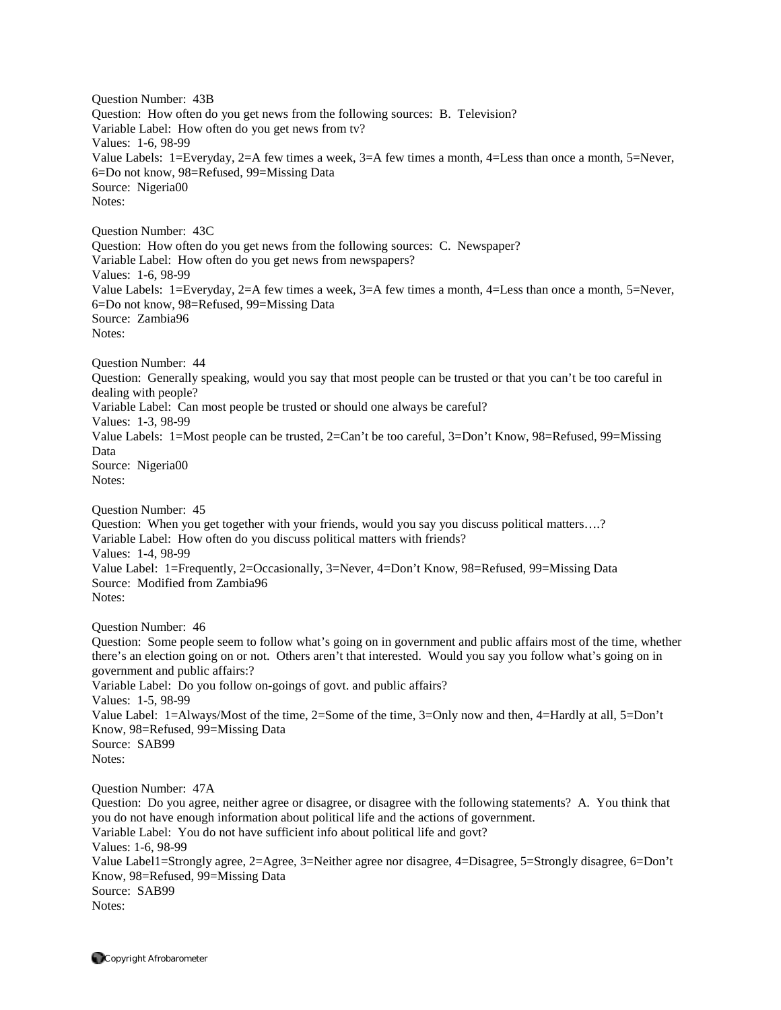Question Number: 43B Question: How often do you get news from the following sources: B. Television? Variable Label: How often do you get news from tv? Values: 1-6, 98-99 Value Labels: 1=Everyday, 2=A few times a week, 3=A few times a month, 4=Less than once a month, 5=Never, 6=Do not know, 98=Refused, 99=Missing Data Source: Nigeria00 Notes: Question Number: 43C Question: How often do you get news from the following sources: C. Newspaper? Variable Label: How often do you get news from newspapers? Values: 1-6, 98-99 Value Labels: 1=Everyday, 2=A few times a week, 3=A few times a month, 4=Less than once a month, 5=Never, 6=Do not know, 98=Refused, 99=Missing Data Source: Zambia96 Notes: Question Number: 44 Question: Generally speaking, would you say that most people can be trusted or that you can't be too careful in dealing with people? Variable Label: Can most people be trusted or should one always be careful? Values: 1-3, 98-99 Value Labels: 1=Most people can be trusted, 2=Can't be too careful, 3=Don't Know, 98=Refused, 99=Missing Data Source: Nigeria00 Notes: Question Number: 45 Question: When you get together with your friends, would you say you discuss political matters….? Variable Label: How often do you discuss political matters with friends? Values: 1-4, 98-99 Value Label: 1=Frequently, 2=Occasionally, 3=Never, 4=Don't Know, 98=Refused, 99=Missing Data Source: Modified from Zambia96 Notes: Question Number: 46 Question: Some people seem to follow what's going on in government and public affairs most of the time, whether there's an election going on or not. Others aren't that interested. Would you say you follow what's going on in government and public affairs:? Variable Label: Do you follow on-goings of govt. and public affairs? Values: 1-5, 98-99 Value Label: 1=Always/Most of the time, 2=Some of the time, 3=Only now and then, 4=Hardly at all, 5=Don't Know, 98=Refused, 99=Missing Data Source: SAB99 Notes: Question Number: 47A Question: Do you agree, neither agree or disagree, or disagree with the following statements? A. You think that you do not have enough information about political life and the actions of government. Variable Label: You do not have sufficient info about political life and govt? Values: 1-6, 98-99 Value Label1=Strongly agree, 2=Agree, 3=Neither agree nor disagree, 4=Disagree, 5=Strongly disagree, 6=Don't Know, 98=Refused, 99=Missing Data Source: SAB99 Notes: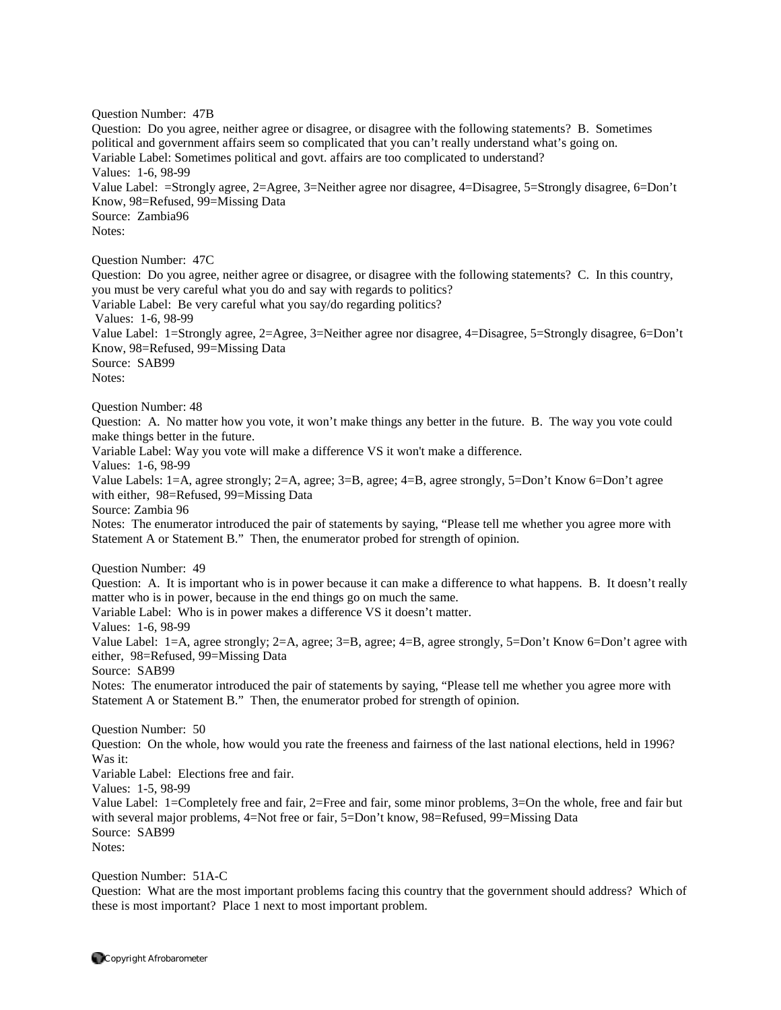Question Number: 47B Question: Do you agree, neither agree or disagree, or disagree with the following statements? B. Sometimes political and government affairs seem so complicated that you can't really understand what's going on. Variable Label: Sometimes political and govt. affairs are too complicated to understand? Values: 1-6, 98-99 Value Label: =Strongly agree, 2=Agree, 3=Neither agree nor disagree, 4=Disagree, 5=Strongly disagree, 6=Don't Know, 98=Refused, 99=Missing Data Source: Zambia96 Notes: Question Number: 47C Question: Do you agree, neither agree or disagree, or disagree with the following statements? C. In this country, you must be very careful what you do and say with regards to politics? Variable Label: Be very careful what you say/do regarding politics? Values: 1-6, 98-99 Value Label: 1=Strongly agree, 2=Agree, 3=Neither agree nor disagree, 4=Disagree, 5=Strongly disagree, 6=Don't Know, 98=Refused, 99=Missing Data Source: SAB99 Notes: Question Number: 48 Question: A. No matter how you vote, it won't make things any better in the future. B. The way you vote could make things better in the future. Variable Label: Way you vote will make a difference VS it won't make a difference. Values: 1-6, 98-99 Value Labels: 1=A, agree strongly; 2=A, agree; 3=B, agree; 4=B, agree strongly, 5=Don't Know 6=Don't agree with either, 98=Refused, 99=Missing Data Source: Zambia 96 Notes: The enumerator introduced the pair of statements by saying, "Please tell me whether you agree more with Statement A or Statement B." Then, the enumerator probed for strength of opinion. Question Number: 49 Question: A. It is important who is in power because it can make a difference to what happens. B. It doesn't really matter who is in power, because in the end things go on much the same. Variable Label: Who is in power makes a difference VS it doesn't matter. Values: 1-6, 98-99 Value Label: 1=A, agree strongly; 2=A, agree; 3=B, agree; 4=B, agree strongly, 5=Don't Know 6=Don't agree with either, 98=Refused, 99=Missing Data Source: SAB99 Notes: The enumerator introduced the pair of statements by saying, "Please tell me whether you agree more with Statement A or Statement B." Then, the enumerator probed for strength of opinion. Question Number: 50 Question: On the whole, how would you rate the freeness and fairness of the last national elections, held in 1996? Was it: Variable Label: Elections free and fair. Values: 1-5, 98-99 Value Label: 1=Completely free and fair, 2=Free and fair, some minor problems, 3=On the whole, free and fair but with several major problems, 4=Not free or fair, 5=Don't know, 98=Refused, 99=Missing Data Source: SAB99 Notes:

Question Number: 51A-C

Question: What are the most important problems facing this country that the government should address? Which of these is most important? Place 1 next to most important problem.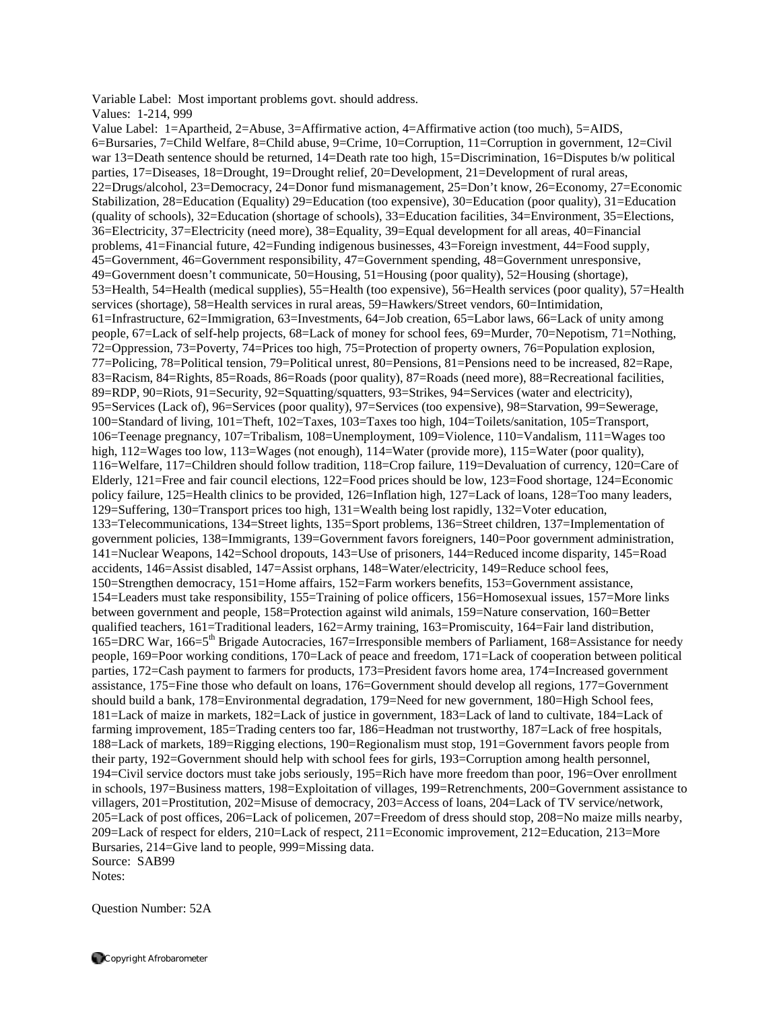Variable Label: Most important problems govt. should address.

Values: 1-214, 999

Value Label: 1=Apartheid, 2=Abuse, 3=Affirmative action, 4=Affirmative action (too much), 5=AIDS, 6=Bursaries, 7=Child Welfare, 8=Child abuse, 9=Crime, 10=Corruption, 11=Corruption in government, 12=Civil war 13=Death sentence should be returned, 14=Death rate too high, 15=Discrimination, 16=Disputes b/w political parties, 17=Diseases, 18=Drought, 19=Drought relief, 20=Development, 21=Development of rural areas, 22=Drugs/alcohol, 23=Democracy, 24=Donor fund mismanagement, 25=Don't know, 26=Economy, 27=Economic Stabilization, 28=Education (Equality) 29=Education (too expensive), 30=Education (poor quality), 31=Education (quality of schools), 32=Education (shortage of schools), 33=Education facilities, 34=Environment, 35=Elections, 36=Electricity, 37=Electricity (need more), 38=Equality, 39=Equal development for all areas, 40=Financial problems, 41=Financial future, 42=Funding indigenous businesses, 43=Foreign investment, 44=Food supply, 45=Government, 46=Government responsibility, 47=Government spending, 48=Government unresponsive, 49=Government doesn't communicate, 50=Housing, 51=Housing (poor quality), 52=Housing (shortage), 53=Health, 54=Health (medical supplies), 55=Health (too expensive), 56=Health services (poor quality), 57=Health services (shortage), 58=Health services in rural areas, 59=Hawkers/Street vendors, 60=Intimidation, 61=Infrastructure, 62=Immigration, 63=Investments, 64=Job creation, 65=Labor laws, 66=Lack of unity among people, 67=Lack of self-help projects, 68=Lack of money for school fees, 69=Murder, 70=Nepotism, 71=Nothing, 72=Oppression, 73=Poverty, 74=Prices too high, 75=Protection of property owners, 76=Population explosion, 77=Policing, 78=Political tension, 79=Political unrest, 80=Pensions, 81=Pensions need to be increased, 82=Rape, 83=Racism, 84=Rights, 85=Roads, 86=Roads (poor quality), 87=Roads (need more), 88=Recreational facilities, 89=RDP, 90=Riots, 91=Security, 92=Squatting/squatters, 93=Strikes, 94=Services (water and electricity), 95=Services (Lack of), 96=Services (poor quality), 97=Services (too expensive), 98=Starvation, 99=Sewerage, 100=Standard of living, 101=Theft, 102=Taxes, 103=Taxes too high, 104=Toilets/sanitation, 105=Transport, 106=Teenage pregnancy, 107=Tribalism, 108=Unemployment, 109=Violence, 110=Vandalism, 111=Wages too high, 112=Wages too low, 113=Wages (not enough), 114=Water (provide more), 115=Water (poor quality), 116=Welfare, 117=Children should follow tradition, 118=Crop failure, 119=Devaluation of currency, 120=Care of Elderly, 121=Free and fair council elections, 122=Food prices should be low, 123=Food shortage, 124=Economic policy failure, 125=Health clinics to be provided, 126=Inflation high, 127=Lack of loans, 128=Too many leaders, 129=Suffering, 130=Transport prices too high, 131=Wealth being lost rapidly, 132=Voter education, 133=Telecommunications, 134=Street lights, 135=Sport problems, 136=Street children, 137=Implementation of government policies, 138=Immigrants, 139=Government favors foreigners, 140=Poor government administration, 141=Nuclear Weapons, 142=School dropouts, 143=Use of prisoners, 144=Reduced income disparity, 145=Road accidents, 146=Assist disabled, 147=Assist orphans, 148=Water/electricity, 149=Reduce school fees, 150=Strengthen democracy, 151=Home affairs, 152=Farm workers benefits, 153=Government assistance, 154=Leaders must take responsibility, 155=Training of police officers, 156=Homosexual issues, 157=More links between government and people, 158=Protection against wild animals, 159=Nature conservation, 160=Better qualified teachers, 161=Traditional leaders, 162=Army training, 163=Promiscuity, 164=Fair land distribution, 165=DRC War, 166=5th Brigade Autocracies, 167=Irresponsible members of Parliament, 168=Assistance for needy people, 169=Poor working conditions, 170=Lack of peace and freedom, 171=Lack of cooperation between political parties, 172=Cash payment to farmers for products, 173=President favors home area, 174=Increased government assistance, 175=Fine those who default on loans, 176=Government should develop all regions, 177=Government should build a bank, 178=Environmental degradation, 179=Need for new government, 180=High School fees, 181=Lack of maize in markets, 182=Lack of justice in government, 183=Lack of land to cultivate, 184=Lack of farming improvement, 185=Trading centers too far, 186=Headman not trustworthy, 187=Lack of free hospitals, 188=Lack of markets, 189=Rigging elections, 190=Regionalism must stop, 191=Government favors people from their party, 192=Government should help with school fees for girls, 193=Corruption among health personnel, 194=Civil service doctors must take jobs seriously, 195=Rich have more freedom than poor, 196=Over enrollment in schools, 197=Business matters, 198=Exploitation of villages, 199=Retrenchments, 200=Government assistance to villagers, 201=Prostitution, 202=Misuse of democracy, 203=Access of loans, 204=Lack of TV service/network, 205=Lack of post offices, 206=Lack of policemen, 207=Freedom of dress should stop, 208=No maize mills nearby, 209=Lack of respect for elders, 210=Lack of respect, 211=Economic improvement, 212=Education, 213=More Bursaries, 214=Give land to people, 999=Missing data. Source: SAB99 Notes:

Question Number: 52A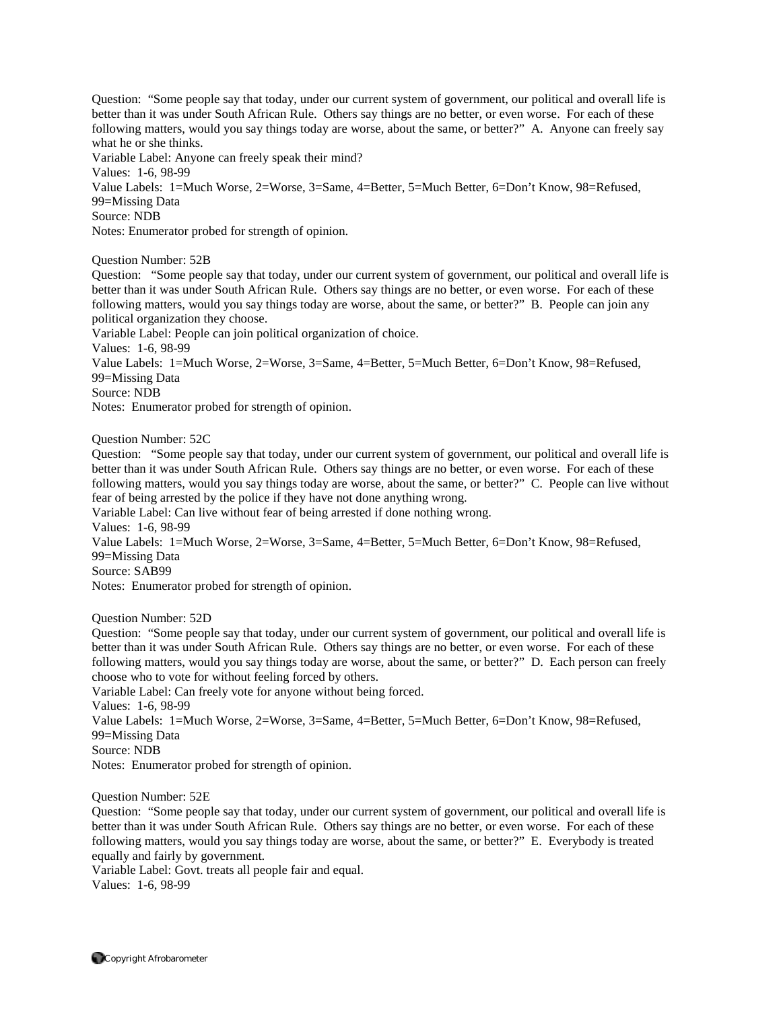Question: "Some people say that today, under our current system of government, our political and overall life is better than it was under South African Rule. Others say things are no better, or even worse. For each of these following matters, would you say things today are worse, about the same, or better?" A. Anyone can freely say what he or she thinks.

Variable Label: Anyone can freely speak their mind?

Values: 1-6, 98-99

Value Labels: 1=Much Worse, 2=Worse, 3=Same, 4=Better, 5=Much Better, 6=Don't Know, 98=Refused, 99=Missing Data

Source: NDB

Notes: Enumerator probed for strength of opinion.

Question Number: 52B

Question: "Some people say that today, under our current system of government, our political and overall life is better than it was under South African Rule. Others say things are no better, or even worse. For each of these following matters, would you say things today are worse, about the same, or better?" B. People can join any political organization they choose.

Variable Label: People can join political organization of choice.

Values: 1-6, 98-99

Value Labels: 1=Much Worse, 2=Worse, 3=Same, 4=Better, 5=Much Better, 6=Don't Know, 98=Refused, 99=Missing Data

Source: NDB

Notes: Enumerator probed for strength of opinion.

Question Number: 52C

Question: "Some people say that today, under our current system of government, our political and overall life is better than it was under South African Rule. Others say things are no better, or even worse. For each of these following matters, would you say things today are worse, about the same, or better?" C. People can live without fear of being arrested by the police if they have not done anything wrong.

Variable Label: Can live without fear of being arrested if done nothing wrong.

Values: 1-6, 98-99

Value Labels: 1=Much Worse, 2=Worse, 3=Same, 4=Better, 5=Much Better, 6=Don't Know, 98=Refused, 99=Missing Data

Source: SAB99

Notes: Enumerator probed for strength of opinion.

Question Number: 52D

Question: "Some people say that today, under our current system of government, our political and overall life is better than it was under South African Rule. Others say things are no better, or even worse. For each of these following matters, would you say things today are worse, about the same, or better?" D. Each person can freely choose who to vote for without feeling forced by others.

Variable Label: Can freely vote for anyone without being forced.

Values: 1-6, 98-99

Value Labels: 1=Much Worse, 2=Worse, 3=Same, 4=Better, 5=Much Better, 6=Don't Know, 98=Refused, 99=Missing Data

Source: NDB

Notes: Enumerator probed for strength of opinion.

Question Number: 52E

Question: "Some people say that today, under our current system of government, our political and overall life is better than it was under South African Rule. Others say things are no better, or even worse. For each of these following matters, would you say things today are worse, about the same, or better?" E. Everybody is treated equally and fairly by government.

Variable Label: Govt. treats all people fair and equal. Values: 1-6, 98-99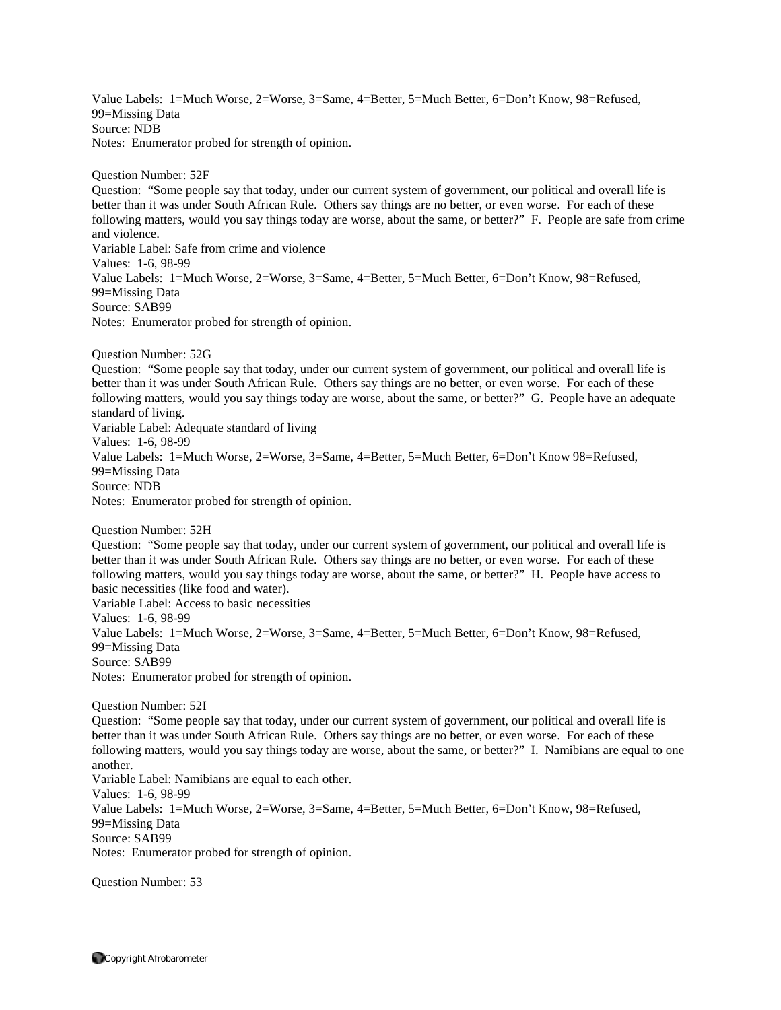Value Labels: 1=Much Worse, 2=Worse, 3=Same, 4=Better, 5=Much Better, 6=Don't Know, 98=Refused, 99=Missing Data Source: NDB Notes: Enumerator probed for strength of opinion.

Question Number: 52F

Question: "Some people say that today, under our current system of government, our political and overall life is better than it was under South African Rule. Others say things are no better, or even worse. For each of these following matters, would you say things today are worse, about the same, or better?" F. People are safe from crime and violence. Variable Label: Safe from crime and violence Values: 1-6, 98-99 Value Labels: 1=Much Worse, 2=Worse, 3=Same, 4=Better, 5=Much Better, 6=Don't Know, 98=Refused,

99=Missing Data Source: SAB99

Notes: Enumerator probed for strength of opinion.

Question Number: 52G

Question: "Some people say that today, under our current system of government, our political and overall life is better than it was under South African Rule. Others say things are no better, or even worse. For each of these following matters, would you say things today are worse, about the same, or better?" G. People have an adequate standard of living. Variable Label: Adequate standard of living Values: 1-6, 98-99 Value Labels: 1=Much Worse, 2=Worse, 3=Same, 4=Better, 5=Much Better, 6=Don't Know 98=Refused, 99=Missing Data

Source: NDB

Notes: Enumerator probed for strength of opinion.

```
Question Number: 52H
```
Question: "Some people say that today, under our current system of government, our political and overall life is better than it was under South African Rule. Others say things are no better, or even worse. For each of these following matters, would you say things today are worse, about the same, or better?" H. People have access to basic necessities (like food and water).

Variable Label: Access to basic necessities Values: 1-6, 98-99 Value Labels: 1=Much Worse, 2=Worse, 3=Same, 4=Better, 5=Much Better, 6=Don't Know, 98=Refused, 99=Missing Data Source: SAB99

Notes: Enumerator probed for strength of opinion.

Question Number: 52I

Question: "Some people say that today, under our current system of government, our political and overall life is better than it was under South African Rule. Others say things are no better, or even worse. For each of these following matters, would you say things today are worse, about the same, or better?" I. Namibians are equal to one another. Variable Label: Namibians are equal to each other.

Values: 1-6, 98-99

Value Labels: 1=Much Worse, 2=Worse, 3=Same, 4=Better, 5=Much Better, 6=Don't Know, 98=Refused, 99=Missing Data Source: SAB99

Notes: Enumerator probed for strength of opinion.

Question Number: 53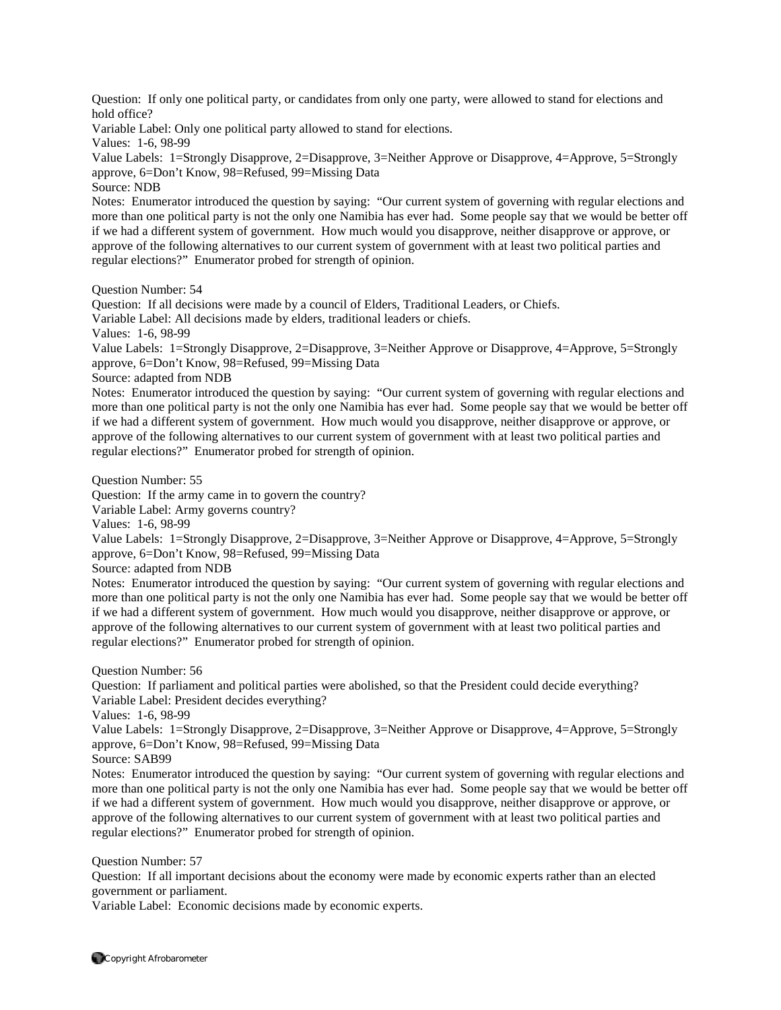Question: If only one political party, or candidates from only one party, were allowed to stand for elections and hold office?

Variable Label: Only one political party allowed to stand for elections.

Values: 1-6, 98-99

Value Labels: 1=Strongly Disapprove, 2=Disapprove, 3=Neither Approve or Disapprove, 4=Approve, 5=Strongly approve, 6=Don't Know, 98=Refused, 99=Missing Data

Source: NDB

Notes: Enumerator introduced the question by saying: "Our current system of governing with regular elections and more than one political party is not the only one Namibia has ever had. Some people say that we would be better off if we had a different system of government. How much would you disapprove, neither disapprove or approve, or approve of the following alternatives to our current system of government with at least two political parties and regular elections?" Enumerator probed for strength of opinion.

Question Number: 54

Question: If all decisions were made by a council of Elders, Traditional Leaders, or Chiefs.

Variable Label: All decisions made by elders, traditional leaders or chiefs.

Values: 1-6, 98-99

Value Labels: 1=Strongly Disapprove, 2=Disapprove, 3=Neither Approve or Disapprove, 4=Approve, 5=Strongly approve, 6=Don't Know, 98=Refused, 99=Missing Data

Source: adapted from NDB

Notes: Enumerator introduced the question by saying: "Our current system of governing with regular elections and more than one political party is not the only one Namibia has ever had. Some people say that we would be better off if we had a different system of government. How much would you disapprove, neither disapprove or approve, or approve of the following alternatives to our current system of government with at least two political parties and regular elections?" Enumerator probed for strength of opinion.

Question Number: 55

Question: If the army came in to govern the country?

Variable Label: Army governs country?

Values: 1-6, 98-99

Value Labels: 1=Strongly Disapprove, 2=Disapprove, 3=Neither Approve or Disapprove, 4=Approve, 5=Strongly approve, 6=Don't Know, 98=Refused, 99=Missing Data

Source: adapted from NDB

Notes: Enumerator introduced the question by saying: "Our current system of governing with regular elections and more than one political party is not the only one Namibia has ever had. Some people say that we would be better off if we had a different system of government. How much would you disapprove, neither disapprove or approve, or approve of the following alternatives to our current system of government with at least two political parties and regular elections?" Enumerator probed for strength of opinion.

Question Number: 56

Question: If parliament and political parties were abolished, so that the President could decide everything? Variable Label: President decides everything?

Values: 1-6, 98-99

Value Labels: 1=Strongly Disapprove, 2=Disapprove, 3=Neither Approve or Disapprove, 4=Approve, 5=Strongly approve, 6=Don't Know, 98=Refused, 99=Missing Data

Source: SAB99

Notes: Enumerator introduced the question by saying: "Our current system of governing with regular elections and more than one political party is not the only one Namibia has ever had. Some people say that we would be better off if we had a different system of government. How much would you disapprove, neither disapprove or approve, or approve of the following alternatives to our current system of government with at least two political parties and regular elections?" Enumerator probed for strength of opinion.

Question Number: 57

Question: If all important decisions about the economy were made by economic experts rather than an elected government or parliament.

Variable Label: Economic decisions made by economic experts.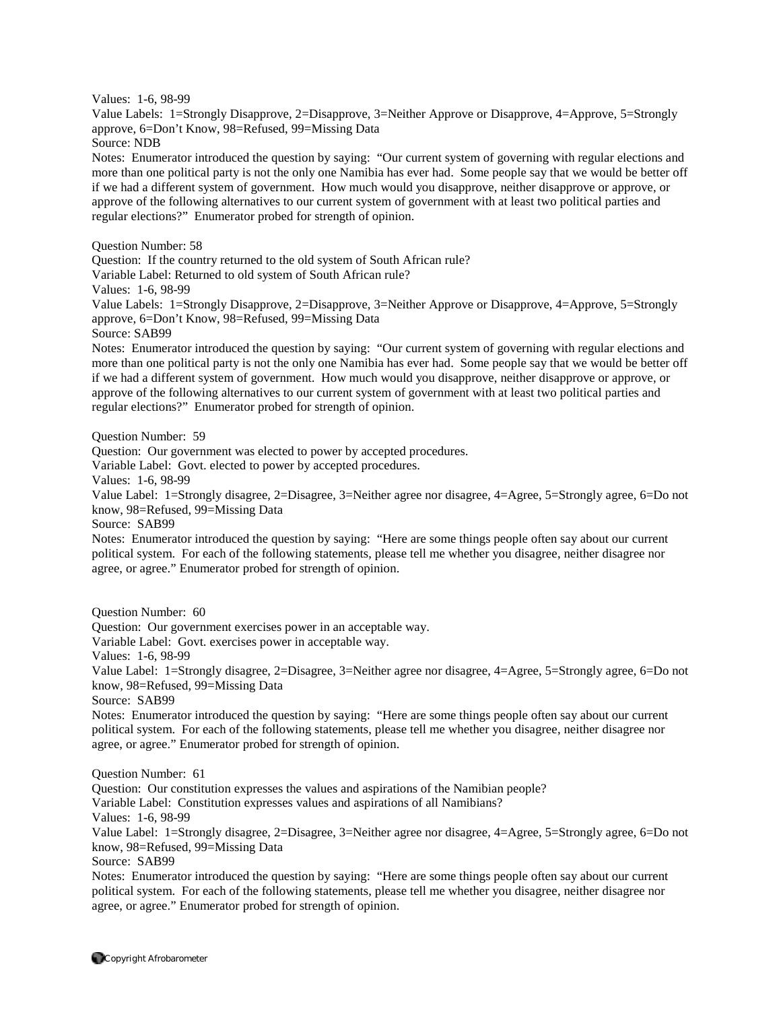Values: 1-6, 98-99

Value Labels: 1=Strongly Disapprove, 2=Disapprove, 3=Neither Approve or Disapprove, 4=Approve, 5=Strongly approve, 6=Don't Know, 98=Refused, 99=Missing Data

Source: NDB

Notes: Enumerator introduced the question by saying: "Our current system of governing with regular elections and more than one political party is not the only one Namibia has ever had. Some people say that we would be better off if we had a different system of government. How much would you disapprove, neither disapprove or approve, or approve of the following alternatives to our current system of government with at least two political parties and regular elections?" Enumerator probed for strength of opinion.

Question Number: 58

Question: If the country returned to the old system of South African rule?

Variable Label: Returned to old system of South African rule?

Values: 1-6, 98-99

Value Labels: 1=Strongly Disapprove, 2=Disapprove, 3=Neither Approve or Disapprove, 4=Approve, 5=Strongly approve, 6=Don't Know, 98=Refused, 99=Missing Data

Source: SAB99

Notes: Enumerator introduced the question by saying: "Our current system of governing with regular elections and more than one political party is not the only one Namibia has ever had. Some people say that we would be better off if we had a different system of government. How much would you disapprove, neither disapprove or approve, or approve of the following alternatives to our current system of government with at least two political parties and regular elections?" Enumerator probed for strength of opinion.

Question Number: 59

Question: Our government was elected to power by accepted procedures.

Variable Label: Govt. elected to power by accepted procedures.

Values: 1-6, 98-99

Value Label: 1=Strongly disagree, 2=Disagree, 3=Neither agree nor disagree, 4=Agree, 5=Strongly agree, 6=Do not know, 98=Refused, 99=Missing Data

Source: SAB99

Notes: Enumerator introduced the question by saying: "Here are some things people often say about our current political system. For each of the following statements, please tell me whether you disagree, neither disagree nor agree, or agree." Enumerator probed for strength of opinion.

Question Number: 60

Question: Our government exercises power in an acceptable way.

Variable Label: Govt. exercises power in acceptable way.

Values: 1-6, 98-99

Value Label: 1=Strongly disagree, 2=Disagree, 3=Neither agree nor disagree, 4=Agree, 5=Strongly agree, 6=Do not know, 98=Refused, 99=Missing Data

Source: SAB99

Notes: Enumerator introduced the question by saying: "Here are some things people often say about our current political system. For each of the following statements, please tell me whether you disagree, neither disagree nor agree, or agree." Enumerator probed for strength of opinion.

Question Number: 61

Question: Our constitution expresses the values and aspirations of the Namibian people?

Variable Label: Constitution expresses values and aspirations of all Namibians?

Values: 1-6, 98-99

Value Label: 1=Strongly disagree, 2=Disagree, 3=Neither agree nor disagree, 4=Agree, 5=Strongly agree, 6=Do not know, 98=Refused, 99=Missing Data

Source: SAB99

Notes: Enumerator introduced the question by saying: "Here are some things people often say about our current political system. For each of the following statements, please tell me whether you disagree, neither disagree nor agree, or agree." Enumerator probed for strength of opinion.

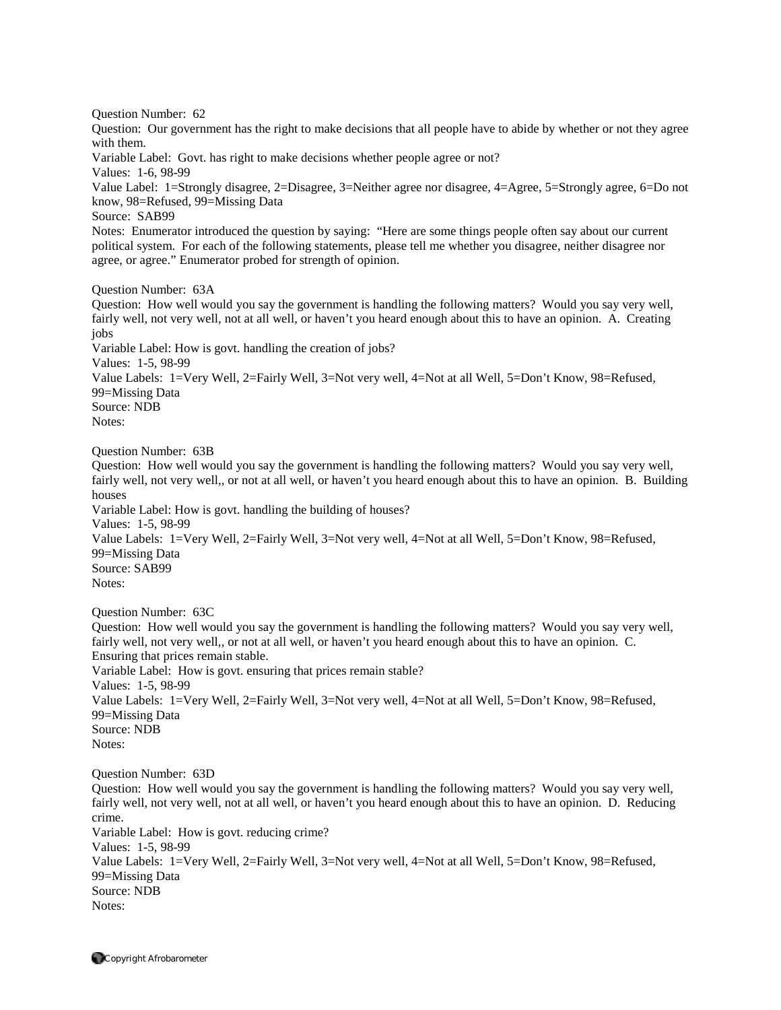Question Number: 62

Question: Our government has the right to make decisions that all people have to abide by whether or not they agree with them.

Variable Label: Govt. has right to make decisions whether people agree or not?

Values: 1-6, 98-99

Value Label: 1=Strongly disagree, 2=Disagree, 3=Neither agree nor disagree, 4=Agree, 5=Strongly agree, 6=Do not know, 98=Refused, 99=Missing Data

Source: SAB99

Notes: Enumerator introduced the question by saying: "Here are some things people often say about our current political system. For each of the following statements, please tell me whether you disagree, neither disagree nor agree, or agree." Enumerator probed for strength of opinion.

Question Number: 63A

Question: How well would you say the government is handling the following matters? Would you say very well, fairly well, not very well, not at all well, or haven't you heard enough about this to have an opinion. A. Creating jobs

Variable Label: How is govt. handling the creation of jobs?

Values: 1-5, 98-99

Value Labels: 1=Very Well, 2=Fairly Well, 3=Not very well, 4=Not at all Well, 5=Don't Know, 98=Refused, 99=Missing Data

Source: NDB

Notes:

Question Number: 63B

Question: How well would you say the government is handling the following matters? Would you say very well, fairly well, not very well,, or not at all well, or haven't you heard enough about this to have an opinion. B. Building houses

Variable Label: How is govt. handling the building of houses?

Values: 1-5, 98-99

Value Labels: 1=Very Well, 2=Fairly Well, 3=Not very well, 4=Not at all Well, 5=Don't Know, 98=Refused, 99=Missing Data Source: SAB99

Notes:

Question Number: 63C

Question: How well would you say the government is handling the following matters? Would you say very well, fairly well, not very well,, or not at all well, or haven't you heard enough about this to have an opinion. C. Ensuring that prices remain stable. Variable Label: How is govt. ensuring that prices remain stable? Values: 1-5, 98-99 Value Labels: 1=Very Well, 2=Fairly Well, 3=Not very well, 4=Not at all Well, 5=Don't Know, 98=Refused, 99=Missing Data Source: NDB Notes:

Question Number: 63D

Question: How well would you say the government is handling the following matters? Would you say very well, fairly well, not very well, not at all well, or haven't you heard enough about this to have an opinion. D. Reducing crime. Variable Label: How is govt. reducing crime? Values: 1-5, 98-99 Value Labels: 1=Very Well, 2=Fairly Well, 3=Not very well, 4=Not at all Well, 5=Don't Know, 98=Refused,

99=Missing Data Source: NDB Notes: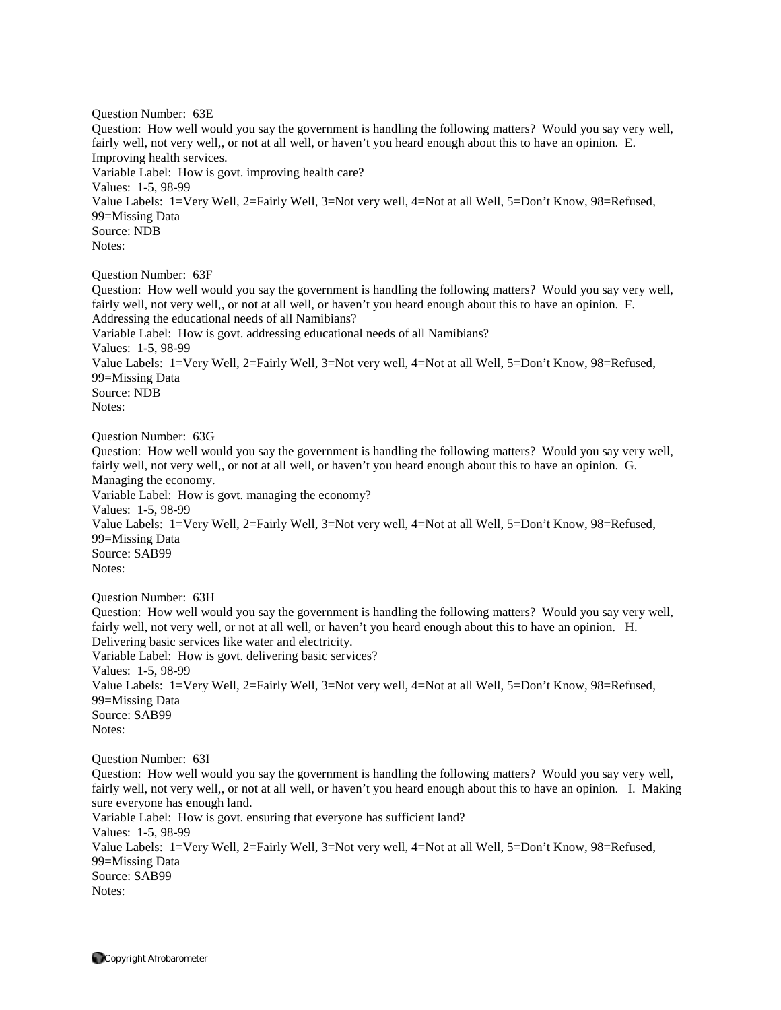Question Number: 63E Question: How well would you say the government is handling the following matters? Would you say very well, fairly well, not very well,, or not at all well, or haven't you heard enough about this to have an opinion. E. Improving health services. Variable Label: How is govt. improving health care? Values: 1-5, 98-99 Value Labels: 1=Very Well, 2=Fairly Well, 3=Not very well, 4=Not at all Well, 5=Don't Know, 98=Refused, 99=Missing Data Source: NDB Notes: Question Number: 63F

Question: How well would you say the government is handling the following matters? Would you say very well, fairly well, not very well,, or not at all well, or haven't you heard enough about this to have an opinion. F. Addressing the educational needs of all Namibians? Variable Label: How is govt. addressing educational needs of all Namibians? Values: 1-5, 98-99 Value Labels: 1=Very Well, 2=Fairly Well, 3=Not very well, 4=Not at all Well, 5=Don't Know, 98=Refused, 99=Missing Data Source: NDB Notes:

Question Number: 63G Question: How well would you say the government is handling the following matters? Would you say very well, fairly well, not very well,, or not at all well, or haven't you heard enough about this to have an opinion. G. Managing the economy. Variable Label: How is govt. managing the economy? Values: 1-5, 98-99 Value Labels: 1=Very Well, 2=Fairly Well, 3=Not very well, 4=Not at all Well, 5=Don't Know, 98=Refused, 99=Missing Data Source: SAB99 Notes:

Question Number: 63H

Question: How well would you say the government is handling the following matters? Would you say very well, fairly well, not very well, or not at all well, or haven't you heard enough about this to have an opinion. H. Delivering basic services like water and electricity. Variable Label: How is govt. delivering basic services? Values: 1-5, 98-99 Value Labels: 1=Very Well, 2=Fairly Well, 3=Not very well, 4=Not at all Well, 5=Don't Know, 98=Refused, 99=Missing Data Source: SAB99 Notes:

Question Number: 63I

Question: How well would you say the government is handling the following matters? Would you say very well, fairly well, not very well,, or not at all well, or haven't you heard enough about this to have an opinion. I. Making sure everyone has enough land. Variable Label: How is govt. ensuring that everyone has sufficient land? Values: 1-5, 98-99 Value Labels: 1=Very Well, 2=Fairly Well, 3=Not very well, 4=Not at all Well, 5=Don't Know, 98=Refused, 99=Missing Data Source: SAB99 Notes: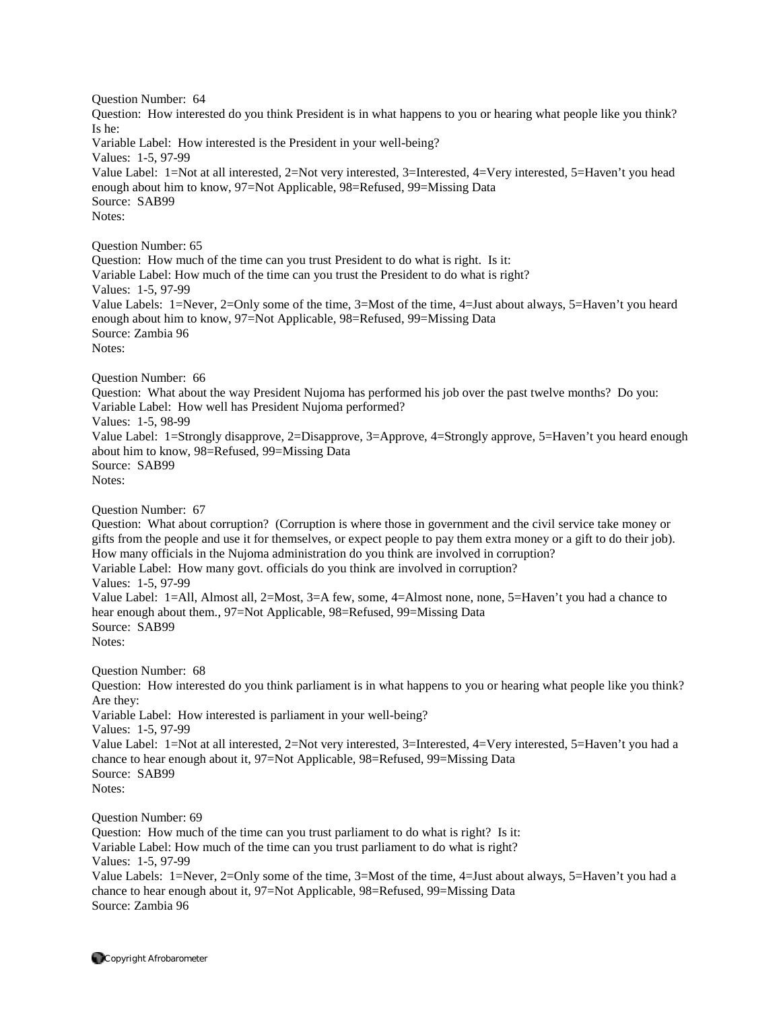Question Number: 64 Question: How interested do you think President is in what happens to you or hearing what people like you think? Is he: Variable Label: How interested is the President in your well-being? Values: 1-5, 97-99 Value Label: 1=Not at all interested, 2=Not very interested, 3=Interested, 4=Very interested, 5=Haven't you head enough about him to know, 97=Not Applicable, 98=Refused, 99=Missing Data Source: SAB99 Notes: Question Number: 65 Question: How much of the time can you trust President to do what is right. Is it: Variable Label: How much of the time can you trust the President to do what is right? Values: 1-5, 97-99 Value Labels: 1=Never, 2=Only some of the time, 3=Most of the time, 4=Just about always, 5=Haven't you heard enough about him to know, 97=Not Applicable, 98=Refused, 99=Missing Data Source: Zambia 96 Notes: Question Number: 66 Question: What about the way President Nujoma has performed his job over the past twelve months? Do you: Variable Label: How well has President Nujoma performed? Values: 1-5, 98-99 Value Label: 1=Strongly disapprove, 2=Disapprove, 3=Approve, 4=Strongly approve, 5=Haven't you heard enough about him to know, 98=Refused, 99=Missing Data Source: SAB99 Notes: Question Number: 67 Question: What about corruption? (Corruption is where those in government and the civil service take money or gifts from the people and use it for themselves, or expect people to pay them extra money or a gift to do their job). How many officials in the Nujoma administration do you think are involved in corruption? Variable Label: How many govt. officials do you think are involved in corruption? Values: 1-5, 97-99 Value Label: 1=All, Almost all, 2=Most, 3=A few, some, 4=Almost none, none, 5=Haven't you had a chance to hear enough about them., 97=Not Applicable, 98=Refused, 99=Missing Data Source: SAB99 Notes: Question Number: 68 Question: How interested do you think parliament is in what happens to you or hearing what people like you think? Are they: Variable Label: How interested is parliament in your well-being? Values: 1-5, 97-99 Value Label: 1=Not at all interested, 2=Not very interested, 3=Interested, 4=Very interested, 5=Haven't you had a chance to hear enough about it, 97=Not Applicable, 98=Refused, 99=Missing Data Source: SAB99 Notes: Question Number: 69 Question: How much of the time can you trust parliament to do what is right? Is it: Variable Label: How much of the time can you trust parliament to do what is right? Values: 1-5, 97-99 Value Labels: 1=Never, 2=Only some of the time, 3=Most of the time, 4=Just about always, 5=Haven't you had a chance to hear enough about it, 97=Not Applicable, 98=Refused, 99=Missing Data

Source: Zambia 96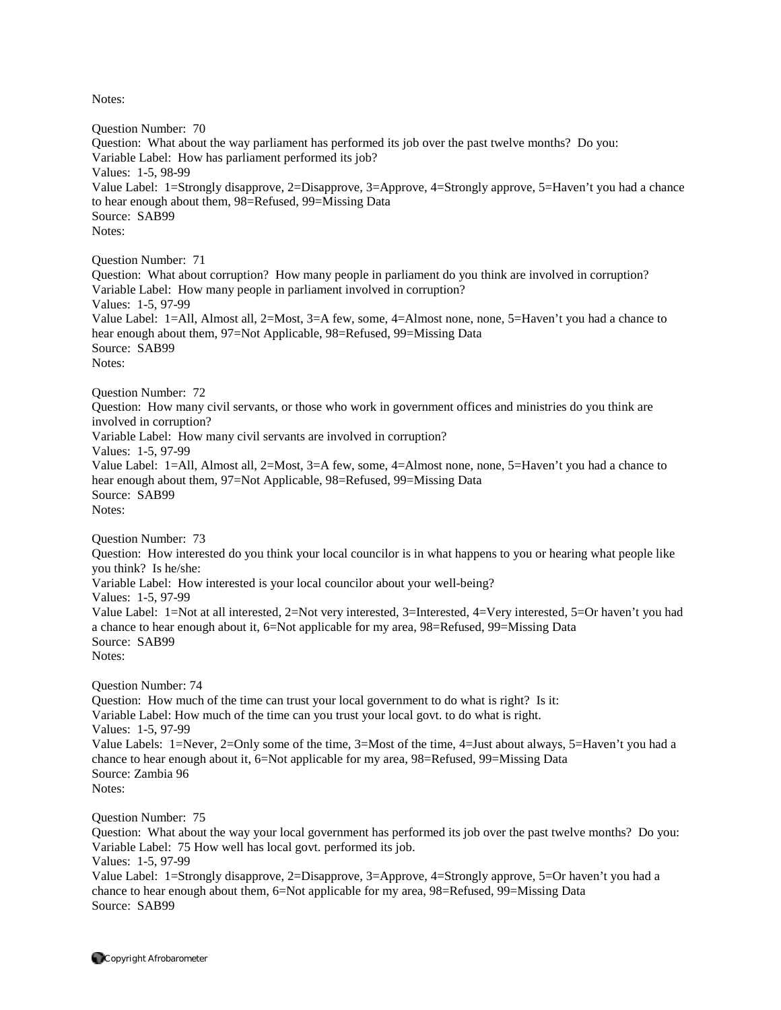Question Number: 70 Question: What about the way parliament has performed its job over the past twelve months? Do you: Variable Label: How has parliament performed its job? Values: 1-5, 98-99 Value Label: 1=Strongly disapprove, 2=Disapprove, 3=Approve, 4=Strongly approve, 5=Haven't you had a chance to hear enough about them, 98=Refused, 99=Missing Data Source: SAB99 Notes: Question Number: 71 Question: What about corruption? How many people in parliament do you think are involved in corruption? Variable Label: How many people in parliament involved in corruption? Values: 1-5, 97-99 Value Label: 1=All, Almost all, 2=Most, 3=A few, some, 4=Almost none, none, 5=Haven't you had a chance to hear enough about them, 97=Not Applicable, 98=Refused, 99=Missing Data Source: SAB99 Notes: Question Number: 72 Question: How many civil servants, or those who work in government offices and ministries do you think are involved in corruption? Variable Label: How many civil servants are involved in corruption? Values: 1-5, 97-99 Value Label: 1=All, Almost all, 2=Most, 3=A few, some, 4=Almost none, none, 5=Haven't you had a chance to hear enough about them, 97=Not Applicable, 98=Refused, 99=Missing Data Source: SAB99 Notes: Question Number: 73 Question: How interested do you think your local councilor is in what happens to you or hearing what people like you think? Is he/she: Variable Label: How interested is your local councilor about your well-being? Values: 1-5, 97-99 Value Label: 1=Not at all interested, 2=Not very interested, 3=Interested, 4=Very interested, 5=Or haven't you had a chance to hear enough about it, 6=Not applicable for my area, 98=Refused, 99=Missing Data Source: SAB99 Notes: Question Number: 74 Question: How much of the time can trust your local government to do what is right? Is it: Variable Label: How much of the time can you trust your local govt. to do what is right. Values: 1-5, 97-99 Value Labels: 1=Never, 2=Only some of the time, 3=Most of the time, 4=Just about always, 5=Haven't you had a chance to hear enough about it, 6=Not applicable for my area, 98=Refused, 99=Missing Data Source: Zambia 96 Notes: Question Number: 75 Question: What about the way your local government has performed its job over the past twelve months? Do you: Variable Label: 75 How well has local govt. performed its job. Values: 1-5, 97-99

Value Label: 1=Strongly disapprove, 2=Disapprove, 3=Approve, 4=Strongly approve, 5=Or haven't you had a chance to hear enough about them, 6=Not applicable for my area, 98=Refused, 99=Missing Data Source: SAB99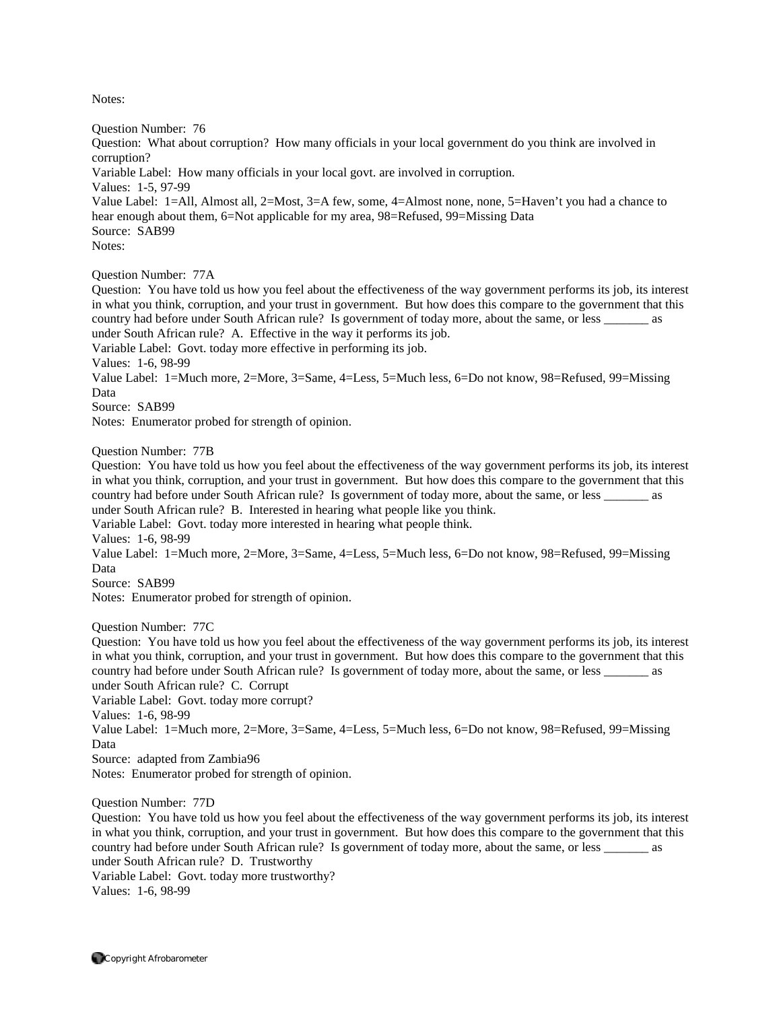Question Number: 76

Question: What about corruption? How many officials in your local government do you think are involved in corruption?

Variable Label: How many officials in your local govt. are involved in corruption.

Values: 1-5, 97-99

Value Label: 1=All, Almost all, 2=Most, 3=A few, some, 4=Almost none, none, 5=Haven't you had a chance to hear enough about them, 6=Not applicable for my area, 98=Refused, 99=Missing Data Source: SAB99

Notes:

Question Number: 77A

Question: You have told us how you feel about the effectiveness of the way government performs its job, its interest in what you think, corruption, and your trust in government. But how does this compare to the government that this country had before under South African rule? Is government of today more, about the same, or less \_\_\_\_\_\_\_ as under South African rule? A. Effective in the way it performs its job.

Variable Label: Govt. today more effective in performing its job.

Values: 1-6, 98-99

Value Label: 1=Much more, 2=More, 3=Same, 4=Less, 5=Much less, 6=Do not know, 98=Refused, 99=Missing Data

Source: SAB99

Notes: Enumerator probed for strength of opinion.

Question Number: 77B

Question: You have told us how you feel about the effectiveness of the way government performs its job, its interest in what you think, corruption, and your trust in government. But how does this compare to the government that this country had before under South African rule? Is government of today more, about the same, or less \_\_\_\_\_\_\_ as under South African rule? B. Interested in hearing what people like you think.

Variable Label: Govt. today more interested in hearing what people think.

Values: 1-6, 98-99

Value Label: 1=Much more, 2=More, 3=Same, 4=Less, 5=Much less, 6=Do not know, 98=Refused, 99=Missing Data

Source: SAB99

Notes: Enumerator probed for strength of opinion.

Question Number: 77C

Question: You have told us how you feel about the effectiveness of the way government performs its job, its interest in what you think, corruption, and your trust in government. But how does this compare to the government that this country had before under South African rule? Is government of today more, about the same, or less \_\_\_\_\_\_\_ as under South African rule? C. Corrupt

Variable Label: Govt. today more corrupt?

Values: 1-6, 98-99

Value Label: 1=Much more, 2=More, 3=Same, 4=Less, 5=Much less, 6=Do not know, 98=Refused, 99=Missing Data

Source: adapted from Zambia96

Notes: Enumerator probed for strength of opinion.

Question Number: 77D

Question: You have told us how you feel about the effectiveness of the way government performs its job, its interest in what you think, corruption, and your trust in government. But how does this compare to the government that this country had before under South African rule? Is government of today more, about the same, or less \_\_\_\_\_\_\_ as under South African rule? D. Trustworthy

Variable Label: Govt. today more trustworthy?

Values: 1-6, 98-99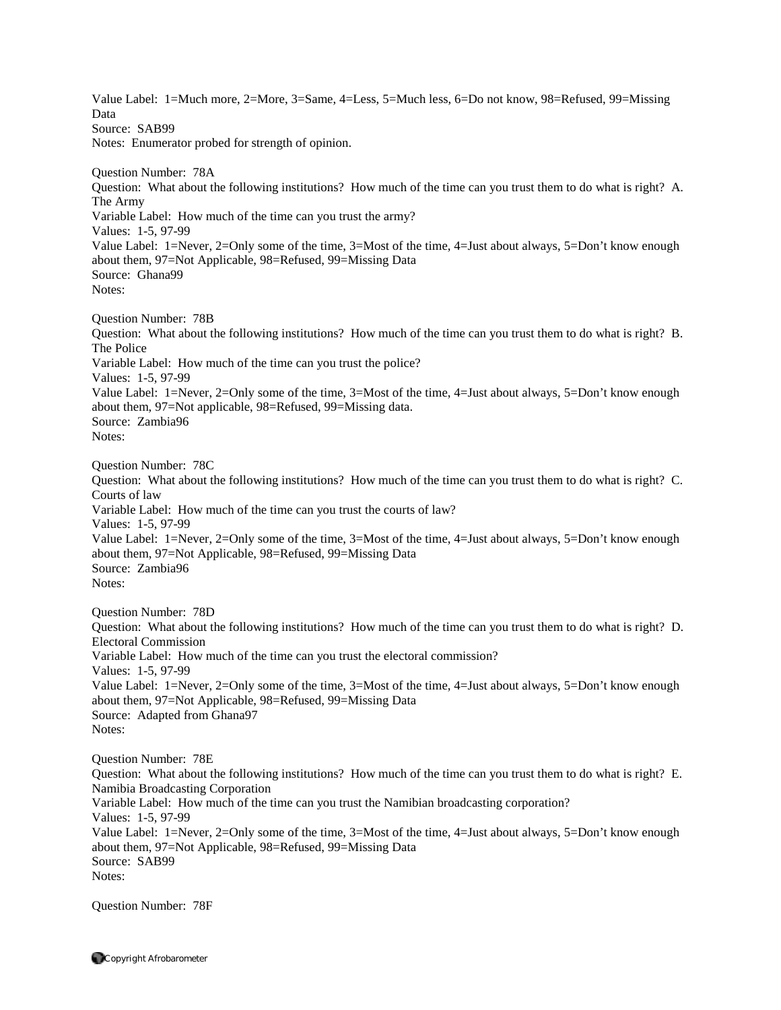Value Label: 1=Much more, 2=More, 3=Same, 4=Less, 5=Much less, 6=Do not know, 98=Refused, 99=Missing Data Source: SAB99 Notes: Enumerator probed for strength of opinion. Question Number: 78A Question: What about the following institutions? How much of the time can you trust them to do what is right? A. The Army Variable Label: How much of the time can you trust the army? Values: 1-5, 97-99 Value Label: 1=Never, 2=Only some of the time, 3=Most of the time, 4=Just about always, 5=Don't know enough about them, 97=Not Applicable, 98=Refused, 99=Missing Data Source: Ghana99 Notes: Question Number: 78B Question: What about the following institutions? How much of the time can you trust them to do what is right? B. The Police Variable Label: How much of the time can you trust the police? Values: 1-5, 97-99 Value Label: 1=Never, 2=Only some of the time, 3=Most of the time, 4=Just about always, 5=Don't know enough about them, 97=Not applicable, 98=Refused, 99=Missing data. Source: Zambia96 Notes: Question Number: 78C Question: What about the following institutions? How much of the time can you trust them to do what is right? C. Courts of law Variable Label: How much of the time can you trust the courts of law? Values: 1-5, 97-99 Value Label: 1=Never, 2=Only some of the time, 3=Most of the time, 4=Just about always, 5=Don't know enough about them, 97=Not Applicable, 98=Refused, 99=Missing Data Source: Zambia96 Notes: Question Number: 78D Question: What about the following institutions? How much of the time can you trust them to do what is right? D. Electoral Commission Variable Label: How much of the time can you trust the electoral commission? Values: 1-5, 97-99 Value Label: 1=Never, 2=Only some of the time, 3=Most of the time, 4=Just about always, 5=Don't know enough about them, 97=Not Applicable, 98=Refused, 99=Missing Data Source: Adapted from Ghana97 Notes: Question Number: 78E Question: What about the following institutions? How much of the time can you trust them to do what is right? E. Namibia Broadcasting Corporation Variable Label: How much of the time can you trust the Namibian broadcasting corporation? Values: 1-5, 97-99 Value Label: 1=Never, 2=Only some of the time, 3=Most of the time, 4=Just about always, 5=Don't know enough about them, 97=Not Applicable, 98=Refused, 99=Missing Data Source: SAB99 Notes:

Question Number: 78F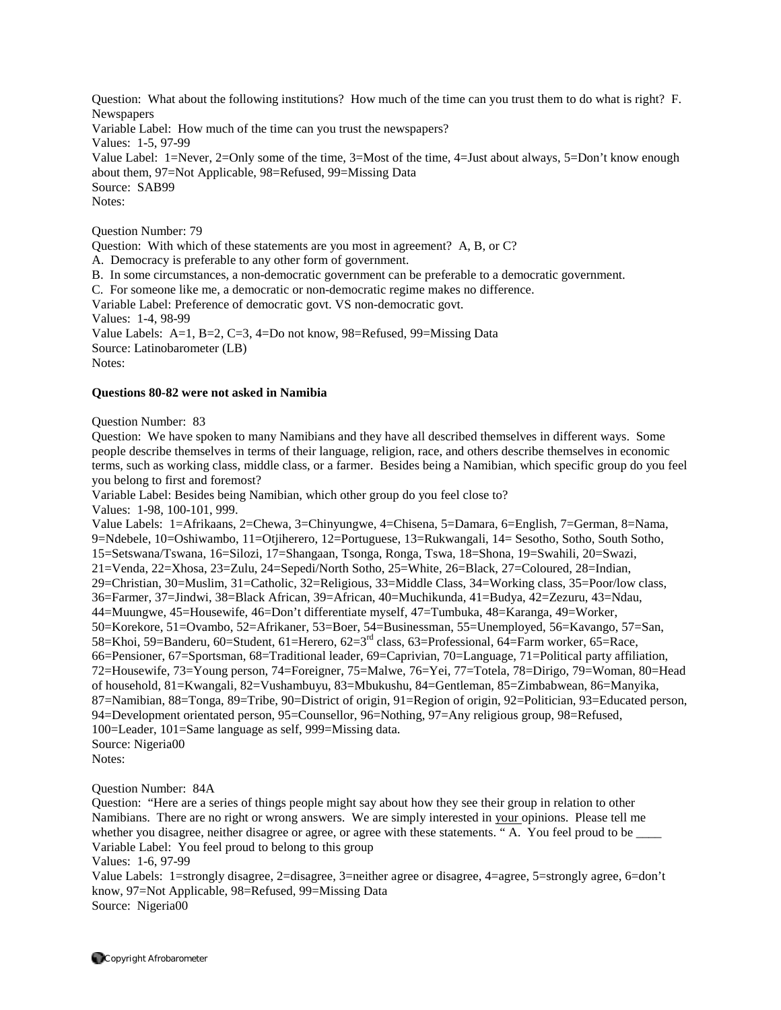Question: What about the following institutions? How much of the time can you trust them to do what is right? F. **Newspapers** Variable Label: How much of the time can you trust the newspapers? Values: 1-5, 97-99 Value Label: 1=Never, 2=Only some of the time, 3=Most of the time, 4=Just about always, 5=Don't know enough about them, 97=Not Applicable, 98=Refused, 99=Missing Data Source: SAB99 Notes:

Question Number: 79

Question: With which of these statements are you most in agreement? A, B, or C?

A. Democracy is preferable to any other form of government.

B. In some circumstances, a non-democratic government can be preferable to a democratic government.

C. For someone like me, a democratic or non-democratic regime makes no difference.

Variable Label: Preference of democratic govt. VS non-democratic govt.

Values: 1-4, 98-99

Value Labels: A=1, B=2, C=3, 4=Do not know, 98=Refused, 99=Missing Data

Source: Latinobarometer (LB)

Notes:

#### **Questions 80-82 were not asked in Namibia**

Question Number: 83

Question: We have spoken to many Namibians and they have all described themselves in different ways. Some people describe themselves in terms of their language, religion, race, and others describe themselves in economic terms, such as working class, middle class, or a farmer. Besides being a Namibian, which specific group do you feel you belong to first and foremost?

Variable Label: Besides being Namibian, which other group do you feel close to? Values: 1-98, 100-101, 999.

Value Labels: 1=Afrikaans, 2=Chewa, 3=Chinyungwe, 4=Chisena, 5=Damara, 6=English, 7=German, 8=Nama, 9=Ndebele, 10=Oshiwambo, 11=Otjiherero, 12=Portuguese, 13=Rukwangali, 14= Sesotho, Sotho, South Sotho, 15=Setswana/Tswana, 16=Silozi, 17=Shangaan, Tsonga, Ronga, Tswa, 18=Shona, 19=Swahili, 20=Swazi, 21=Venda, 22=Xhosa, 23=Zulu, 24=Sepedi/North Sotho, 25=White, 26=Black, 27=Coloured, 28=Indian, 29=Christian, 30=Muslim, 31=Catholic, 32=Religious, 33=Middle Class, 34=Working class, 35=Poor/low class, 36=Farmer, 37=Jindwi, 38=Black African, 39=African, 40=Muchikunda, 41=Budya, 42=Zezuru, 43=Ndau, 44=Muungwe, 45=Housewife, 46=Don't differentiate myself, 47=Tumbuka, 48=Karanga, 49=Worker, 50=Korekore, 51=Ovambo, 52=Afrikaner, 53=Boer, 54=Businessman, 55=Unemployed, 56=Kavango, 57=San, 58=Khoi, 59=Banderu, 60=Student, 61=Herero, 62=3rd class, 63=Professional, 64=Farm worker, 65=Race, 66=Pensioner, 67=Sportsman, 68=Traditional leader, 69=Caprivian, 70=Language, 71=Political party affiliation, 72=Housewife, 73=Young person, 74=Foreigner, 75=Malwe, 76=Yei, 77=Totela, 78=Dirigo, 79=Woman, 80=Head of household, 81=Kwangali, 82=Vushambuyu, 83=Mbukushu, 84=Gentleman, 85=Zimbabwean, 86=Manyika, 87=Namibian, 88=Tonga, 89=Tribe, 90=District of origin, 91=Region of origin, 92=Politician, 93=Educated person, 94=Development orientated person, 95=Counsellor, 96=Nothing, 97=Any religious group, 98=Refused, 100=Leader, 101=Same language as self, 999=Missing data. Source: Nigeria00 Notes:

Question Number: 84A

Question: "Here are a series of things people might say about how they see their group in relation to other Namibians. There are no right or wrong answers. We are simply interested in your opinions. Please tell me whether you disagree, neither disagree or agree, or agree with these statements. "A. You feel proud to be Variable Label: You feel proud to belong to this group

Values: 1-6, 97-99

Value Labels: 1=strongly disagree, 2=disagree, 3=neither agree or disagree, 4=agree, 5=strongly agree, 6=don't know, 97=Not Applicable, 98=Refused, 99=Missing Data Source: Nigeria00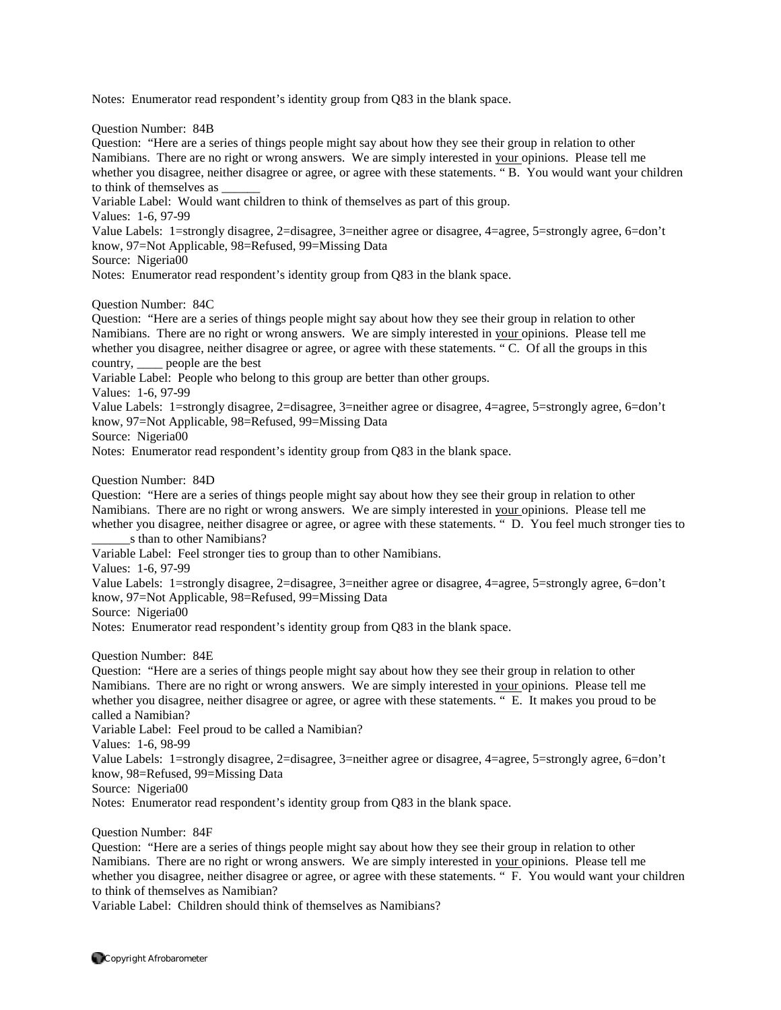Notes: Enumerator read respondent's identity group from Q83 in the blank space.

Question Number: 84B

Question: "Here are a series of things people might say about how they see their group in relation to other Namibians. There are no right or wrong answers. We are simply interested in your opinions. Please tell me whether you disagree, neither disagree or agree, or agree with these statements. "B. You would want your children to think of themselves as

Variable Label: Would want children to think of themselves as part of this group.

Values: 1-6, 97-99

Value Labels: 1=strongly disagree, 2=disagree, 3=neither agree or disagree, 4=agree, 5=strongly agree, 6=don't know, 97=Not Applicable, 98=Refused, 99=Missing Data

Source: Nigeria00

Notes: Enumerator read respondent's identity group from Q83 in the blank space.

Question Number: 84C

Question: "Here are a series of things people might say about how they see their group in relation to other Namibians. There are no right or wrong answers. We are simply interested in your opinions. Please tell me whether you disagree, neither disagree or agree, or agree with these statements. " C. Of all the groups in this country, \_\_\_\_ people are the best

Variable Label: People who belong to this group are better than other groups.

Values: 1-6, 97-99

Value Labels: 1=strongly disagree, 2=disagree, 3=neither agree or disagree, 4=agree, 5=strongly agree, 6=don't know, 97=Not Applicable, 98=Refused, 99=Missing Data

Source: Nigeria00

Notes: Enumerator read respondent's identity group from Q83 in the blank space.

Question Number: 84D

Question: "Here are a series of things people might say about how they see their group in relation to other Namibians. There are no right or wrong answers. We are simply interested in your opinions. Please tell me whether you disagree, neither disagree or agree, or agree with these statements. " D. You feel much stronger ties to s than to other Namibians?

Variable Label: Feel stronger ties to group than to other Namibians.

Values: 1-6, 97-99

Value Labels: 1=strongly disagree, 2=disagree, 3=neither agree or disagree, 4=agree, 5=strongly agree, 6=don't know, 97=Not Applicable, 98=Refused, 99=Missing Data

Source: Nigeria00

Notes: Enumerator read respondent's identity group from Q83 in the blank space.

Question Number: 84E

Question: "Here are a series of things people might say about how they see their group in relation to other Namibians. There are no right or wrong answers. We are simply interested in your opinions. Please tell me whether you disagree, neither disagree or agree, or agree with these statements. " E. It makes you proud to be called a Namibian?

Variable Label: Feel proud to be called a Namibian?

Values: 1-6, 98-99

Value Labels: 1=strongly disagree, 2=disagree, 3=neither agree or disagree, 4=agree, 5=strongly agree, 6=don't know, 98=Refused, 99=Missing Data

Source: Nigeria00

Notes: Enumerator read respondent's identity group from Q83 in the blank space.

Question Number: 84F

Question: "Here are a series of things people might say about how they see their group in relation to other Namibians. There are no right or wrong answers. We are simply interested in your opinions. Please tell me whether you disagree, neither disagree or agree, or agree with these statements. " F. You would want your children to think of themselves as Namibian?

Variable Label: Children should think of themselves as Namibians?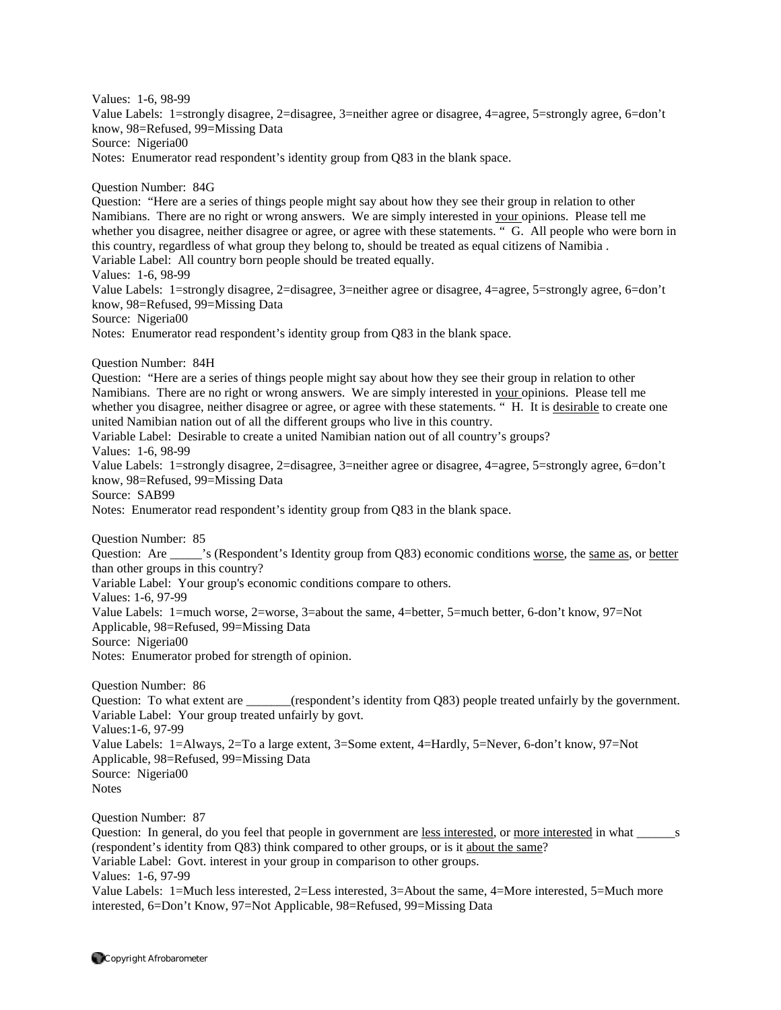Value Labels: 1=strongly disagree, 2=disagree, 3=neither agree or disagree, 4=agree, 5=strongly agree, 6=don't know, 98=Refused, 99=Missing Data Source: Nigeria00 Notes: Enumerator read respondent's identity group from Q83 in the blank space. Question Number: 84G Question: "Here are a series of things people might say about how they see their group in relation to other Namibians. There are no right or wrong answers. We are simply interested in your opinions. Please tell me whether you disagree, neither disagree or agree, or agree with these statements. " G. All people who were born in this country, regardless of what group they belong to, should be treated as equal citizens of Namibia . Variable Label: All country born people should be treated equally. Values: 1-6, 98-99 Value Labels: 1=strongly disagree, 2=disagree, 3=neither agree or disagree, 4=agree, 5=strongly agree, 6=don't know, 98=Refused, 99=Missing Data Source: Nigeria00 Notes: Enumerator read respondent's identity group from Q83 in the blank space. Question Number: 84H Question: "Here are a series of things people might say about how they see their group in relation to other Namibians. There are no right or wrong answers. We are simply interested in your opinions. Please tell me whether you disagree, neither disagree or agree, or agree with these statements. "H. It is desirable to create one united Namibian nation out of all the different groups who live in this country. Variable Label: Desirable to create a united Namibian nation out of all country's groups? Values: 1-6, 98-99 Value Labels: 1=strongly disagree, 2=disagree, 3=neither agree or disagree, 4=agree, 5=strongly agree, 6=don't know, 98=Refused, 99=Missing Data Source: SAB99 Notes: Enumerator read respondent's identity group from Q83 in the blank space. Question Number: 85 Question: Are \_\_\_\_\_'s (Respondent's Identity group from Q83) economic conditions worse, the same as, or better than other groups in this country? Variable Label: Your group's economic conditions compare to others. Values: 1-6, 97-99 Value Labels: 1=much worse, 2=worse, 3=about the same, 4=better, 5=much better, 6-don't know, 97=Not Applicable, 98=Refused, 99=Missing Data Source: Nigeria00 Notes: Enumerator probed for strength of opinion. Question Number: 86 Question: To what extent are \_\_\_\_\_\_(respondent's identity from Q83) people treated unfairly by the government. Variable Label: Your group treated unfairly by govt. Values:1-6, 97-99 Value Labels: 1=Always, 2=To a large extent, 3=Some extent, 4=Hardly, 5=Never, 6-don't know, 97=Not Applicable, 98=Refused, 99=Missing Data Source: Nigeria00 **Notes** Question Number: 87 Question: In general, do you feel that people in government are <u>less interested</u>, or <u>more interested</u> in what \_\_\_\_\_\_s (respondent's identity from Q83) think compared to other groups, or is it about the same? Variable Label: Govt. interest in your group in comparison to other groups. Values: 1-6, 97-99 Value Labels: 1=Much less interested, 2=Less interested, 3=About the same, 4=More interested, 5=Much more

interested, 6=Don't Know, 97=Not Applicable, 98=Refused, 99=Missing Data

Values: 1-6, 98-99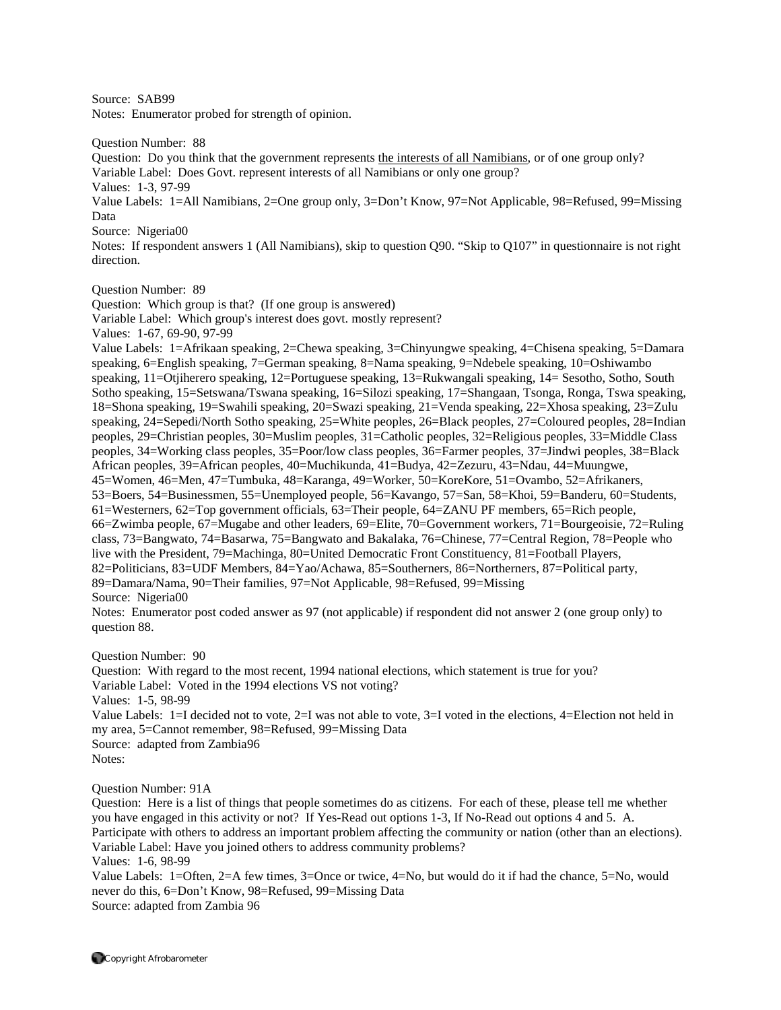Source: SAB99

Notes: Enumerator probed for strength of opinion.

Question Number: 88

Question: Do you think that the government represents the interests of all Namibians, or of one group only? Variable Label: Does Govt. represent interests of all Namibians or only one group? Values: 1-3, 97-99

Value Labels: 1=All Namibians, 2=One group only, 3=Don't Know, 97=Not Applicable, 98=Refused, 99=Missing Data

Source: Nigeria00

Notes: If respondent answers 1 (All Namibians), skip to question Q90. "Skip to Q107" in questionnaire is not right direction.

Question Number: 89

Question: Which group is that? (If one group is answered) Variable Label: Which group's interest does govt. mostly represent?

Values: 1-67, 69-90, 97-99

Value Labels: 1=Afrikaan speaking, 2=Chewa speaking, 3=Chinyungwe speaking, 4=Chisena speaking, 5=Damara speaking, 6=English speaking, 7=German speaking, 8=Nama speaking, 9=Ndebele speaking, 10=Oshiwambo speaking, 11=Otjiherero speaking, 12=Portuguese speaking, 13=Rukwangali speaking, 14= Sesotho, Sotho, South Sotho speaking, 15=Setswana/Tswana speaking, 16=Silozi speaking, 17=Shangaan, Tsonga, Ronga, Tswa speaking, 18=Shona speaking, 19=Swahili speaking, 20=Swazi speaking, 21=Venda speaking, 22=Xhosa speaking, 23=Zulu speaking, 24=Sepedi/North Sotho speaking, 25=White peoples, 26=Black peoples, 27=Coloured peoples, 28=Indian peoples, 29=Christian peoples, 30=Muslim peoples, 31=Catholic peoples, 32=Religious peoples, 33=Middle Class peoples, 34=Working class peoples, 35=Poor/low class peoples, 36=Farmer peoples, 37=Jindwi peoples, 38=Black African peoples, 39=African peoples, 40=Muchikunda, 41=Budya, 42=Zezuru, 43=Ndau, 44=Muungwe, 45=Women, 46=Men, 47=Tumbuka, 48=Karanga, 49=Worker, 50=KoreKore, 51=Ovambo, 52=Afrikaners, 53=Boers, 54=Businessmen, 55=Unemployed people, 56=Kavango, 57=San, 58=Khoi, 59=Banderu, 60=Students, 61=Westerners, 62=Top government officials, 63=Their people, 64=ZANU PF members, 65=Rich people, 66=Zwimba people, 67=Mugabe and other leaders, 69=Elite, 70=Government workers, 71=Bourgeoisie, 72=Ruling class, 73=Bangwato, 74=Basarwa, 75=Bangwato and Bakalaka, 76=Chinese, 77=Central Region, 78=People who live with the President, 79=Machinga, 80=United Democratic Front Constituency, 81=Football Players, 82=Politicians, 83=UDF Members, 84=Yao/Achawa, 85=Southerners, 86=Northerners, 87=Political party, 89=Damara/Nama, 90=Their families, 97=Not Applicable, 98=Refused, 99=Missing Source: Nigeria00

Notes: Enumerator post coded answer as 97 (not applicable) if respondent did not answer 2 (one group only) to question 88.

Question Number: 90

Question: With regard to the most recent, 1994 national elections, which statement is true for you? Variable Label: Voted in the 1994 elections VS not voting?

Values: 1-5, 98-99

Value Labels: 1=I decided not to vote, 2=I was not able to vote, 3=I voted in the elections, 4=Election not held in my area, 5=Cannot remember, 98=Refused, 99=Missing Data

Source: adapted from Zambia96

Notes:

Question Number: 91A

Question: Here is a list of things that people sometimes do as citizens. For each of these, please tell me whether you have engaged in this activity or not? If Yes-Read out options 1-3, If No-Read out options 4 and 5. A. Participate with others to address an important problem affecting the community or nation (other than an elections). Variable Label: Have you joined others to address community problems? Values: 1-6, 98-99

Value Labels: 1=Often, 2=A few times, 3=Once or twice, 4=No, but would do it if had the chance, 5=No, would never do this, 6=Don't Know, 98=Refused, 99=Missing Data Source: adapted from Zambia 96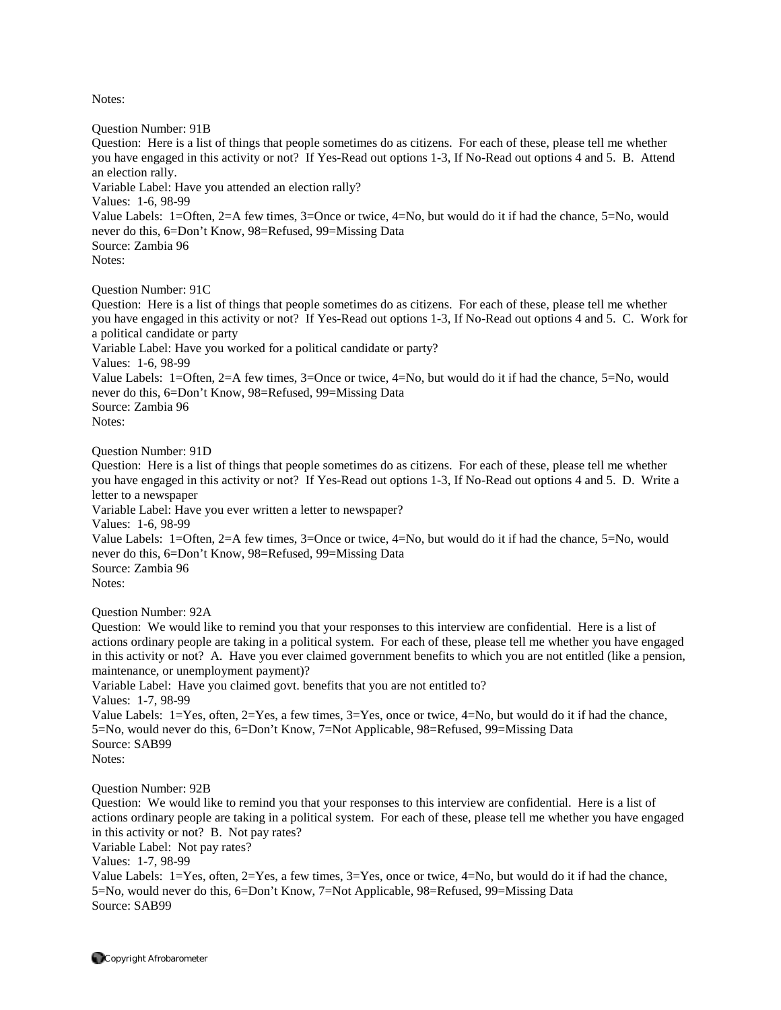Question Number: 91B Question: Here is a list of things that people sometimes do as citizens. For each of these, please tell me whether you have engaged in this activity or not? If Yes-Read out options 1-3, If No-Read out options 4 and 5. B. Attend an election rally. Variable Label: Have you attended an election rally? Values: 1-6, 98-99 Value Labels: 1=Often, 2=A few times, 3=Once or twice, 4=No, but would do it if had the chance, 5=No, would never do this, 6=Don't Know, 98=Refused, 99=Missing Data Source: Zambia 96 Notes:

Question Number: 91C

Question: Here is a list of things that people sometimes do as citizens. For each of these, please tell me whether you have engaged in this activity or not? If Yes-Read out options 1-3, If No-Read out options 4 and 5. C. Work for a political candidate or party

Variable Label: Have you worked for a political candidate or party?

Values: 1-6, 98-99

Value Labels: 1=Often, 2=A few times, 3=Once or twice, 4=No, but would do it if had the chance, 5=No, would never do this, 6=Don't Know, 98=Refused, 99=Missing Data

Source: Zambia 96 Notes:

Question Number: 91D

Question: Here is a list of things that people sometimes do as citizens. For each of these, please tell me whether you have engaged in this activity or not? If Yes-Read out options 1-3, If No-Read out options 4 and 5. D. Write a letter to a newspaper

Variable Label: Have you ever written a letter to newspaper?

Values: 1-6, 98-99

Value Labels: 1=Often, 2=A few times, 3=Once or twice, 4=No, but would do it if had the chance, 5=No, would never do this, 6=Don't Know, 98=Refused, 99=Missing Data Source: Zambia 96

Notes:

Question Number: 92A

Question: We would like to remind you that your responses to this interview are confidential. Here is a list of actions ordinary people are taking in a political system. For each of these, please tell me whether you have engaged in this activity or not? A. Have you ever claimed government benefits to which you are not entitled (like a pension, maintenance, or unemployment payment)?

Variable Label: Have you claimed govt. benefits that you are not entitled to?

Values: 1-7, 98-99

Value Labels: 1=Yes, often, 2=Yes, a few times, 3=Yes, once or twice, 4=No, but would do it if had the chance, 5=No, would never do this, 6=Don't Know, 7=Not Applicable, 98=Refused, 99=Missing Data Source: SAB99 Notes:

Question Number: 92B

Question: We would like to remind you that your responses to this interview are confidential. Here is a list of actions ordinary people are taking in a political system. For each of these, please tell me whether you have engaged in this activity or not? B. Not pay rates?

Variable Label: Not pay rates?

Values: 1-7, 98-99

Value Labels: 1=Yes, often, 2=Yes, a few times, 3=Yes, once or twice, 4=No, but would do it if had the chance, 5=No, would never do this, 6=Don't Know, 7=Not Applicable, 98=Refused, 99=Missing Data Source: SAB99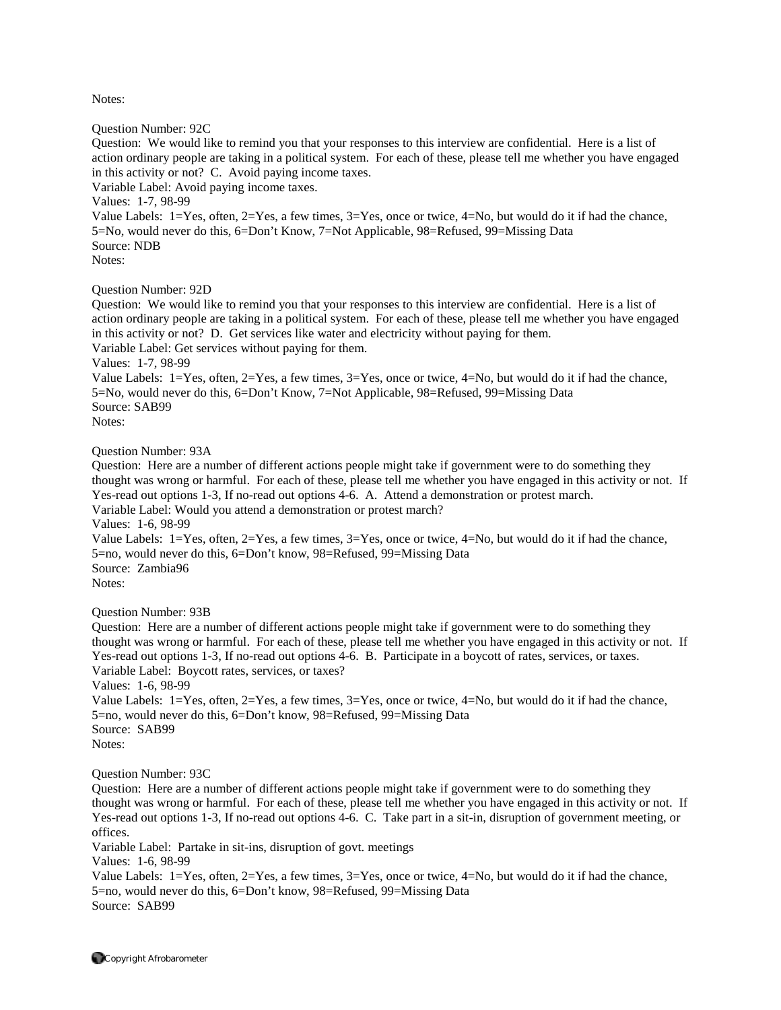Question Number: 92C

Question: We would like to remind you that your responses to this interview are confidential. Here is a list of action ordinary people are taking in a political system. For each of these, please tell me whether you have engaged in this activity or not? C. Avoid paying income taxes.

Variable Label: Avoid paying income taxes.

Values: 1-7, 98-99

Value Labels: 1=Yes, often, 2=Yes, a few times, 3=Yes, once or twice, 4=No, but would do it if had the chance, 5=No, would never do this, 6=Don't Know, 7=Not Applicable, 98=Refused, 99=Missing Data Source: NDB Notes:

#### Question Number: 92D

Question: We would like to remind you that your responses to this interview are confidential. Here is a list of action ordinary people are taking in a political system. For each of these, please tell me whether you have engaged in this activity or not? D. Get services like water and electricity without paying for them. Variable Label: Get services without paying for them.

Values: 1-7, 98-99

Value Labels: 1=Yes, often, 2=Yes, a few times, 3=Yes, once or twice, 4=No, but would do it if had the chance, 5=No, would never do this, 6=Don't Know, 7=Not Applicable, 98=Refused, 99=Missing Data Source: SAB99 Notes:

Question Number: 93A

Question: Here are a number of different actions people might take if government were to do something they thought was wrong or harmful. For each of these, please tell me whether you have engaged in this activity or not. If Yes-read out options 1-3, If no-read out options 4-6. A. Attend a demonstration or protest march. Variable Label: Would you attend a demonstration or protest march? Values: 1-6, 98-99 Value Labels: 1=Yes, often, 2=Yes, a few times, 3=Yes, once or twice, 4=No, but would do it if had the chance, 5=no, would never do this, 6=Don't know, 98=Refused, 99=Missing Data Source: Zambia96 Notes:

Question Number: 93B

Question: Here are a number of different actions people might take if government were to do something they thought was wrong or harmful. For each of these, please tell me whether you have engaged in this activity or not. If Yes-read out options 1-3, If no-read out options 4-6. B. Participate in a boycott of rates, services, or taxes. Variable Label: Boycott rates, services, or taxes? Values: 1-6, 98-99 Value Labels: 1=Yes, often, 2=Yes, a few times, 3=Yes, once or twice, 4=No, but would do it if had the chance, 5=no, would never do this, 6=Don't know, 98=Refused, 99=Missing Data Source: SAB99

Notes:

Question Number: 93C

Question: Here are a number of different actions people might take if government were to do something they thought was wrong or harmful. For each of these, please tell me whether you have engaged in this activity or not. If Yes-read out options 1-3, If no-read out options 4-6. C. Take part in a sit-in, disruption of government meeting, or offices.

Variable Label: Partake in sit-ins, disruption of govt. meetings

Values: 1-6, 98-99

Value Labels: 1=Yes, often, 2=Yes, a few times, 3=Yes, once or twice, 4=No, but would do it if had the chance, 5=no, would never do this, 6=Don't know, 98=Refused, 99=Missing Data Source: SAB99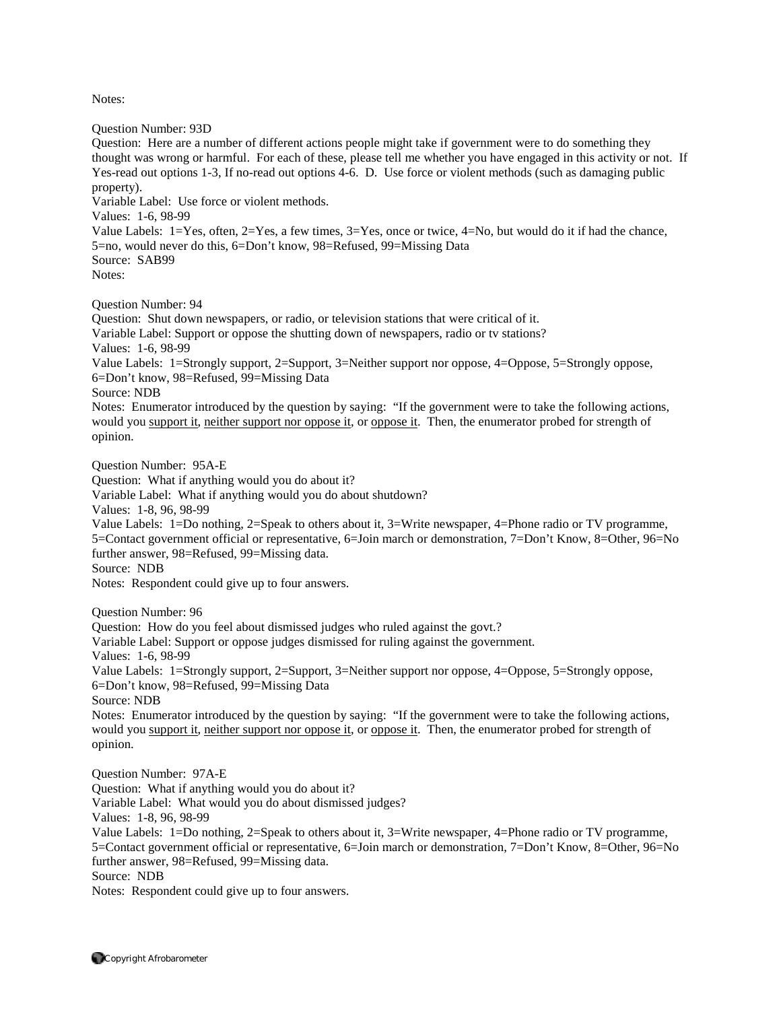Question Number: 93D Question: Here are a number of different actions people might take if government were to do something they thought was wrong or harmful. For each of these, please tell me whether you have engaged in this activity or not. If Yes-read out options 1-3, If no-read out options 4-6. D. Use force or violent methods (such as damaging public property). Variable Label: Use force or violent methods. Values: 1-6, 98-99 Value Labels: 1=Yes, often, 2=Yes, a few times, 3=Yes, once or twice, 4=No, but would do it if had the chance, 5=no, would never do this, 6=Don't know, 98=Refused, 99=Missing Data Source: SAB99 Notes: Question Number: 94 Question: Shut down newspapers, or radio, or television stations that were critical of it. Variable Label: Support or oppose the shutting down of newspapers, radio or tv stations? Values: 1-6, 98-99 Value Labels: 1=Strongly support, 2=Support, 3=Neither support nor oppose, 4=Oppose, 5=Strongly oppose, 6=Don't know, 98=Refused, 99=Missing Data Source: NDB Notes: Enumerator introduced by the question by saying: "If the government were to take the following actions, would you support it, neither support nor oppose it, or oppose it. Then, the enumerator probed for strength of opinion. Question Number: 95A-E Question: What if anything would you do about it? Variable Label: What if anything would you do about shutdown? Values: 1-8, 96, 98-99 Value Labels: 1=Do nothing, 2=Speak to others about it, 3=Write newspaper, 4=Phone radio or TV programme, 5=Contact government official or representative, 6=Join march or demonstration, 7=Don't Know, 8=Other, 96=No further answer, 98=Refused, 99=Missing data. Source: NDB Notes: Respondent could give up to four answers. Question Number: 96 Question: How do you feel about dismissed judges who ruled against the govt.? Variable Label: Support or oppose judges dismissed for ruling against the government. Values: 1-6, 98-99 Value Labels: 1=Strongly support, 2=Support, 3=Neither support nor oppose, 4=Oppose, 5=Strongly oppose, 6=Don't know, 98=Refused, 99=Missing Data Source: NDB Notes: Enumerator introduced by the question by saying: "If the government were to take the following actions, would you support it, neither support nor oppose it, or oppose it. Then, the enumerator probed for strength of opinion. Question Number: 97A-E Question: What if anything would you do about it? Variable Label: What would you do about dismissed judges? Values: 1-8, 96, 98-99 Value Labels: 1=Do nothing, 2=Speak to others about it, 3=Write newspaper, 4=Phone radio or TV programme, 5=Contact government official or representative, 6=Join march or demonstration, 7=Don't Know, 8=Other, 96=No further answer, 98=Refused, 99=Missing data. Source: NDB Notes: Respondent could give up to four answers.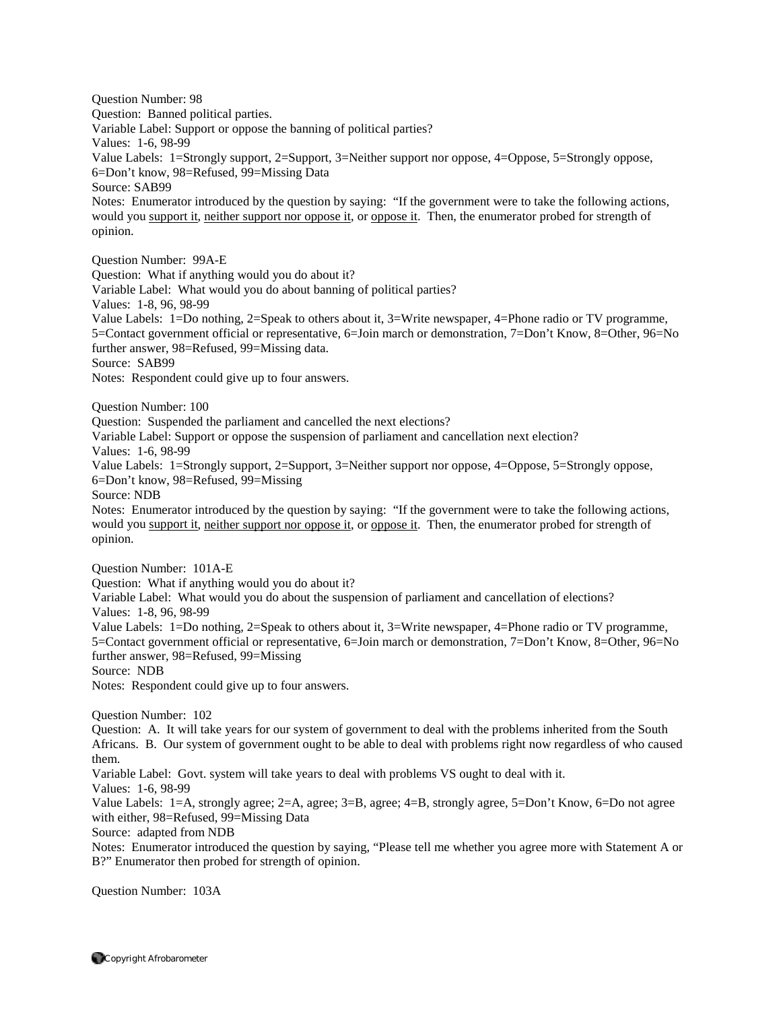Question Number: 98 Question: Banned political parties. Variable Label: Support or oppose the banning of political parties? Values: 1-6, 98-99 Value Labels: 1=Strongly support, 2=Support, 3=Neither support nor oppose, 4=Oppose, 5=Strongly oppose, 6=Don't know, 98=Refused, 99=Missing Data Source: SAB99 Notes: Enumerator introduced by the question by saying: "If the government were to take the following actions, would you support it, neither support nor oppose it, or oppose it. Then, the enumerator probed for strength of opinion. Question Number: 99A-E Question: What if anything would you do about it? Variable Label: What would you do about banning of political parties? Values: 1-8, 96, 98-99 Value Labels: 1=Do nothing, 2=Speak to others about it, 3=Write newspaper, 4=Phone radio or TV programme, 5=Contact government official or representative, 6=Join march or demonstration, 7=Don't Know, 8=Other, 96=No further answer, 98=Refused, 99=Missing data. Source: SAB99 Notes: Respondent could give up to four answers. Question Number: 100 Question: Suspended the parliament and cancelled the next elections? Variable Label: Support or oppose the suspension of parliament and cancellation next election? Values: 1-6, 98-99 Value Labels: 1=Strongly support, 2=Support, 3=Neither support nor oppose, 4=Oppose, 5=Strongly oppose, 6=Don't know, 98=Refused, 99=Missing Source: NDB Notes: Enumerator introduced by the question by saying: "If the government were to take the following actions, would you support it, neither support nor oppose it, or oppose it. Then, the enumerator probed for strength of opinion. Question Number: 101A-E Question: What if anything would you do about it? Variable Label: What would you do about the suspension of parliament and cancellation of elections? Values: 1-8, 96, 98-99 Value Labels: 1=Do nothing, 2=Speak to others about it, 3=Write newspaper, 4=Phone radio or TV programme, 5=Contact government official or representative, 6=Join march or demonstration, 7=Don't Know, 8=Other, 96=No further answer, 98=Refused, 99=Missing Source: NDB Notes: Respondent could give up to four answers. Question Number: 102 Question: A. It will take years for our system of government to deal with the problems inherited from the South Africans. B. Our system of government ought to be able to deal with problems right now regardless of who caused them. Variable Label: Govt. system will take years to deal with problems VS ought to deal with it. Values: 1-6, 98-99 Value Labels: 1=A, strongly agree; 2=A, agree; 3=B, agree; 4=B, strongly agree, 5=Don't Know, 6=Do not agree with either, 98=Refused, 99=Missing Data Source: adapted from NDB Notes: Enumerator introduced the question by saying, "Please tell me whether you agree more with Statement A or B?" Enumerator then probed for strength of opinion.

Question Number: 103A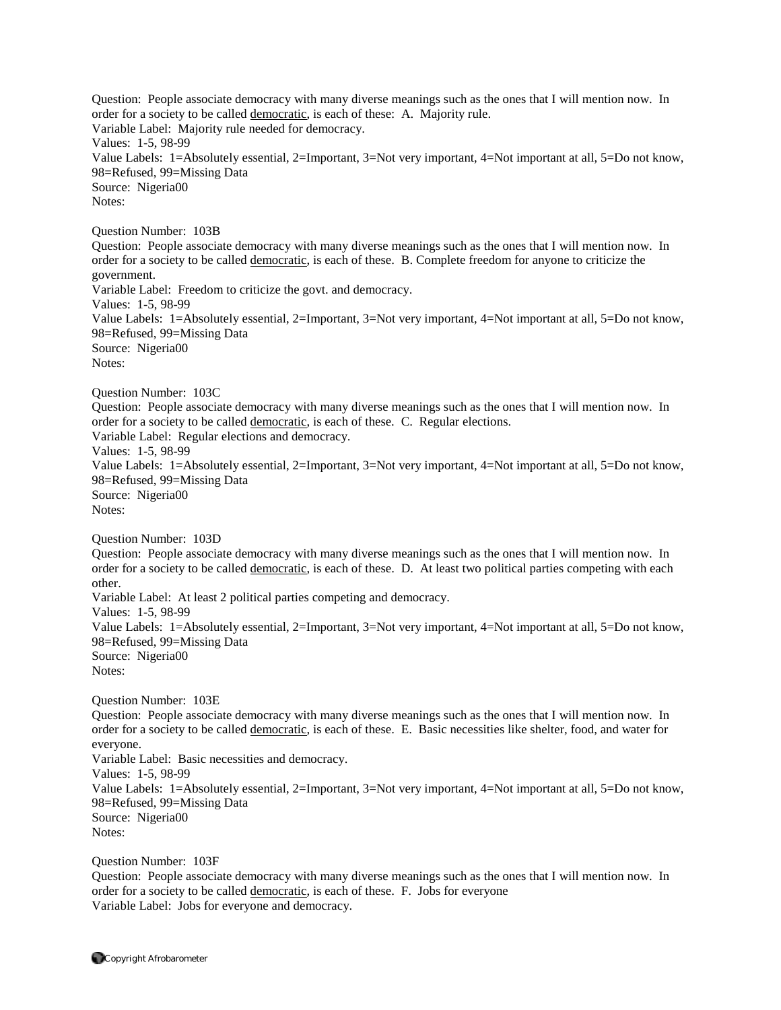Question: People associate democracy with many diverse meanings such as the ones that I will mention now. In order for a society to be called democratic, is each of these: A. Majority rule. Variable Label: Majority rule needed for democracy. Values: 1-5, 98-99 Value Labels: 1=Absolutely essential, 2=Important, 3=Not very important, 4=Not important at all, 5=Do not know, 98=Refused, 99=Missing Data Source: Nigeria00 Notes: Question Number: 103B Question: People associate democracy with many diverse meanings such as the ones that I will mention now. In order for a society to be called democratic, is each of these. B. Complete freedom for anyone to criticize the government. Variable Label: Freedom to criticize the govt. and democracy. Values: 1-5, 98-99 Value Labels: 1=Absolutely essential, 2=Important, 3=Not very important, 4=Not important at all, 5=Do not know, 98=Refused, 99=Missing Data Source: Nigeria00 Notes: Question Number: 103C Question: People associate democracy with many diverse meanings such as the ones that I will mention now. In order for a society to be called democratic, is each of these. C. Regular elections. Variable Label: Regular elections and democracy. Values: 1-5, 98-99 Value Labels: 1=Absolutely essential, 2=Important, 3=Not very important, 4=Not important at all, 5=Do not know, 98=Refused, 99=Missing Data Source: Nigeria00 Notes: Question Number: 103D Question: People associate democracy with many diverse meanings such as the ones that I will mention now. In order for a society to be called democratic, is each of these. D. At least two political parties competing with each other. Variable Label: At least 2 political parties competing and democracy. Values: 1-5, 98-99 Value Labels: 1=Absolutely essential, 2=Important, 3=Not very important, 4=Not important at all, 5=Do not know, 98=Refused, 99=Missing Data Source: Nigeria00 Notes: Question Number: 103E Question: People associate democracy with many diverse meanings such as the ones that I will mention now. In order for a society to be called democratic, is each of these. E. Basic necessities like shelter, food, and water for everyone. Variable Label: Basic necessities and democracy. Values: 1-5, 98-99 Value Labels: 1=Absolutely essential, 2=Important, 3=Not very important, 4=Not important at all, 5=Do not know, 98=Refused, 99=Missing Data Source: Nigeria00 Notes: Question Number: 103F

Question: People associate democracy with many diverse meanings such as the ones that I will mention now. In order for a society to be called democratic, is each of these. F. Jobs for everyone Variable Label: Jobs for everyone and democracy.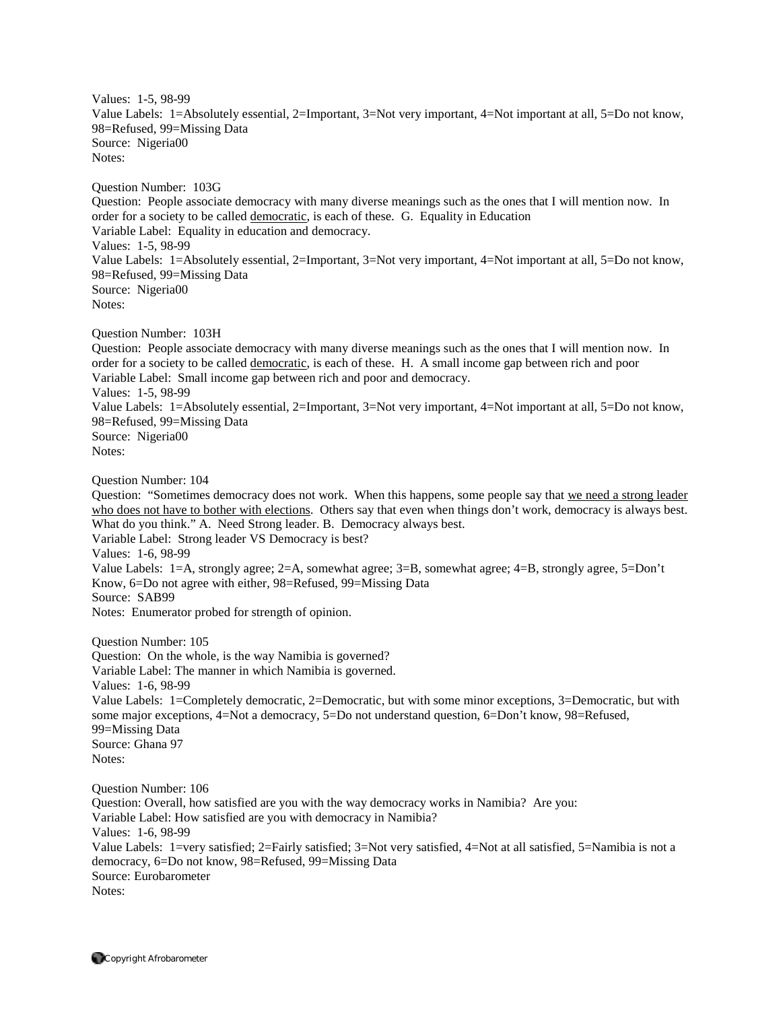Values: 1-5, 98-99 Value Labels: 1=Absolutely essential, 2=Important, 3=Not very important, 4=Not important at all, 5=Do not know, 98=Refused, 99=Missing Data Source: Nigeria00 Notes:

Question Number: 103G Question: People associate democracy with many diverse meanings such as the ones that I will mention now. In order for a society to be called democratic, is each of these. G. Equality in Education Variable Label: Equality in education and democracy. Values: 1-5, 98-99 Value Labels: 1=Absolutely essential, 2=Important, 3=Not very important, 4=Not important at all, 5=Do not know, 98=Refused, 99=Missing Data Source: Nigeria00 Notes:

Question Number: 103H

Question: People associate democracy with many diverse meanings such as the ones that I will mention now. In order for a society to be called democratic, is each of these. H. A small income gap between rich and poor Variable Label: Small income gap between rich and poor and democracy. Values: 1-5, 98-99 Value Labels: 1=Absolutely essential, 2=Important, 3=Not very important, 4=Not important at all, 5=Do not know, 98=Refused, 99=Missing Data Source: Nigeria00 Notes:

Question Number: 104

Question: "Sometimes democracy does not work. When this happens, some people say that we need a strong leader who does not have to bother with elections. Others say that even when things don't work, democracy is always best. What do you think." A. Need Strong leader. B. Democracy always best. Variable Label: Strong leader VS Democracy is best? Values: 1-6, 98-99 Value Labels: 1=A, strongly agree; 2=A, somewhat agree; 3=B, somewhat agree; 4=B, strongly agree, 5=Don't Know, 6=Do not agree with either, 98=Refused, 99=Missing Data Source: SAB99 Notes: Enumerator probed for strength of opinion.

Question Number: 105 Question: On the whole, is the way Namibia is governed? Variable Label: The manner in which Namibia is governed. Values: 1-6, 98-99 Value Labels: 1=Completely democratic, 2=Democratic, but with some minor exceptions, 3=Democratic, but with some major exceptions, 4=Not a democracy, 5=Do not understand question, 6=Don't know, 98=Refused, 99=Missing Data Source: Ghana 97 Notes:

Question Number: 106 Question: Overall, how satisfied are you with the way democracy works in Namibia? Are you: Variable Label: How satisfied are you with democracy in Namibia? Values: 1-6, 98-99 Value Labels: 1=very satisfied; 2=Fairly satisfied; 3=Not very satisfied, 4=Not at all satisfied, 5=Namibia is not a democracy, 6=Do not know, 98=Refused, 99=Missing Data Source: Eurobarometer Notes: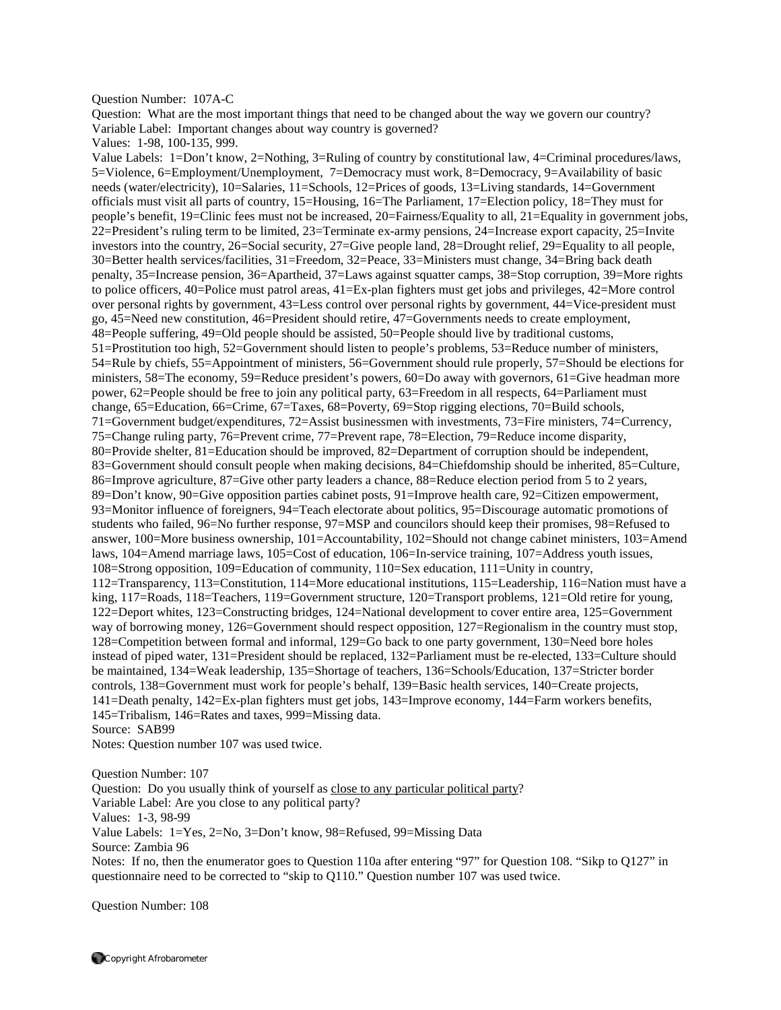#### Question Number: 107A-C

Question: What are the most important things that need to be changed about the way we govern our country? Variable Label: Important changes about way country is governed?

Values: 1-98, 100-135, 999.

Value Labels: 1=Don't know, 2=Nothing, 3=Ruling of country by constitutional law, 4=Criminal procedures/laws, 5=Violence, 6=Employment/Unemployment, 7=Democracy must work, 8=Democracy, 9=Availability of basic needs (water/electricity), 10=Salaries, 11=Schools, 12=Prices of goods, 13=Living standards, 14=Government officials must visit all parts of country, 15=Housing, 16=The Parliament, 17=Election policy, 18=They must for people's benefit, 19=Clinic fees must not be increased, 20=Fairness/Equality to all, 21=Equality in government jobs, 22=President's ruling term to be limited, 23=Terminate ex-army pensions, 24=Increase export capacity, 25=Invite investors into the country, 26=Social security, 27=Give people land, 28=Drought relief, 29=Equality to all people, 30=Better health services/facilities, 31=Freedom, 32=Peace, 33=Ministers must change, 34=Bring back death penalty, 35=Increase pension, 36=Apartheid, 37=Laws against squatter camps, 38=Stop corruption, 39=More rights to police officers, 40=Police must patrol areas, 41=Ex-plan fighters must get jobs and privileges, 42=More control over personal rights by government, 43=Less control over personal rights by government, 44=Vice-president must go, 45=Need new constitution, 46=President should retire, 47=Governments needs to create employment, 48=People suffering, 49=Old people should be assisted, 50=People should live by traditional customs, 51=Prostitution too high, 52=Government should listen to people's problems, 53=Reduce number of ministers, 54=Rule by chiefs, 55=Appointment of ministers, 56=Government should rule properly, 57=Should be elections for ministers, 58=The economy, 59=Reduce president's powers, 60=Do away with governors, 61=Give headman more power, 62=People should be free to join any political party, 63=Freedom in all respects, 64=Parliament must change, 65=Education, 66=Crime, 67=Taxes, 68=Poverty, 69=Stop rigging elections, 70=Build schools, 71=Government budget/expenditures, 72=Assist businessmen with investments, 73=Fire ministers, 74=Currency, 75=Change ruling party, 76=Prevent crime, 77=Prevent rape, 78=Election, 79=Reduce income disparity, 80=Provide shelter, 81=Education should be improved, 82=Department of corruption should be independent, 83=Government should consult people when making decisions, 84=Chiefdomship should be inherited, 85=Culture, 86=Improve agriculture, 87=Give other party leaders a chance, 88=Reduce election period from 5 to 2 years, 89=Don't know, 90=Give opposition parties cabinet posts, 91=Improve health care, 92=Citizen empowerment, 93=Monitor influence of foreigners, 94=Teach electorate about politics, 95=Discourage automatic promotions of students who failed, 96=No further response, 97=MSP and councilors should keep their promises, 98=Refused to answer, 100=More business ownership, 101=Accountability, 102=Should not change cabinet ministers, 103=Amend laws, 104=Amend marriage laws, 105=Cost of education, 106=In-service training, 107=Address youth issues, 108=Strong opposition, 109=Education of community, 110=Sex education, 111=Unity in country, 112=Transparency, 113=Constitution, 114=More educational institutions, 115=Leadership, 116=Nation must have a king, 117=Roads, 118=Teachers, 119=Government structure, 120=Transport problems, 121=Old retire for young, 122=Deport whites, 123=Constructing bridges, 124=National development to cover entire area, 125=Government way of borrowing money, 126=Government should respect opposition, 127=Regionalism in the country must stop, 128=Competition between formal and informal, 129=Go back to one party government, 130=Need bore holes instead of piped water, 131=President should be replaced, 132=Parliament must be re-elected, 133=Culture should be maintained, 134=Weak leadership, 135=Shortage of teachers, 136=Schools/Education, 137=Stricter border controls, 138=Government must work for people's behalf, 139=Basic health services, 140=Create projects, 141=Death penalty, 142=Ex-plan fighters must get jobs, 143=Improve economy, 144=Farm workers benefits, 145=Tribalism, 146=Rates and taxes, 999=Missing data. Source: SAB99

Notes: Question number 107 was used twice.

Question Number: 107 Question: Do you usually think of yourself as close to any particular political party? Variable Label: Are you close to any political party? Values: 1-3, 98-99 Value Labels: 1=Yes, 2=No, 3=Don't know, 98=Refused, 99=Missing Data Source: Zambia 96 Notes: If no, then the enumerator goes to Question 110a after entering "97" for Question 108. "Sikp to Q127" in questionnaire need to be corrected to "skip to Q110." Question number 107 was used twice.

Question Number: 108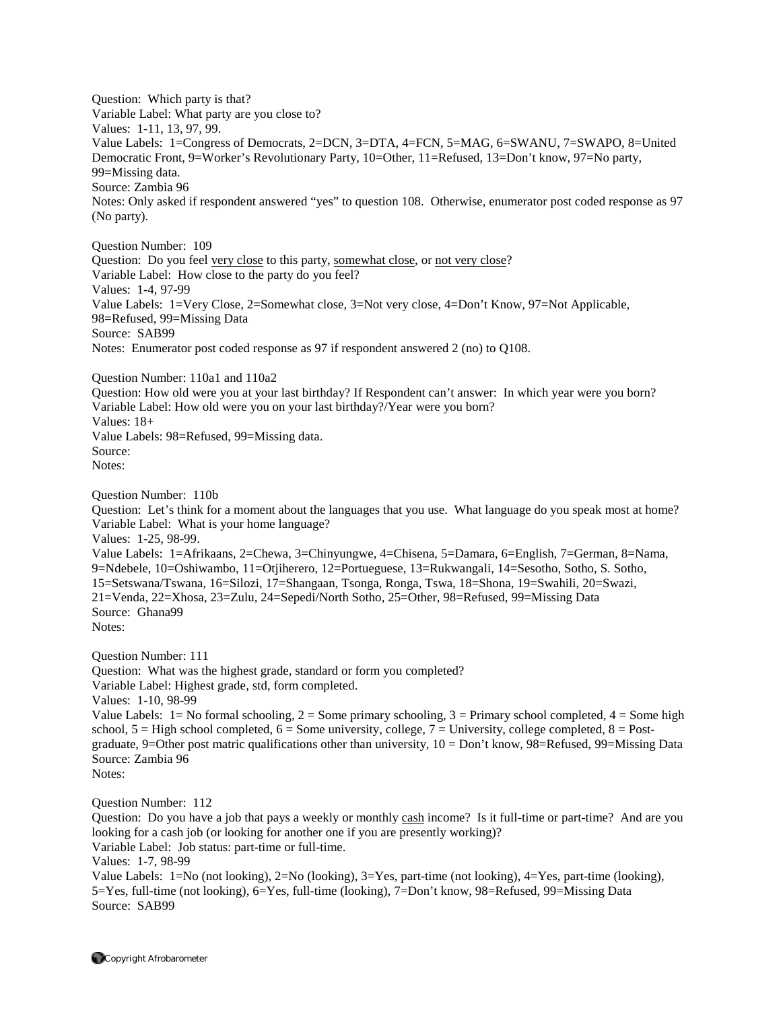Question: Which party is that? Variable Label: What party are you close to? Values: 1-11, 13, 97, 99. Value Labels: 1=Congress of Democrats, 2=DCN, 3=DTA, 4=FCN, 5=MAG, 6=SWANU, 7=SWAPO, 8=United Democratic Front, 9=Worker's Revolutionary Party, 10=Other, 11=Refused, 13=Don't know, 97=No party, 99=Missing data. Source: Zambia 96 Notes: Only asked if respondent answered "yes" to question 108. Otherwise, enumerator post coded response as 97 (No party).

Question Number: 109 Question: Do you feel very close to this party, somewhat close, or not very close? Variable Label: How close to the party do you feel? Values: 1-4, 97-99 Value Labels: 1=Very Close, 2=Somewhat close, 3=Not very close, 4=Don't Know, 97=Not Applicable, 98=Refused, 99=Missing Data Source: SAB99 Notes: Enumerator post coded response as 97 if respondent answered 2 (no) to Q108.

Question Number: 110a1 and 110a2

Question: How old were you at your last birthday? If Respondent can't answer: In which year were you born? Variable Label: How old were you on your last birthday?/Year were you born? Values: 18+ Value Labels: 98=Refused, 99=Missing data. Source: Notes:

Question Number: 110b

Question: Let's think for a moment about the languages that you use. What language do you speak most at home? Variable Label: What is your home language?

Values: 1-25, 98-99.

Value Labels: 1=Afrikaans, 2=Chewa, 3=Chinyungwe, 4=Chisena, 5=Damara, 6=English, 7=German, 8=Nama, 9=Ndebele, 10=Oshiwambo, 11=Otjiherero, 12=Portueguese, 13=Rukwangali, 14=Sesotho, Sotho, S. Sotho, 15=Setswana/Tswana, 16=Silozi, 17=Shangaan, Tsonga, Ronga, Tswa, 18=Shona, 19=Swahili, 20=Swazi, 21=Venda, 22=Xhosa, 23=Zulu, 24=Sepedi/North Sotho, 25=Other, 98=Refused, 99=Missing Data Source: Ghana99 Notes:

Question Number: 111

Question: What was the highest grade, standard or form you completed?

Variable Label: Highest grade, std, form completed.

Values: 1-10, 98-99

Value Labels:  $1 = No$  formal schooling,  $2 = Some$  primary schooling,  $3 = Primary$  school completed,  $4 = Some$  high school,  $5 =$  High school completed,  $6 =$  Some university, college,  $7 =$  University, college completed,  $8 =$  Postgraduate, 9=Other post matric qualifications other than university,  $10 = Don't know, 98 = Refused, 99 = Missing Data$ Source: Zambia 96

Notes:

Question Number: 112

Question: Do you have a job that pays a weekly or monthly cash income? Is it full-time or part-time? And are you looking for a cash job (or looking for another one if you are presently working)?

Variable Label: Job status: part-time or full-time.

Values: 1-7, 98-99

Value Labels: 1=No (not looking), 2=No (looking), 3=Yes, part-time (not looking), 4=Yes, part-time (looking), 5=Yes, full-time (not looking), 6=Yes, full-time (looking), 7=Don't know, 98=Refused, 99=Missing Data Source: SAB99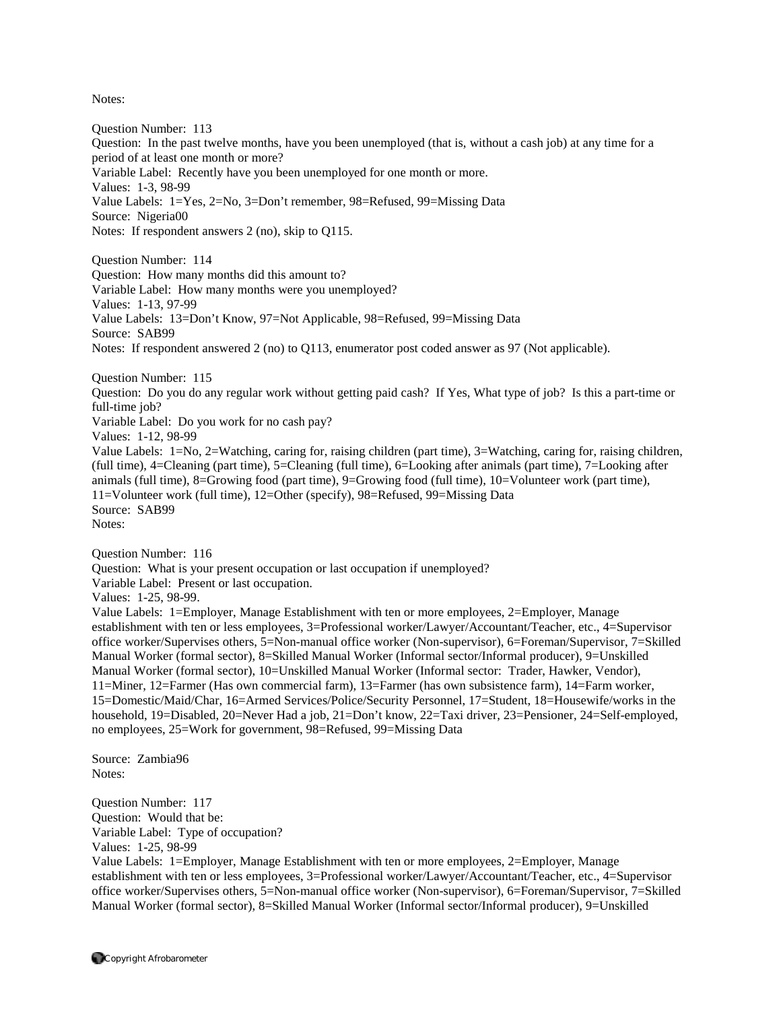Question Number: 113 Question: In the past twelve months, have you been unemployed (that is, without a cash job) at any time for a period of at least one month or more? Variable Label: Recently have you been unemployed for one month or more. Values: 1-3, 98-99 Value Labels: 1=Yes, 2=No, 3=Don't remember, 98=Refused, 99=Missing Data Source: Nigeria00 Notes: If respondent answers 2 (no), skip to Q115. Question Number: 114 Question: How many months did this amount to? Variable Label: How many months were you unemployed? Values: 1-13, 97-99 Value Labels: 13=Don't Know, 97=Not Applicable, 98=Refused, 99=Missing Data Source: SAB99 Notes: If respondent answered 2 (no) to Q113, enumerator post coded answer as 97 (Not applicable). Question Number: 115 Question: Do you do any regular work without getting paid cash? If Yes, What type of job? Is this a part-time or full-time job? Variable Label: Do you work for no cash pay? Values: 1-12, 98-99 Value Labels: 1=No, 2=Watching, caring for, raising children (part time), 3=Watching, caring for, raising children, (full time), 4=Cleaning (part time), 5=Cleaning (full time), 6=Looking after animals (part time), 7=Looking after animals (full time), 8=Growing food (part time), 9=Growing food (full time), 10=Volunteer work (part time), 11=Volunteer work (full time), 12=Other (specify), 98=Refused, 99=Missing Data Source: SAB99 Notes: Question Number: 116 Question: What is your present occupation or last occupation if unemployed? Variable Label: Present or last occupation. Values: 1-25, 98-99. Value Labels: 1=Employer, Manage Establishment with ten or more employees, 2=Employer, Manage establishment with ten or less employees, 3=Professional worker/Lawyer/Accountant/Teacher, etc., 4=Supervisor office worker/Supervises others, 5=Non-manual office worker (Non-supervisor), 6=Foreman/Supervisor, 7=Skilled Manual Worker (formal sector), 8=Skilled Manual Worker (Informal sector/Informal producer), 9=Unskilled

Manual Worker (formal sector), 10=Unskilled Manual Worker (Informal sector: Trader, Hawker, Vendor), 11=Miner, 12=Farmer (Has own commercial farm), 13=Farmer (has own subsistence farm), 14=Farm worker, 15=Domestic/Maid/Char, 16=Armed Services/Police/Security Personnel, 17=Student, 18=Housewife/works in the household, 19=Disabled, 20=Never Had a job, 21=Don't know, 22=Taxi driver, 23=Pensioner, 24=Self-employed, no employees, 25=Work for government, 98=Refused, 99=Missing Data

Source: Zambia96 Notes:

Question Number: 117 Question: Would that be: Variable Label: Type of occupation? Values: 1-25, 98-99

Value Labels: 1=Employer, Manage Establishment with ten or more employees, 2=Employer, Manage establishment with ten or less employees, 3=Professional worker/Lawyer/Accountant/Teacher, etc., 4=Supervisor office worker/Supervises others, 5=Non-manual office worker (Non-supervisor), 6=Foreman/Supervisor, 7=Skilled Manual Worker (formal sector), 8=Skilled Manual Worker (Informal sector/Informal producer), 9=Unskilled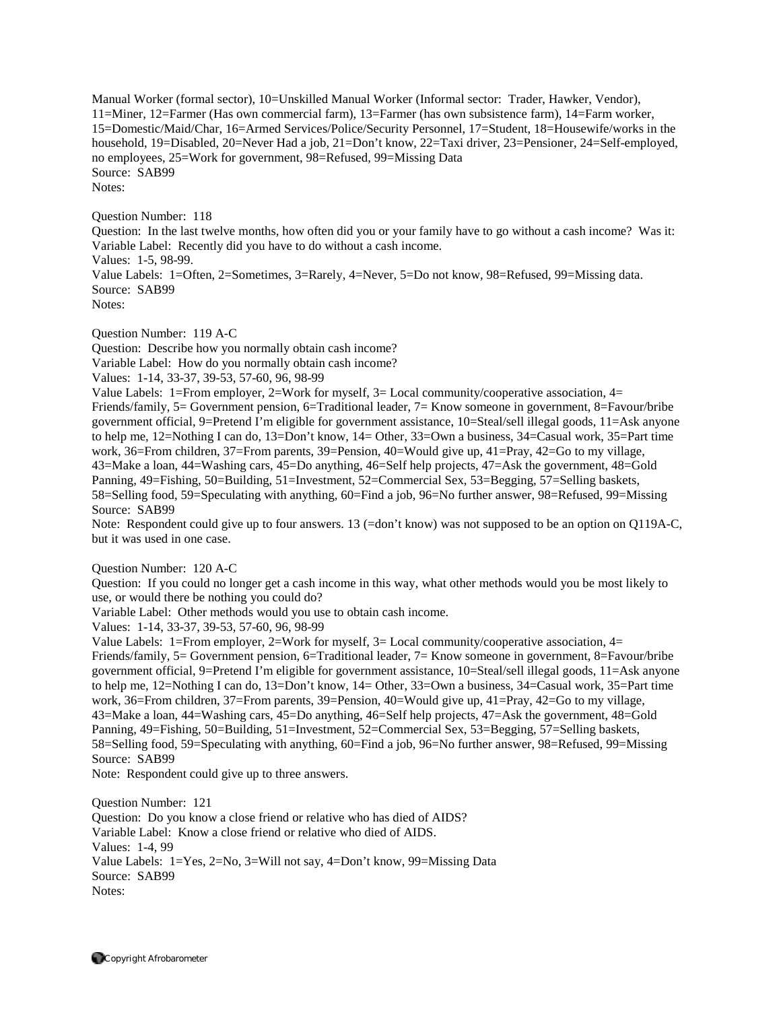Manual Worker (formal sector), 10=Unskilled Manual Worker (Informal sector: Trader, Hawker, Vendor), 11=Miner, 12=Farmer (Has own commercial farm), 13=Farmer (has own subsistence farm), 14=Farm worker, 15=Domestic/Maid/Char, 16=Armed Services/Police/Security Personnel, 17=Student, 18=Housewife/works in the household, 19=Disabled, 20=Never Had a job, 21=Don't know, 22=Taxi driver, 23=Pensioner, 24=Self-employed, no employees, 25=Work for government, 98=Refused, 99=Missing Data Source: SAB99 Notes:

Question Number: 118 Question: In the last twelve months, how often did you or your family have to go without a cash income? Was it: Variable Label: Recently did you have to do without a cash income. Values: 1-5, 98-99. Value Labels: 1=Often, 2=Sometimes, 3=Rarely, 4=Never, 5=Do not know, 98=Refused, 99=Missing data. Source: SAB99 Notes:

Question Number: 119 A-C

Question: Describe how you normally obtain cash income? Variable Label: How do you normally obtain cash income? Values: 1-14, 33-37, 39-53, 57-60, 96, 98-99

Value Labels: 1=From employer, 2=Work for myself, 3= Local community/cooperative association, 4= Friends/family, 5= Government pension, 6=Traditional leader, 7= Know someone in government, 8=Favour/bribe government official, 9=Pretend I'm eligible for government assistance, 10=Steal/sell illegal goods, 11=Ask anyone to help me, 12=Nothing I can do, 13=Don't know, 14= Other, 33=Own a business, 34=Casual work, 35=Part time work, 36=From children, 37=From parents, 39=Pension, 40=Would give up, 41=Pray, 42=Go to my village, 43=Make a loan, 44=Washing cars, 45=Do anything, 46=Self help projects, 47=Ask the government, 48=Gold Panning, 49=Fishing, 50=Building, 51=Investment, 52=Commercial Sex, 53=Begging, 57=Selling baskets, 58=Selling food, 59=Speculating with anything, 60=Find a job, 96=No further answer, 98=Refused, 99=Missing Source: SAB99

Note: Respondent could give up to four answers. 13 (=don't know) was not supposed to be an option on Q119A-C, but it was used in one case.

Question Number: 120 A-C

Question: If you could no longer get a cash income in this way, what other methods would you be most likely to use, or would there be nothing you could do?

Variable Label: Other methods would you use to obtain cash income.

Values: 1-14, 33-37, 39-53, 57-60, 96, 98-99

Value Labels: 1=From employer, 2=Work for myself,  $3=$  Local community/cooperative association,  $4=$ Friends/family, 5= Government pension, 6=Traditional leader, 7= Know someone in government, 8=Favour/bribe government official, 9=Pretend I'm eligible for government assistance, 10=Steal/sell illegal goods, 11=Ask anyone to help me, 12=Nothing I can do, 13=Don't know, 14= Other, 33=Own a business, 34=Casual work, 35=Part time work, 36=From children, 37=From parents, 39=Pension, 40=Would give up, 41=Pray, 42=Go to my village, 43=Make a loan, 44=Washing cars, 45=Do anything, 46=Self help projects, 47=Ask the government, 48=Gold Panning, 49=Fishing, 50=Building, 51=Investment, 52=Commercial Sex, 53=Begging, 57=Selling baskets, 58=Selling food, 59=Speculating with anything, 60=Find a job, 96=No further answer, 98=Refused, 99=Missing Source: SAB99

Note: Respondent could give up to three answers.

Question Number: 121 Question: Do you know a close friend or relative who has died of AIDS? Variable Label: Know a close friend or relative who died of AIDS. Values: 1-4, 99 Value Labels: 1=Yes, 2=No, 3=Will not say, 4=Don't know, 99=Missing Data Source: SAB99 Notes: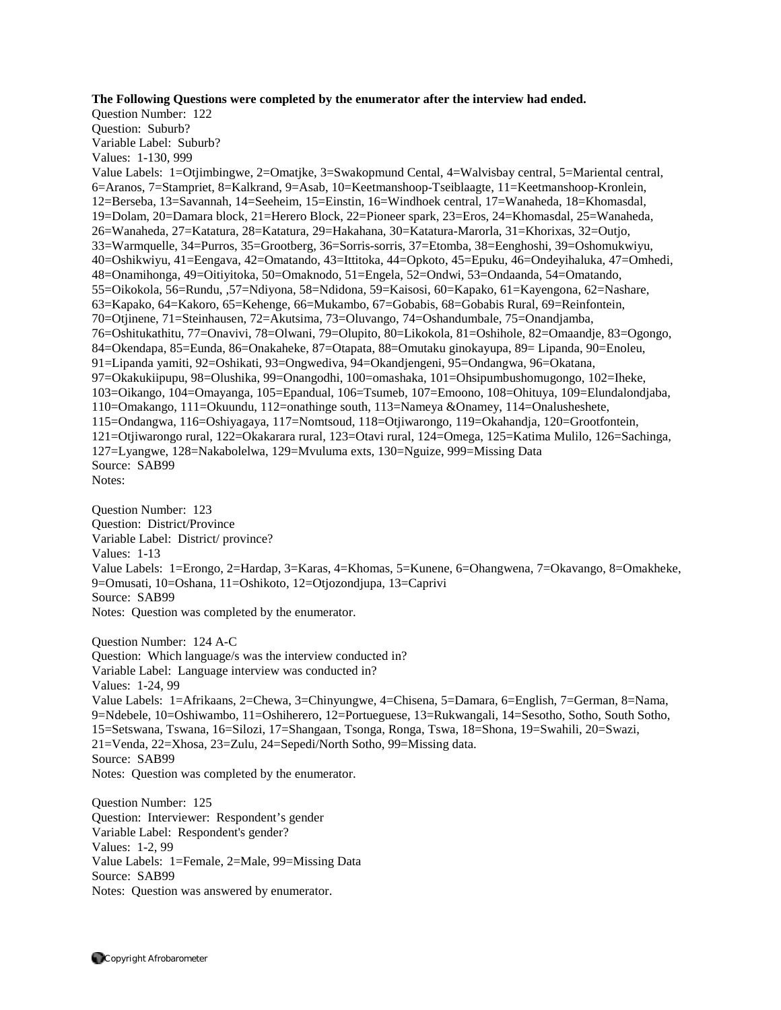## **The Following Questions were completed by the enumerator after the interview had ended.**

Question Number: 122 Question: Suburb? Variable Label: Suburb? Values: 1-130, 999 Value Labels: 1=Otjimbingwe, 2=Omatjke, 3=Swakopmund Cental, 4=Walvisbay central, 5=Mariental central, 6=Aranos, 7=Stampriet, 8=Kalkrand, 9=Asab, 10=Keetmanshoop-Tseiblaagte, 11=Keetmanshoop-Kronlein, 12=Berseba, 13=Savannah, 14=Seeheim, 15=Einstin, 16=Windhoek central, 17=Wanaheda, 18=Khomasdal, 19=Dolam, 20=Damara block, 21=Herero Block, 22=Pioneer spark, 23=Eros, 24=Khomasdal, 25=Wanaheda, 26=Wanaheda, 27=Katatura, 28=Katatura, 29=Hakahana, 30=Katatura-Marorla, 31=Khorixas, 32=Outjo, 33=Warmquelle, 34=Purros, 35=Grootberg, 36=Sorris-sorris, 37=Etomba, 38=Eenghoshi, 39=Oshomukwiyu, 40=Oshikwiyu, 41=Eengava, 42=Omatando, 43=Ittitoka, 44=Opkoto, 45=Epuku, 46=Ondeyihaluka, 47=Omhedi, 48=Onamihonga, 49=Oitiyitoka, 50=Omaknodo, 51=Engela, 52=Ondwi, 53=Ondaanda, 54=Omatando, 55=Oikokola, 56=Rundu, ,57=Ndiyona, 58=Ndidona, 59=Kaisosi, 60=Kapako, 61=Kayengona, 62=Nashare, 63=Kapako, 64=Kakoro, 65=Kehenge, 66=Mukambo, 67=Gobabis, 68=Gobabis Rural, 69=Reinfontein, 70=Otjinene, 71=Steinhausen, 72=Akutsima, 73=Oluvango, 74=Oshandumbale, 75=Onandjamba, 76=Oshitukathitu, 77=Onavivi, 78=Olwani, 79=Olupito, 80=Likokola, 81=Oshihole, 82=Omaandje, 83=Ogongo, 84=Okendapa, 85=Eunda, 86=Onakaheke, 87=Otapata, 88=Omutaku ginokayupa, 89= Lipanda, 90=Enoleu, 91=Lipanda yamiti, 92=Oshikati, 93=Ongwediva, 94=Okandjengeni, 95=Ondangwa, 96=Okatana, 97=Okakukiipupu, 98=Olushika, 99=Onangodhi, 100=omashaka, 101=Ohsipumbushomugongo, 102=Iheke, 103=Oikango, 104=Omayanga, 105=Epandual, 106=Tsumeb, 107=Emoono, 108=Ohituya, 109=Elundalondjaba, 110=Omakango, 111=Okuundu, 112=onathinge south, 113=Nameya &Onamey, 114=Onalusheshete, 115=Ondangwa, 116=Oshiyagaya, 117=Nomtsoud, 118=Otjiwarongo, 119=Okahandja, 120=Grootfontein, 121=Otjiwarongo rural, 122=Okakarara rural, 123=Otavi rural, 124=Omega, 125=Katima Mulilo, 126=Sachinga, 127=Lyangwe, 128=Nakabolelwa, 129=Mvuluma exts, 130=Nguize, 999=Missing Data Source: SAB99 Notes:

Question Number: 123 Question: District/Province Variable Label: District/ province? Values: 1-13 Value Labels: 1=Erongo, 2=Hardap, 3=Karas, 4=Khomas, 5=Kunene, 6=Ohangwena, 7=Okavango, 8=Omakheke, 9=Omusati, 10=Oshana, 11=Oshikoto, 12=Otjozondjupa, 13=Caprivi Source: SAB99 Notes: Question was completed by the enumerator.

Question Number: 124 A-C Question: Which language/s was the interview conducted in? Variable Label: Language interview was conducted in? Values: 1-24, 99 Value Labels: 1=Afrikaans, 2=Chewa, 3=Chinyungwe, 4=Chisena, 5=Damara, 6=English, 7=German, 8=Nama, 9=Ndebele, 10=Oshiwambo, 11=Oshiherero, 12=Portueguese, 13=Rukwangali, 14=Sesotho, Sotho, South Sotho, 15=Setswana, Tswana, 16=Silozi, 17=Shangaan, Tsonga, Ronga, Tswa, 18=Shona, 19=Swahili, 20=Swazi, 21=Venda, 22=Xhosa, 23=Zulu, 24=Sepedi/North Sotho, 99=Missing data. Source: SAB99 Notes: Question was completed by the enumerator.

Question Number: 125 Question: Interviewer: Respondent's gender Variable Label: Respondent's gender? Values: 1-2, 99 Value Labels: 1=Female, 2=Male, 99=Missing Data Source: SAB99 Notes: Question was answered by enumerator.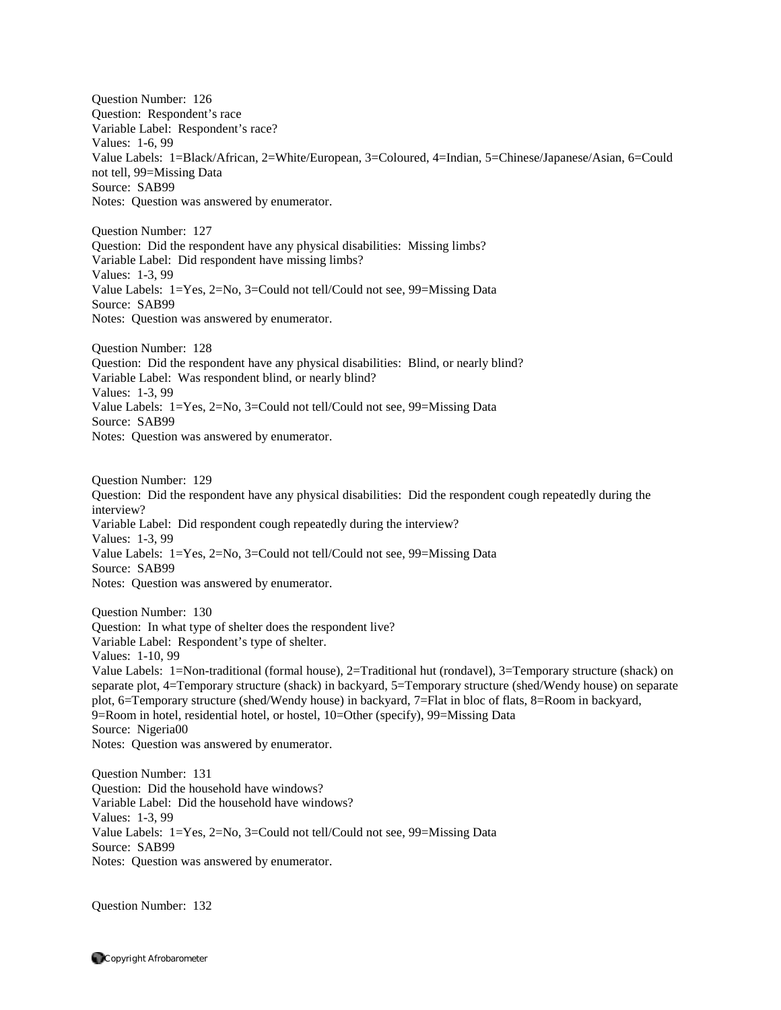Question Number: 126 Question: Respondent's race Variable Label: Respondent's race? Values: 1-6, 99 Value Labels: 1=Black/African, 2=White/European, 3=Coloured, 4=Indian, 5=Chinese/Japanese/Asian, 6=Could not tell, 99=Missing Data Source: SAB99 Notes: Question was answered by enumerator.

Question Number: 127 Question: Did the respondent have any physical disabilities: Missing limbs? Variable Label: Did respondent have missing limbs? Values: 1-3, 99 Value Labels: 1=Yes, 2=No, 3=Could not tell/Could not see, 99=Missing Data Source: SAB99 Notes: Question was answered by enumerator.

Question Number: 128 Question: Did the respondent have any physical disabilities: Blind, or nearly blind? Variable Label: Was respondent blind, or nearly blind? Values: 1-3, 99 Value Labels: 1=Yes, 2=No, 3=Could not tell/Could not see, 99=Missing Data Source: SAB99 Notes: Question was answered by enumerator.

Question Number: 129 Question: Did the respondent have any physical disabilities: Did the respondent cough repeatedly during the interview? Variable Label: Did respondent cough repeatedly during the interview? Values: 1-3, 99 Value Labels: 1=Yes, 2=No, 3=Could not tell/Could not see, 99=Missing Data Source: SAB99 Notes: Question was answered by enumerator.

Question Number: 130 Question: In what type of shelter does the respondent live? Variable Label: Respondent's type of shelter. Values: 1-10, 99 Value Labels: 1=Non-traditional (formal house), 2=Traditional hut (rondavel), 3=Temporary structure (shack) on separate plot, 4=Temporary structure (shack) in backyard, 5=Temporary structure (shed/Wendy house) on separate plot, 6=Temporary structure (shed/Wendy house) in backyard, 7=Flat in bloc of flats, 8=Room in backyard, 9=Room in hotel, residential hotel, or hostel, 10=Other (specify), 99=Missing Data Source: Nigeria00 Notes: Question was answered by enumerator.

Question Number: 131 Question: Did the household have windows? Variable Label: Did the household have windows? Values: 1-3, 99 Value Labels: 1=Yes, 2=No, 3=Could not tell/Could not see, 99=Missing Data Source: SAB99 Notes: Question was answered by enumerator.

Question Number: 132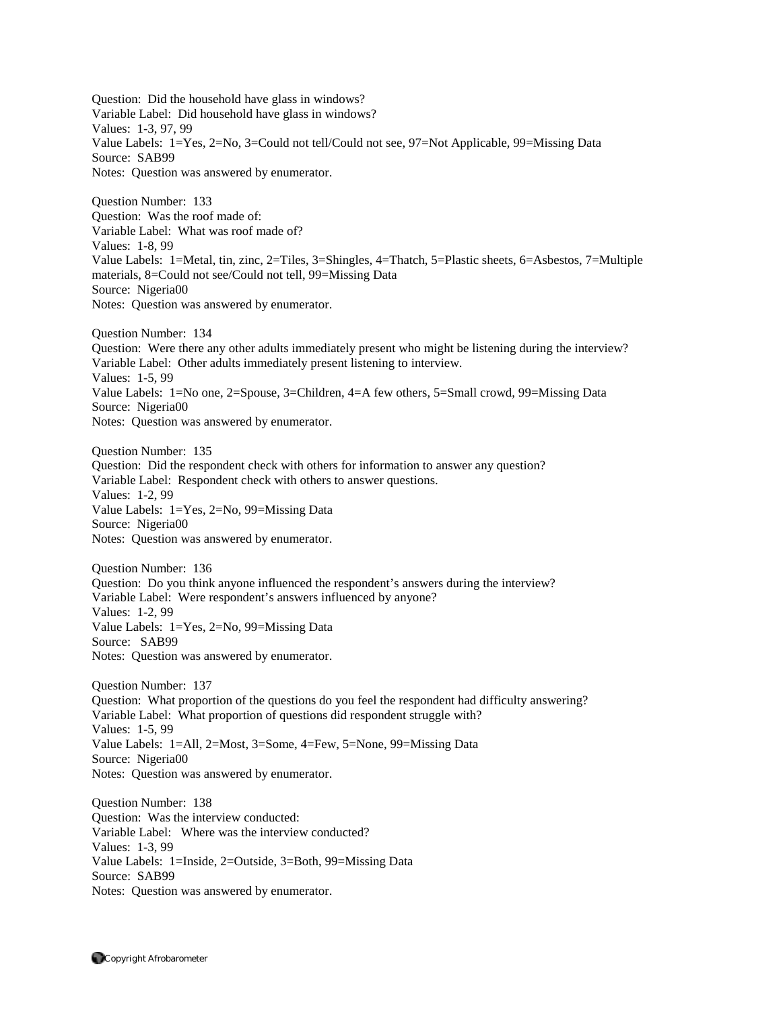Question: Did the household have glass in windows? Variable Label: Did household have glass in windows? Values: 1-3, 97, 99 Value Labels: 1=Yes, 2=No, 3=Could not tell/Could not see, 97=Not Applicable, 99=Missing Data Source: SAB99 Notes: Question was answered by enumerator. Question Number: 133 Question: Was the roof made of: Variable Label: What was roof made of? Values: 1-8, 99 Value Labels: 1=Metal, tin, zinc, 2=Tiles, 3=Shingles, 4=Thatch, 5=Plastic sheets, 6=Asbestos, 7=Multiple materials, 8=Could not see/Could not tell, 99=Missing Data Source: Nigeria00 Notes: Question was answered by enumerator. Question Number: 134 Question: Were there any other adults immediately present who might be listening during the interview? Variable Label: Other adults immediately present listening to interview. Values: 1-5, 99 Value Labels: 1=No one, 2=Spouse, 3=Children, 4=A few others, 5=Small crowd, 99=Missing Data Source: Nigeria00 Notes: Question was answered by enumerator. Question Number: 135 Question: Did the respondent check with others for information to answer any question? Variable Label: Respondent check with others to answer questions. Values: 1-2, 99 Value Labels: 1=Yes, 2=No, 99=Missing Data Source: Nigeria00 Notes: Question was answered by enumerator. Question Number: 136 Question: Do you think anyone influenced the respondent's answers during the interview? Variable Label: Were respondent's answers influenced by anyone? Values: 1-2, 99 Value Labels: 1=Yes, 2=No, 99=Missing Data Source: SAB99 Notes: Question was answered by enumerator. Question Number: 137 Question: What proportion of the questions do you feel the respondent had difficulty answering? Variable Label: What proportion of questions did respondent struggle with? Values: 1-5, 99 Value Labels: 1=All, 2=Most, 3=Some, 4=Few, 5=None, 99=Missing Data Source: Nigeria00 Notes: Question was answered by enumerator. Question Number: 138 Question: Was the interview conducted: Variable Label: Where was the interview conducted? Values: 1-3, 99

Value Labels: 1=Inside, 2=Outside, 3=Both, 99=Missing Data Source: SAB99

Notes: Question was answered by enumerator.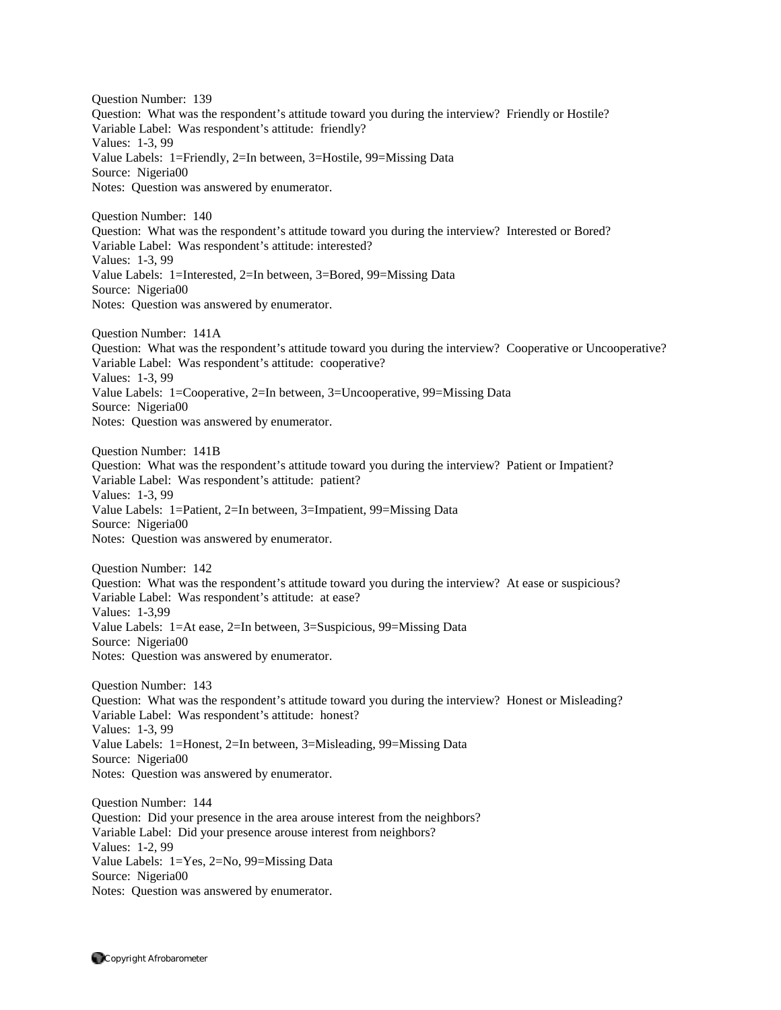Question Number: 139 Question: What was the respondent's attitude toward you during the interview? Friendly or Hostile? Variable Label: Was respondent's attitude: friendly? Values: 1-3, 99 Value Labels: 1=Friendly, 2=In between, 3=Hostile, 99=Missing Data Source: Nigeria00 Notes: Question was answered by enumerator. Question Number: 140 Question: What was the respondent's attitude toward you during the interview? Interested or Bored? Variable Label: Was respondent's attitude: interested? Values: 1-3, 99 Value Labels: 1=Interested, 2=In between, 3=Bored, 99=Missing Data Source: Nigeria00 Notes: Question was answered by enumerator. Question Number: 141A Question: What was the respondent's attitude toward you during the interview? Cooperative or Uncooperative? Variable Label: Was respondent's attitude: cooperative? Values: 1-3, 99 Value Labels: 1=Cooperative, 2=In between, 3=Uncooperative, 99=Missing Data Source: Nigeria00 Notes: Question was answered by enumerator. Question Number: 141B Question: What was the respondent's attitude toward you during the interview? Patient or Impatient? Variable Label: Was respondent's attitude: patient? Values: 1-3, 99 Value Labels: 1=Patient, 2=In between, 3=Impatient, 99=Missing Data Source: Nigeria00 Notes: Question was answered by enumerator. Question Number: 142 Question: What was the respondent's attitude toward you during the interview? At ease or suspicious? Variable Label: Was respondent's attitude: at ease? Values: 1-3,99 Value Labels: 1=At ease, 2=In between, 3=Suspicious, 99=Missing Data Source: Nigeria00 Notes: Question was answered by enumerator. Question Number: 143 Question: What was the respondent's attitude toward you during the interview? Honest or Misleading? Variable Label: Was respondent's attitude: honest? Values: 1-3, 99 Value Labels: 1=Honest, 2=In between, 3=Misleading, 99=Missing Data Source: Nigeria00 Notes: Question was answered by enumerator. Question Number: 144 Question: Did your presence in the area arouse interest from the neighbors? Variable Label: Did your presence arouse interest from neighbors? Values: 1-2, 99 Value Labels: 1=Yes, 2=No, 99=Missing Data Source: Nigeria00

Notes: Question was answered by enumerator.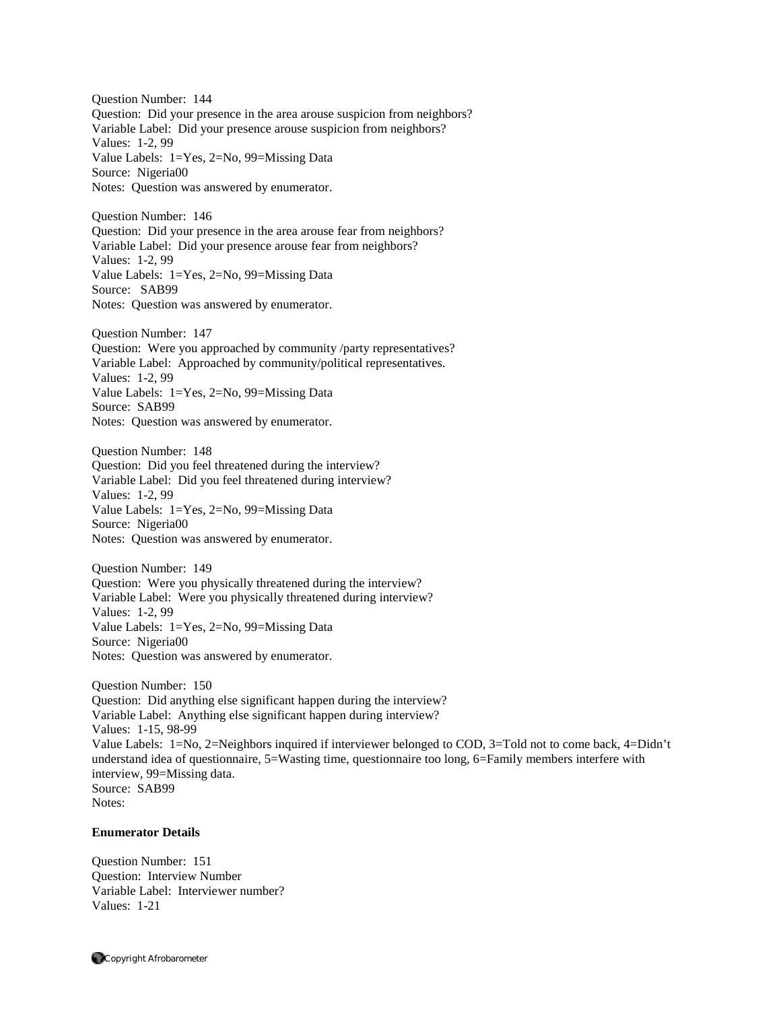Question Number: 144 Question: Did your presence in the area arouse suspicion from neighbors? Variable Label: Did your presence arouse suspicion from neighbors? Values: 1-2, 99 Value Labels: 1=Yes, 2=No, 99=Missing Data Source: Nigeria00 Notes: Question was answered by enumerator.

Question Number: 146 Question: Did your presence in the area arouse fear from neighbors? Variable Label: Did your presence arouse fear from neighbors? Values: 1-2, 99 Value Labels: 1=Yes, 2=No, 99=Missing Data Source: SAB99 Notes: Question was answered by enumerator.

Question Number: 147 Question: Were you approached by community /party representatives? Variable Label: Approached by community/political representatives. Values: 1-2, 99 Value Labels: 1=Yes, 2=No, 99=Missing Data Source: SAB99 Notes: Question was answered by enumerator.

Question Number: 148 Question: Did you feel threatened during the interview? Variable Label: Did you feel threatened during interview? Values: 1-2, 99 Value Labels: 1=Yes, 2=No, 99=Missing Data Source: Nigeria00 Notes: Question was answered by enumerator.

Question Number: 149 Question: Were you physically threatened during the interview? Variable Label: Were you physically threatened during interview? Values: 1-2, 99 Value Labels: 1=Yes, 2=No, 99=Missing Data Source: Nigeria00 Notes: Question was answered by enumerator.

Question Number: 150 Question: Did anything else significant happen during the interview? Variable Label: Anything else significant happen during interview? Values: 1-15, 98-99 Value Labels: 1=No, 2=Neighbors inquired if interviewer belonged to COD, 3=Told not to come back, 4=Didn't understand idea of questionnaire, 5=Wasting time, questionnaire too long, 6=Family members interfere with interview, 99=Missing data. Source: SAB99 Notes:

## **Enumerator Details**

Question Number: 151 Question: Interview Number Variable Label: Interviewer number? Values: 1-21

Copyright Afrobarometer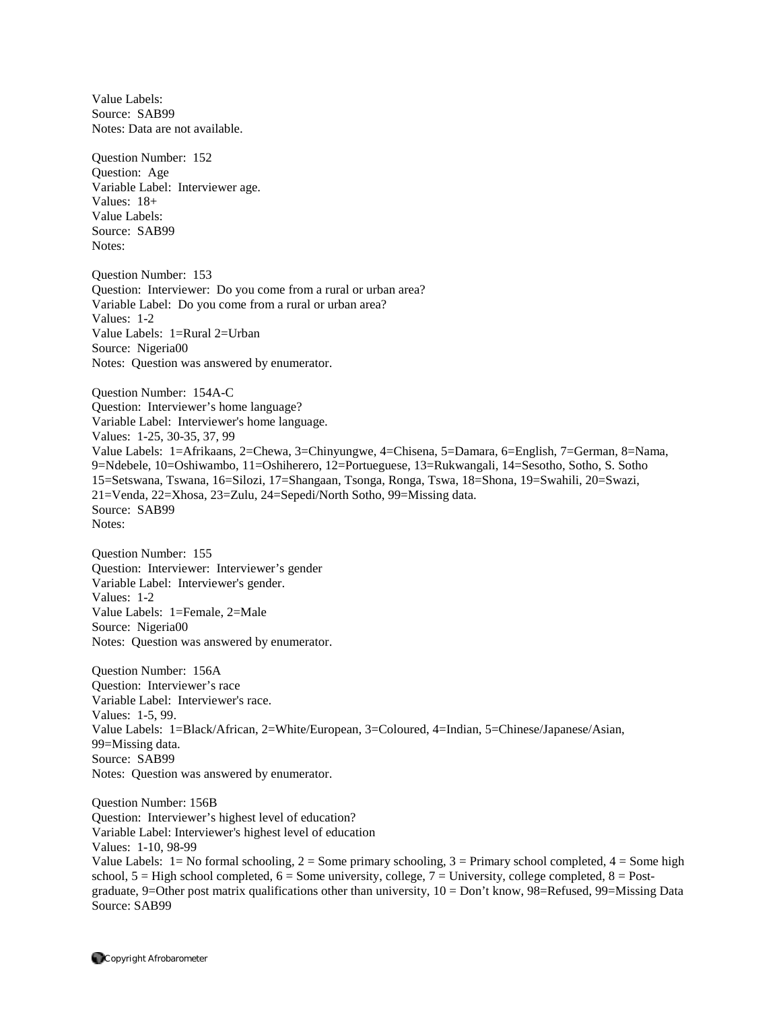Value Labels: Source: SAB99 Notes: Data are not available. Question Number: 152 Question: Age Variable Label: Interviewer age. Values: 18+ Value Labels: Source: SAB99 Notes: Question Number: 153 Question: Interviewer: Do you come from a rural or urban area? Variable Label: Do you come from a rural or urban area? Values: 1-2 Value Labels: 1=Rural 2=Urban Source: Nigeria00 Notes: Question was answered by enumerator. Question Number: 154A-C Question: Interviewer's home language? Variable Label: Interviewer's home language. Values: 1-25, 30-35, 37, 99 Value Labels: 1=Afrikaans, 2=Chewa, 3=Chinyungwe, 4=Chisena, 5=Damara, 6=English, 7=German, 8=Nama, 9=Ndebele, 10=Oshiwambo, 11=Oshiherero, 12=Portueguese, 13=Rukwangali, 14=Sesotho, Sotho, S. Sotho 15=Setswana, Tswana, 16=Silozi, 17=Shangaan, Tsonga, Ronga, Tswa, 18=Shona, 19=Swahili, 20=Swazi, 21=Venda, 22=Xhosa, 23=Zulu, 24=Sepedi/North Sotho, 99=Missing data. Source: SAB99 Notes: Question Number: 155 Question: Interviewer: Interviewer's gender Variable Label: Interviewer's gender. Values: 1-2 Value Labels: 1=Female, 2=Male Source: Nigeria00 Notes: Question was answered by enumerator. Question Number: 156A Question: Interviewer's race Variable Label: Interviewer's race. Values: 1-5, 99. Value Labels: 1=Black/African, 2=White/European, 3=Coloured, 4=Indian, 5=Chinese/Japanese/Asian, 99=Missing data. Source: SAB99 Notes: Question was answered by enumerator. Question Number: 156B Question: Interviewer's highest level of education? Variable Label: Interviewer's highest level of education

Values: 1-10, 98-99

Value Labels:  $1 = No$  formal schooling,  $2 = Some$  primary schooling,  $3 = Primary$  school completed,  $4 = Some$  high school,  $5 =$  High school completed,  $6 =$  Some university, college,  $7 =$  University, college completed,  $8 =$  Postgraduate, 9=Other post matrix qualifications other than university, 10 = Don't know, 98=Refused, 99=Missing Data Source: SAB99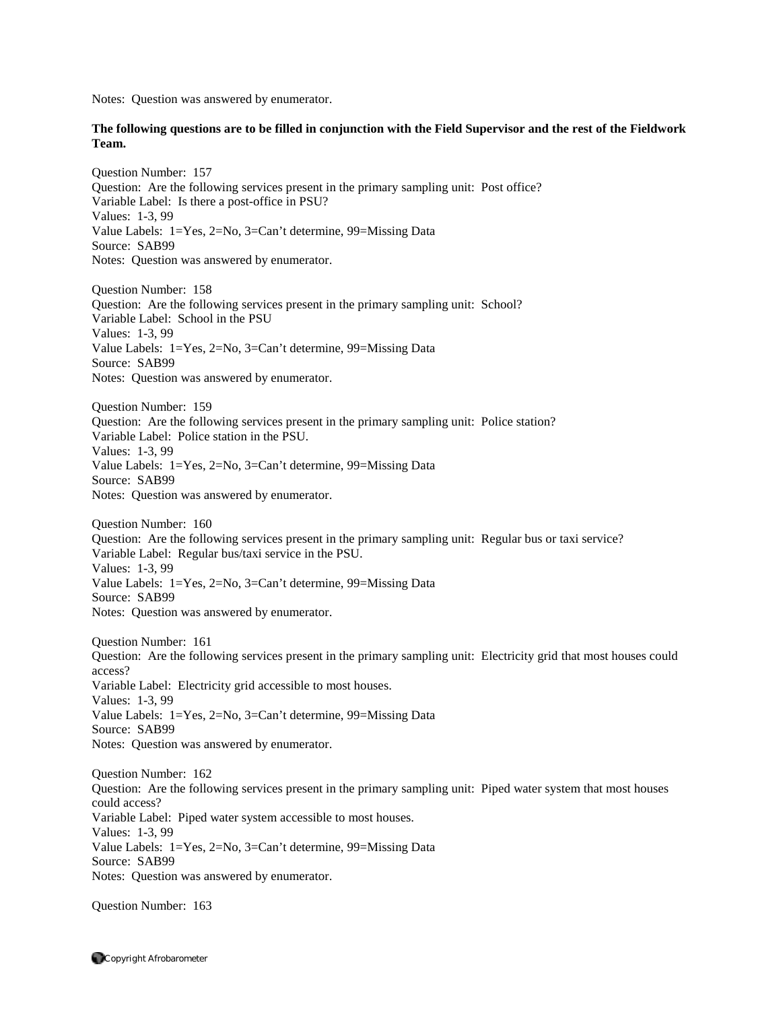Notes: Question was answered by enumerator.

## **The following questions are to be filled in conjunction with the Field Supervisor and the rest of the Fieldwork Team.**

Question Number: 157 Question: Are the following services present in the primary sampling unit: Post office? Variable Label: Is there a post-office in PSU? Values: 1-3, 99 Value Labels: 1=Yes, 2=No, 3=Can't determine, 99=Missing Data Source: SAB99 Notes: Question was answered by enumerator. Question Number: 158 Question: Are the following services present in the primary sampling unit: School?

Variable Label: School in the PSU Values: 1-3, 99 Value Labels: 1=Yes, 2=No, 3=Can't determine, 99=Missing Data Source: SAB99 Notes: Question was answered by enumerator.

Question Number: 159 Question: Are the following services present in the primary sampling unit: Police station? Variable Label: Police station in the PSU. Values: 1-3, 99 Value Labels: 1=Yes, 2=No, 3=Can't determine, 99=Missing Data Source: SAB99 Notes: Question was answered by enumerator.

Question Number: 160 Question: Are the following services present in the primary sampling unit: Regular bus or taxi service? Variable Label: Regular bus/taxi service in the PSU. Values: 1-3, 99 Value Labels: 1=Yes, 2=No, 3=Can't determine, 99=Missing Data Source: SAB99 Notes: Question was answered by enumerator.

Question Number: 161 Question: Are the following services present in the primary sampling unit: Electricity grid that most houses could access? Variable Label: Electricity grid accessible to most houses. Values: 1-3, 99 Value Labels: 1=Yes, 2=No, 3=Can't determine, 99=Missing Data Source: SAB99 Notes: Question was answered by enumerator.

Question Number: 162 Question: Are the following services present in the primary sampling unit: Piped water system that most houses could access? Variable Label: Piped water system accessible to most houses. Values: 1-3, 99 Value Labels: 1=Yes, 2=No, 3=Can't determine, 99=Missing Data Source: SAB99 Notes: Question was answered by enumerator.

Question Number: 163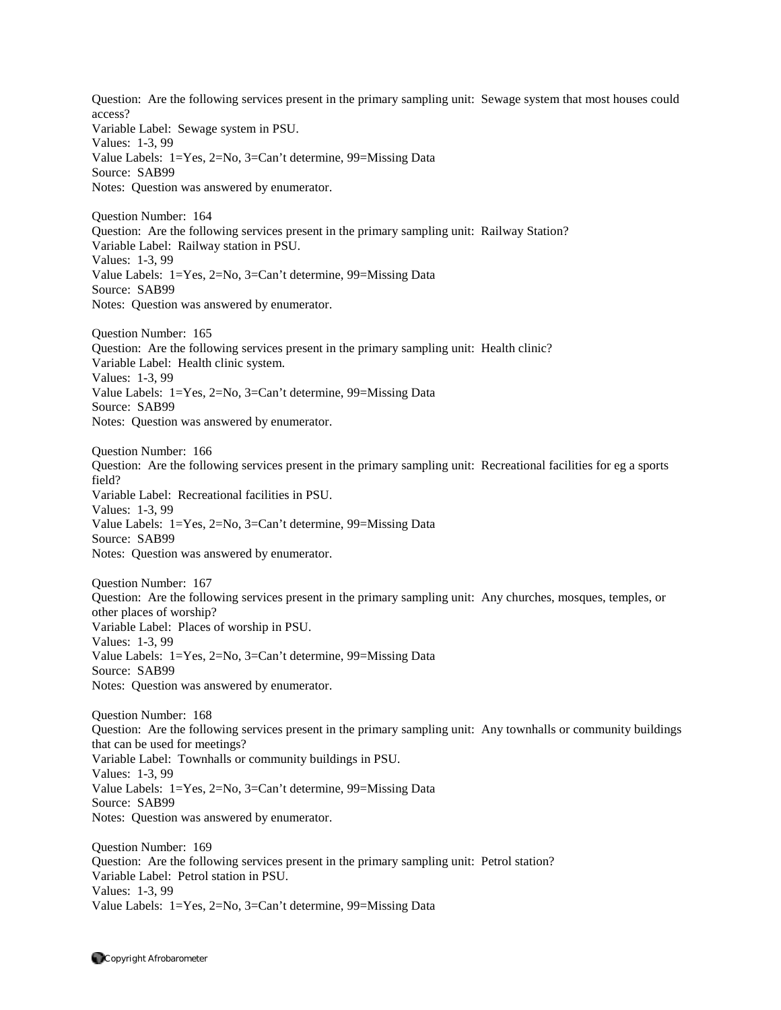Question: Are the following services present in the primary sampling unit: Sewage system that most houses could access? Variable Label: Sewage system in PSU. Values: 1-3, 99 Value Labels: 1=Yes, 2=No, 3=Can't determine, 99=Missing Data Source: SAB99 Notes: Question was answered by enumerator. Question Number: 164 Question: Are the following services present in the primary sampling unit: Railway Station? Variable Label: Railway station in PSU. Values: 1-3, 99 Value Labels: 1=Yes, 2=No, 3=Can't determine, 99=Missing Data Source: SAB99 Notes: Question was answered by enumerator. Question Number: 165 Question: Are the following services present in the primary sampling unit: Health clinic? Variable Label: Health clinic system. Values: 1-3, 99 Value Labels: 1=Yes, 2=No, 3=Can't determine, 99=Missing Data Source: SAB99 Notes: Question was answered by enumerator. Question Number: 166 Question: Are the following services present in the primary sampling unit: Recreational facilities for eg a sports field? Variable Label: Recreational facilities in PSU. Values: 1-3, 99 Value Labels: 1=Yes, 2=No, 3=Can't determine, 99=Missing Data Source: SAB99 Notes: Question was answered by enumerator. Question Number: 167 Question: Are the following services present in the primary sampling unit: Any churches, mosques, temples, or other places of worship? Variable Label: Places of worship in PSU. Values: 1-3, 99 Value Labels: 1=Yes, 2=No, 3=Can't determine, 99=Missing Data Source: SAB99 Notes: Question was answered by enumerator. Question Number: 168 Question: Are the following services present in the primary sampling unit: Any townhalls or community buildings that can be used for meetings? Variable Label: Townhalls or community buildings in PSU. Values: 1-3, 99 Value Labels: 1=Yes, 2=No, 3=Can't determine, 99=Missing Data Source: SAB99 Notes: Question was answered by enumerator. Question Number: 169 Question: Are the following services present in the primary sampling unit: Petrol station? Variable Label: Petrol station in PSU. Values: 1-3, 99

Value Labels: 1=Yes, 2=No, 3=Can't determine, 99=Missing Data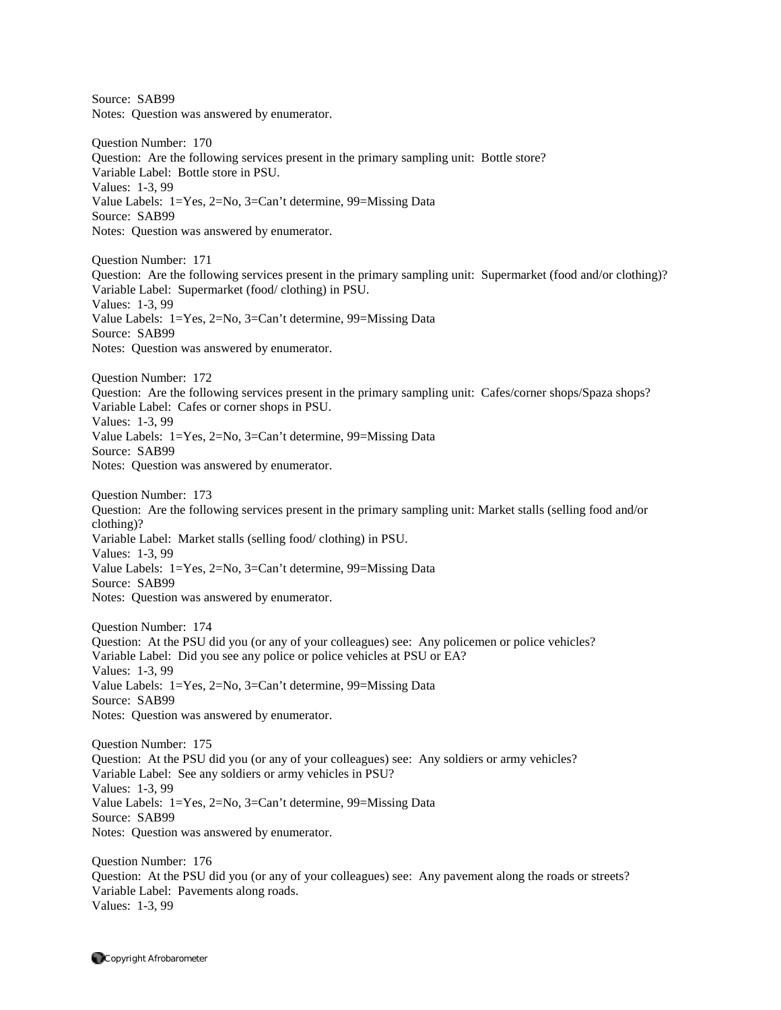Source: SAB99 Notes: Question was answered by enumerator. Question Number: 170 Question: Are the following services present in the primary sampling unit: Bottle store? Variable Label: Bottle store in PSU. Values: 1-3, 99 Value Labels: 1=Yes, 2=No, 3=Can't determine, 99=Missing Data Source: SAB99 Notes: Question was answered by enumerator. Question Number: 171 Question: Are the following services present in the primary sampling unit: Supermarket (food and/or clothing)? Variable Label: Supermarket (food/ clothing) in PSU. Values: 1-3, 99 Value Labels: 1=Yes, 2=No, 3=Can't determine, 99=Missing Data Source: SAB99 Notes: Question was answered by enumerator. Question Number: 172 Question: Are the following services present in the primary sampling unit: Cafes/corner shops/Spaza shops? Variable Label: Cafes or corner shops in PSU. Values: 1-3, 99 Value Labels: 1=Yes, 2=No, 3=Can't determine, 99=Missing Data Source: SAB99 Notes: Question was answered by enumerator. Question Number: 173 Question: Are the following services present in the primary sampling unit: Market stalls (selling food and/or clothing)? Variable Label: Market stalls (selling food/ clothing) in PSU. Values: 1-3, 99 Value Labels: 1=Yes, 2=No, 3=Can't determine, 99=Missing Data Source: SAB99 Notes: Question was answered by enumerator. Question Number: 174 Question: At the PSU did you (or any of your colleagues) see: Any policemen or police vehicles? Variable Label: Did you see any police or police vehicles at PSU or EA? Values: 1-3, 99 Value Labels: 1=Yes, 2=No, 3=Can't determine, 99=Missing Data Source: SAB99 Notes: Question was answered by enumerator. Question Number: 175 Question: At the PSU did you (or any of your colleagues) see: Any soldiers or army vehicles? Variable Label: See any soldiers or army vehicles in PSU? Values: 1-3, 99 Value Labels: 1=Yes, 2=No, 3=Can't determine, 99=Missing Data Source: SAB99 Notes: Question was answered by enumerator. Question Number: 176 Question: At the PSU did you (or any of your colleagues) see: Any pavement along the roads or streets? Variable Label: Pavements along roads. Values: 1-3, 99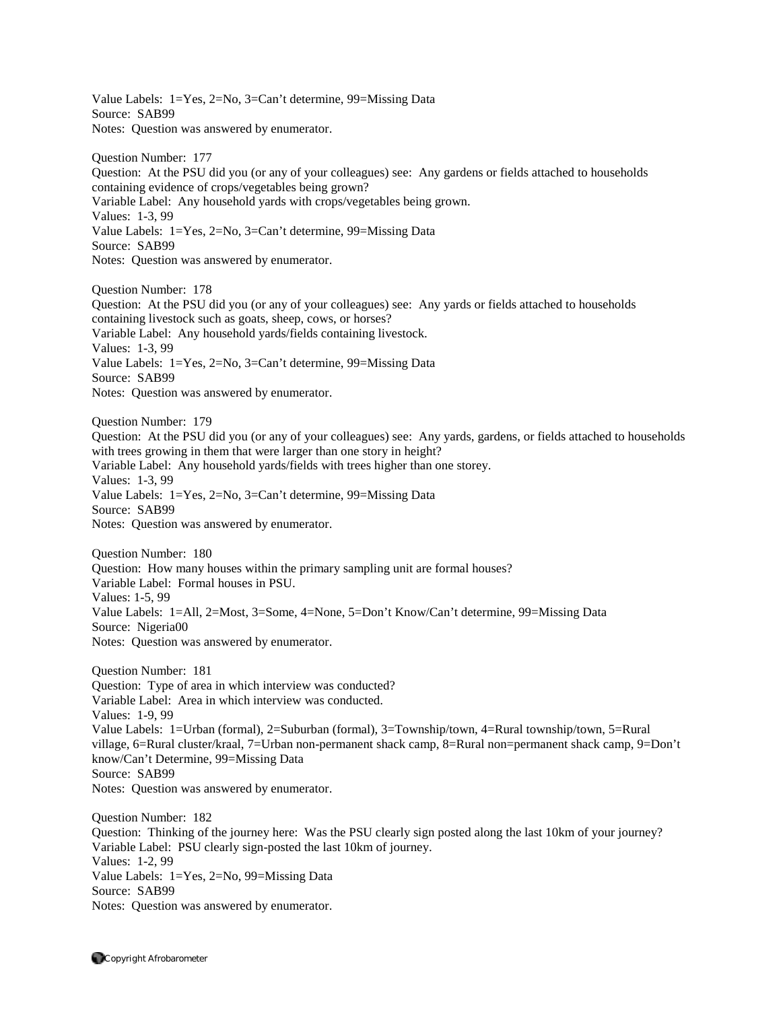Value Labels: 1=Yes, 2=No, 3=Can't determine, 99=Missing Data Source: SAB99 Notes: Question was answered by enumerator.

Question Number: 177 Question: At the PSU did you (or any of your colleagues) see: Any gardens or fields attached to households containing evidence of crops/vegetables being grown? Variable Label: Any household yards with crops/vegetables being grown. Values: 1-3, 99 Value Labels: 1=Yes, 2=No, 3=Can't determine, 99=Missing Data Source: SAB99 Notes: Question was answered by enumerator.

Question Number: 178 Question: At the PSU did you (or any of your colleagues) see: Any yards or fields attached to households containing livestock such as goats, sheep, cows, or horses? Variable Label: Any household yards/fields containing livestock. Values: 1-3, 99 Value Labels: 1=Yes, 2=No, 3=Can't determine, 99=Missing Data Source: SAB99 Notes: Question was answered by enumerator.

Question Number: 179

Question: At the PSU did you (or any of your colleagues) see: Any yards, gardens, or fields attached to households with trees growing in them that were larger than one story in height? Variable Label: Any household yards/fields with trees higher than one storey. Values: 1-3, 99 Value Labels: 1=Yes, 2=No, 3=Can't determine, 99=Missing Data

Source: SAB99

Notes: Question was answered by enumerator.

Question Number: 180 Question: How many houses within the primary sampling unit are formal houses? Variable Label: Formal houses in PSU. Values: 1-5, 99 Value Labels: 1=All, 2=Most, 3=Some, 4=None, 5=Don't Know/Can't determine, 99=Missing Data Source: Nigeria00 Notes: Question was answered by enumerator.

Question Number: 181 Question: Type of area in which interview was conducted? Variable Label: Area in which interview was conducted. Values: 1-9, 99 Value Labels: 1=Urban (formal), 2=Suburban (formal), 3=Township/town, 4=Rural township/town, 5=Rural village, 6=Rural cluster/kraal, 7=Urban non-permanent shack camp, 8=Rural non=permanent shack camp, 9=Don't know/Can't Determine, 99=Missing Data Source: SAB99 Notes: Question was answered by enumerator.

Question Number: 182 Question: Thinking of the journey here: Was the PSU clearly sign posted along the last 10km of your journey? Variable Label: PSU clearly sign-posted the last 10km of journey. Values: 1-2, 99 Value Labels: 1=Yes, 2=No, 99=Missing Data Source: SAB99 Notes: Question was answered by enumerator.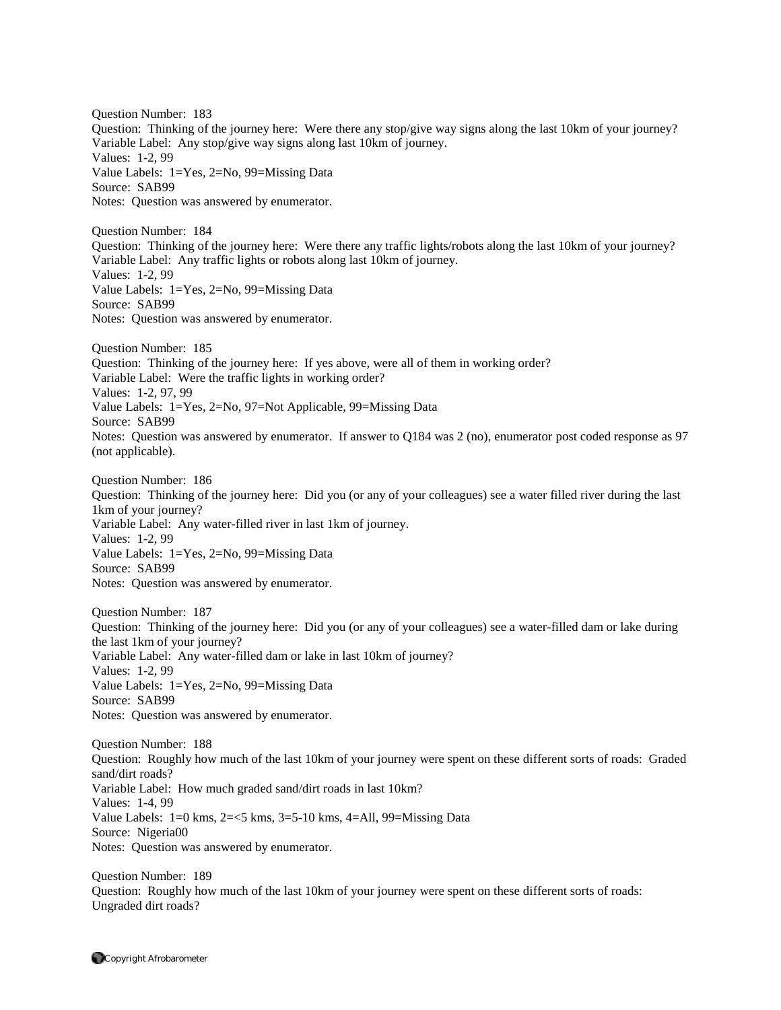Question Number: 183 Question: Thinking of the journey here: Were there any stop/give way signs along the last 10km of your journey? Variable Label: Any stop/give way signs along last 10km of journey. Values: 1-2, 99 Value Labels: 1=Yes, 2=No, 99=Missing Data Source: SAB99 Notes: Question was answered by enumerator.

Question Number: 184 Question: Thinking of the journey here: Were there any traffic lights/robots along the last 10km of your journey? Variable Label: Any traffic lights or robots along last 10km of journey. Values: 1-2, 99 Value Labels: 1=Yes, 2=No, 99=Missing Data Source: SAB99 Notes: Question was answered by enumerator.

Question Number: 185 Question: Thinking of the journey here: If yes above, were all of them in working order? Variable Label: Were the traffic lights in working order? Values: 1-2, 97, 99 Value Labels: 1=Yes, 2=No, 97=Not Applicable, 99=Missing Data Source: SAB99 Notes: Question was answered by enumerator. If answer to Q184 was 2 (no), enumerator post coded response as 97 (not applicable).

Question Number: 186 Question: Thinking of the journey here: Did you (or any of your colleagues) see a water filled river during the last 1km of your journey? Variable Label: Any water-filled river in last 1km of journey. Values: 1-2, 99 Value Labels: 1=Yes, 2=No, 99=Missing Data Source: SAB99 Notes: Question was answered by enumerator.

Question Number: 187 Question: Thinking of the journey here: Did you (or any of your colleagues) see a water-filled dam or lake during the last 1km of your journey? Variable Label: Any water-filled dam or lake in last 10km of journey? Values: 1-2, 99 Value Labels: 1=Yes, 2=No, 99=Missing Data Source: SAB99 Notes: Question was answered by enumerator.

Question Number: 188 Question: Roughly how much of the last 10km of your journey were spent on these different sorts of roads: Graded sand/dirt roads? Variable Label: How much graded sand/dirt roads in last 10km? Values: 1-4, 99 Value Labels:  $1=0$  kms,  $2=<5$  kms,  $3=5-10$  kms,  $4=$ All,  $99=$ Missing Data Source: Nigeria00 Notes: Question was answered by enumerator.

Question Number: 189 Question: Roughly how much of the last 10km of your journey were spent on these different sorts of roads: Ungraded dirt roads?